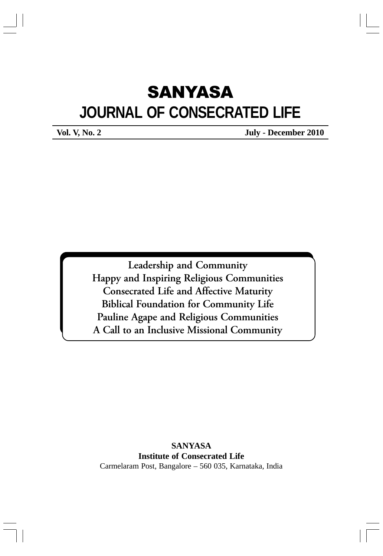# **SANYASA JOURNAL OF CONSECRATED LIFE**

**Vol. V, No. 2 July - December 2010** 

Leadership and Community Happy and Inspiring Religious Communities Consecrated Life and Affective Maturity Biblical Foundation for Community Life Pauline Agape and Religious Communities A Call to an Inclusive Missional Community

**SANYASA Institute of Consecrated Life** Carmelaram Post, Bangalore – 560 035, Karnataka, India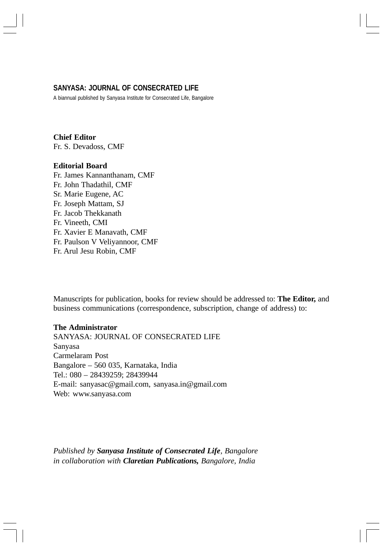#### **SANYASA: JOURNAL OF CONSECRATED LIFE**

A biannual published by Sanyasa Institute for Consecrated Life, Bangalore

#### **Chief Editor** Fr. S. Devadoss, CMF

#### **Editorial Board**

Fr. James Kannanthanam, CMF Fr. John Thadathil, CMF Sr. Marie Eugene, AC Fr. Joseph Mattam, SJ Fr. Jacob Thekkanath Fr. Vineeth, CMI Fr. Xavier E Manavath, CMF Fr. Paulson V Veliyannoor, CMF Fr. Arul Jesu Robin, CMF

Manuscripts for publication, books for review should be addressed to: **The Editor,** and business communications (correspondence, subscription, change of address) to:

#### **The Administrator**

SANYASA: JOURNAL OF CONSECRATED LIFE Sanyasa Carmelaram Post Bangalore – 560 035, Karnataka, India Tel.: 080 – 28439259; 28439944 E-mail: sanyasac@gmail.com, sanyasa.in@gmail.com Web: www.sanyasa.com

*Published by Sanyasa Institute of Consecrated Life, Bangalore in collaboration with Claretian Publications, Bangalore, India*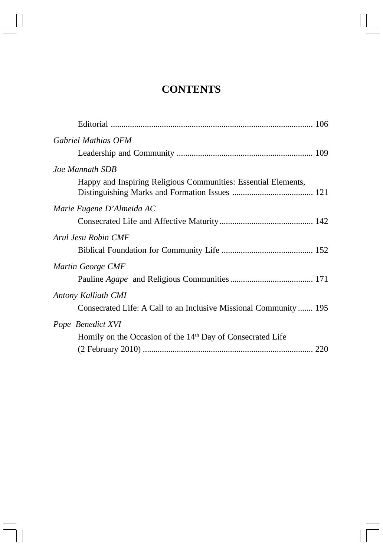# **CONTENTS**

 $\overline{\phantom{0}}$ 

 $\overline{\phantom{a}}$ 

 $\begin{array}{c|c} \hline \quad \quad & \quad \quad & \quad \quad \\ \hline \quad \quad & \quad \quad & \quad \quad \\ \hline \quad \quad & \quad \quad & \quad \quad \\ \hline \end{array}$ 

 $\overline{\neg}$ 

| Gabriel Mathias OFM                                                    |
|------------------------------------------------------------------------|
| Joe Mannath SDB                                                        |
| Happy and Inspiring Religious Communities: Essential Elements,         |
| Marie Eugene D'Almeida AC                                              |
|                                                                        |
| Arul Jesu Robin CMF                                                    |
|                                                                        |
| Martin George CMF                                                      |
|                                                                        |
| Antony Kalliath CMI                                                    |
| Consecrated Life: A Call to an Inclusive Missional Community  195      |
| Pope Benedict XVI                                                      |
| Homily on the Occasion of the 14 <sup>th</sup> Day of Consecrated Life |
|                                                                        |
|                                                                        |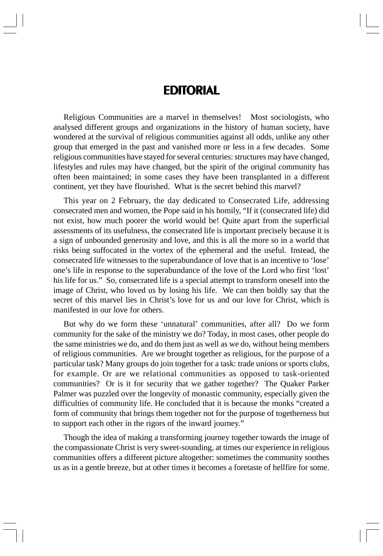## **EDITORIAL**

Religious Communities are a marvel in themselves! Most sociologists, who analysed different groups and organizations in the history of human society, have wondered at the survival of religious communities against all odds, unlike any other group that emerged in the past and vanished more or less in a few decades. Some religious communities have stayed for several centuries: structures may have changed, lifestyles and rules may have changed, but the spirit of the original community has often been maintained; in some cases they have been transplanted in a different continent, yet they have flourished. What is the secret behind this marvel?

This year on 2 February, the day dedicated to Consecrated Life*,* addressing consecrated men and women, the Pope said in his homily, "If it (consecrated life) did not exist, how much poorer the world would be! Quite apart from the superficial assessments of its usefulness, the consecrated life is important precisely because it is a sign of unbounded generosity and love, and this is all the more so in a world that risks being suffocated in the vortex of the ephemeral and the useful. Instead, the consecrated life witnesses to the superabundance of love that is an incentive to 'lose' one's life in response to the superabundance of the love of the Lord who first 'lost' his life for us." So, consecrated life is a special attempt to transform oneself into the image of Christ, who loved us by losing his life. We can then boldly say that the secret of this marvel lies in Christ's love for us and our love for Christ, which is manifested in our love for others.

But why do we form these 'unnatural' communities, after all? Do we form community for the sake of the ministry we do? Today, in most cases, other people do the same ministries we do, and do them just as well as we do, without being members of religious communities. Are we brought together as religious, for the purpose of a particular task? Many groups do join together for a task: trade unions or sports clubs, for example. Or are we relational communities as opposed to task-oriented communities? Or is it for security that we gather together? The Quaker Parker Palmer was puzzled over the longevity of monastic community, especially given the difficulties of community life. He concluded that it is because the monks "created a form of community that brings them together not for the purpose of togetherness but to support each other in the rigors of the inward journey."

Though the idea of making a transforming journey together towards the image of the compassionate Christ is very sweet-sounding, at times our experience in religious communities offers a different picture altogether: sometimes the community soothes us as in a gentle breeze, but at other times it becomes a foretaste of hellfire for some.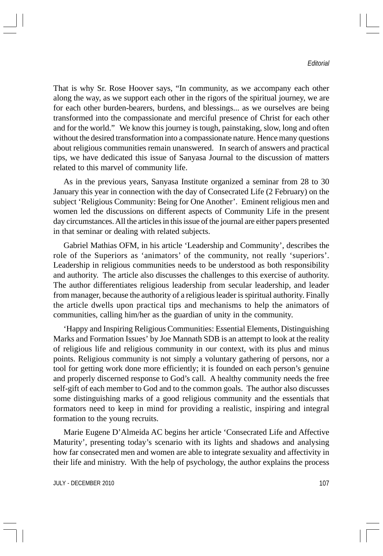#### *Editorial*

That is why Sr. Rose Hoover says, "In community, as we accompany each other along the way, as we support each other in the rigors of the spiritual journey, we are for each other burden-bearers, burdens, and blessings... as we ourselves are being transformed into the compassionate and merciful presence of Christ for each other and for the world." We know this journey is tough, painstaking, slow, long and often without the desired transformation into a compassionate nature. Hence many questions about religious communities remain unanswered. In search of answers and practical tips, we have dedicated this issue of Sanyasa Journal to the discussion of matters related to this marvel of community life.

As in the previous years, Sanyasa Institute organized a seminar from 28 to 30 January this year in connection with the day of Consecrated Life (2 February) on the subject 'Religious Community: Being for One Another'. Eminent religious men and women led the discussions on different aspects of Community Life in the present day circumstances. All the articles in this issue of the journal are either papers presented in that seminar or dealing with related subjects.

Gabriel Mathias OFM, in his article 'Leadership and Community', describes the role of the Superiors as 'animators' of the community, not really 'superiors'. Leadership in religious communities needs to be understood as both responsibility and authority. The article also discusses the challenges to this exercise of authority. The author differentiates religious leadership from secular leadership, and leader from manager, because the authority of a religious leader is spiritual authority. Finally the article dwells upon practical tips and mechanisms to help the animators of communities, calling him/her as the guardian of unity in the community.

'Happy and Inspiring Religious Communities: Essential Elements, Distinguishing Marks and Formation Issues' by Joe Mannath SDB is an attempt to look at the reality of religious life and religious community in our context, with its plus and minus points. Religious community is not simply a voluntary gathering of persons, nor a tool for getting work done more efficiently; it is founded on each person's genuine and properly discerned response to God's call. A healthy community needs the free self-gift of each member to God and to the common goals. The author also discusses some distinguishing marks of a good religious community and the essentials that formators need to keep in mind for providing a realistic, inspiring and integral formation to the young recruits.

Marie Eugene D'Almeida AC begins her article 'Consecrated Life and Affective Maturity', presenting today's scenario with its lights and shadows and analysing how far consecrated men and women are able to integrate sexuality and affectivity in their life and ministry. With the help of psychology, the author explains the process

JULY - DECEMBER 2010 107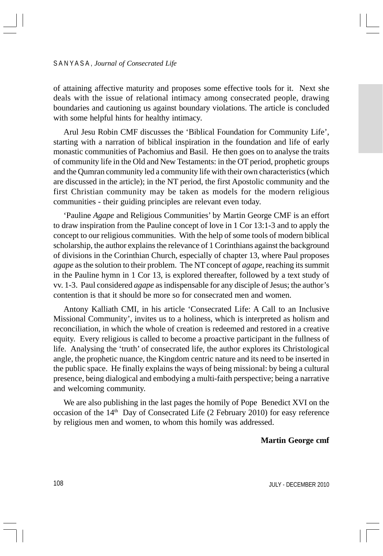#### S A N Y A S A , *Journal of Consecrated Life*

of attaining affective maturity and proposes some effective tools for it. Next she deals with the issue of relational intimacy among consecrated people, drawing boundaries and cautioning us against boundary violations. The article is concluded with some helpful hints for healthy intimacy.

Arul Jesu Robin CMF discusses the 'Biblical Foundation for Community Life', starting with a narration of biblical inspiration in the foundation and life of early monastic communities of Pachomius and Basil. He then goes on to analyse the traits of community life in the Old and New Testaments: in the OT period, prophetic groups and the Qumran community led a community life with their own characteristics (which are discussed in the article); in the NT period, the first Apostolic community and the first Christian community may be taken as models for the modern religious communities - their guiding principles are relevant even today.

'Pauline *Agape* and Religious Communities' by Martin George CMF is an effort to draw inspiration from the Pauline concept of love in 1 Cor 13:1-3 and to apply the concept to our religious communities. With the help of some tools of modern biblical scholarship, the author explains the relevance of 1 Corinthians against the background of divisions in the Corinthian Church, especially of chapter 13, where Paul proposes *agape* as the solution to their problem. The NT concept of *agape*, reaching its summit in the Pauline hymn in 1 Cor 13, is explored thereafter, followed by a text study of vv. 1-3. Paul considered *agape* as indispensable for any disciple of Jesus; the author's contention is that it should be more so for consecrated men and women.

Antony Kalliath CMI, in his article 'Consecrated Life: A Call to an Inclusive Missional Community', invites us to a holiness, which is interpreted as holism and reconciliation, in which the whole of creation is redeemed and restored in a creative equity. Every religious is called to become a proactive participant in the fullness of life. Analysing the 'truth' of consecrated life, the author explores its Christological angle, the prophetic nuance, the Kingdom centric nature and its need to be inserted in the public space. He finally explains the ways of being missional: by being a cultural presence, being dialogical and embodying a multi-faith perspective; being a narrative and welcoming community.

We are also publishing in the last pages the homily of Pope Benedict XVI on the occasion of the  $14<sup>th</sup>$  Day of Consecrated Life (2 February 2010) for easy reference by religious men and women, to whom this homily was addressed.

#### **Martin George cmf**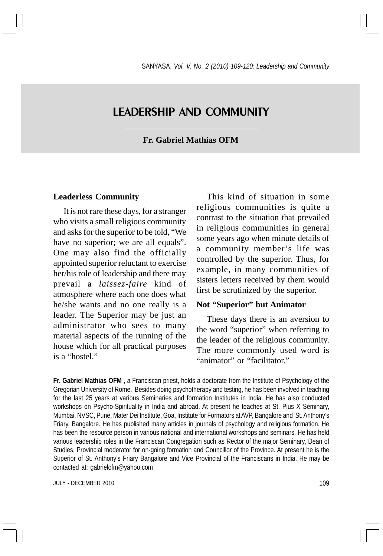## LEADERSHIP AND COMMUNITY

#### **Fr. Gabriel Mathias OFM**

#### **Leaderless Community**

It is not rare these days, for a stranger who visits a small religious community and asks for the superior to be told, "We have no superior; we are all equals". One may also find the officially appointed superior reluctant to exercise her/his role of leadership and there may prevail a *laissez-faire* kind of atmosphere where each one does what he/she wants and no one really is a leader. The Superior may be just an administrator who sees to many material aspects of the running of the house which for all practical purposes is a "hostel."

This kind of situation in some religious communities is quite a contrast to the situation that prevailed in religious communities in general some years ago when minute details of a community member's life was controlled by the superior. Thus, for example, in many communities of sisters letters received by them would first be scrutinized by the superior.

#### **Not "Superior" but Animator**

These days there is an aversion to the word "superior" when referring to the leader of the religious community. The more commonly used word is "animator" or "facilitator."

**Fr. Gabriel Mathias OFM** , a Franciscan priest, holds a doctorate from the Institute of Psychology of the Gregorian University of Rome. Besides doing psychotherapy and testing, he has been involved in teaching for the last 25 years at various Seminaries and formation Institutes in India. He has also conducted workshops on Psycho-Spirituality in India and abroad. At present he teaches at St. Pius X Seminary, Mumbai, NVSC, Pune, Mater Dei Institute, Goa, Institute for Formators at AVP, Bangalore and St. Anthony's Friary, Bangalore. He has published many articles in journals of psychology and religious formation. He has been the resource person in various national and international workshops and seminars. He has held various leadership roles in the Franciscan Congregation such as Rector of the major Seminary, Dean of Studies, Provincial moderator for on-going formation and Councillor of the Province. At present he is the Superior of St. Anthony's Friary Bangalore and Vice Provincial of the Franciscans in India. He may be contacted at: gabrielofm@yahoo.com

JULY - DECEMBER 2010 2009 109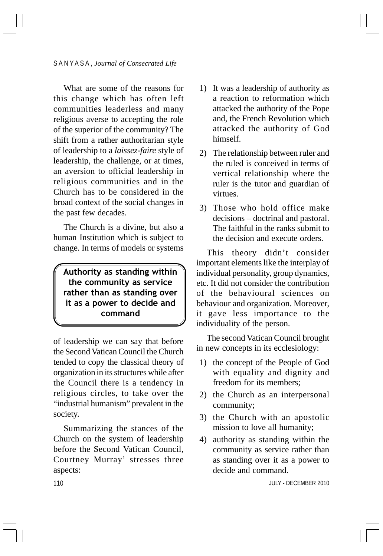What are some of the reasons for this change which has often left communities leaderless and many religious averse to accepting the role of the superior of the community? The shift from a rather authoritarian style of leadership to a *laissez-faire* style of leadership, the challenge, or at times, an aversion to official leadership in religious communities and in the Church has to be considered in the broad context of the social changes in the past few decades.

The Church is a divine, but also a human Institution which is subject to change. In terms of models or systems

Authority as standing within the community as service rather than as standing over it as a power to decide and command

of leadership we can say that before the Second Vatican Council the Church tended to copy the classical theory of organization in its structures while after the Council there is a tendency in religious circles, to take over the "industrial humanism" prevalent in the society.

Summarizing the stances of the Church on the system of leadership before the Second Vatican Council, Courtney Murray<sup>1</sup> stresses three aspects:

- 1) It was a leadership of authority as a reaction to reformation which attacked the authority of the Pope and, the French Revolution which attacked the authority of God himself.
- 2) The relationship between ruler and the ruled is conceived in terms of vertical relationship where the ruler is the tutor and guardian of virtues.
- 3) Those who hold office make decisions – doctrinal and pastoral. The faithful in the ranks submit to the decision and execute orders.

This theory didn't consider important elements like the interplay of individual personality, group dynamics, etc. It did not consider the contribution of the behavioural sciences on behaviour and organization. Moreover, it gave less importance to the individuality of the person.

The second Vatican Council brought in new concepts in its ecclesiology:

- 1) the concept of the People of God with equality and dignity and freedom for its members;
- 2) the Church as an interpersonal community;
- 3) the Church with an apostolic mission to love all humanity;
- 4) authority as standing within the community as service rather than as standing over it as a power to decide and command.

JULY - DECEMBER 2010

110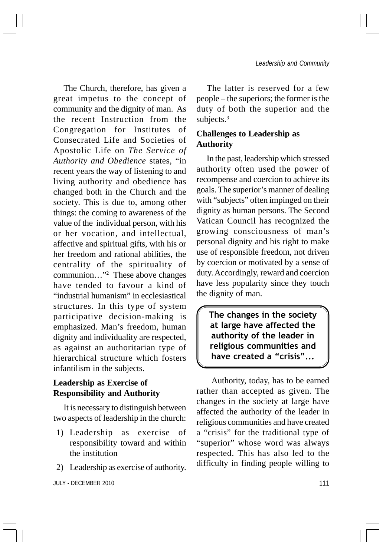The Church, therefore, has given a great impetus to the concept of community and the dignity of man. As the recent Instruction from the Congregation for Institutes of Consecrated Life and Societies of Apostolic Life on *The Service of Authority and Obedience* states, "in recent years the way of listening to and living authority and obedience has changed both in the Church and the society. This is due to, among other things: the coming to awareness of the value of the individual person, with his or her vocation, and intellectual, affective and spiritual gifts, with his or her freedom and rational abilities, the centrality of the spirituality of communion…"2 These above changes have tended to favour a kind of "industrial humanism" in ecclesiastical structures. In this type of system participative decision-making is emphasized. Man's freedom, human dignity and individuality are respected, as against an authoritarian type of hierarchical structure which fosters infantilism in the subjects.

## **Leadership as Exercise of Responsibility and Authority**

It is necessary to distinguish between two aspects of leadership in the church:

- 1) Leadership as exercise of responsibility toward and within the institution
- 2) Leadership as exercise of authority.

JULY - DECEMBER 2010 111

The latter is reserved for a few people – the superiors; the former is the duty of both the superior and the subjects.<sup>3</sup>

## **Challenges to Leadership as Authority**

In the past, leadership which stressed authority often used the power of recompense and coercion to achieve its goals. The superior's manner of dealing with "subjects" often impinged on their dignity as human persons. The Second Vatican Council has recognized the growing consciousness of man's personal dignity and his right to make use of responsible freedom, not driven by coercion or motivated by a sense of duty. Accordingly, reward and coercion have less popularity since they touch the dignity of man.

The changes in the society at large have affected the authority of the leader in religious communities and have created a "crisis"...

 Authority, today, has to be earned rather than accepted as given. The changes in the society at large have affected the authority of the leader in religious communities and have created a "crisis" for the traditional type of "superior" whose word was always respected. This has also led to the difficulty in finding people willing to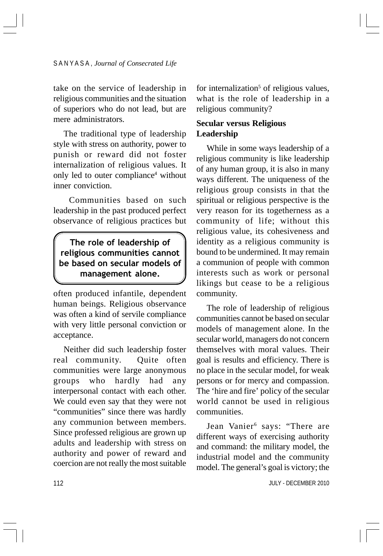take on the service of leadership in religious communities and the situation of superiors who do not lead, but are mere administrators.

The traditional type of leadership style with stress on authority, power to punish or reward did not foster internalization of religious values. It only led to outer compliance<sup>4</sup> without inner conviction.

 Communities based on such leadership in the past produced perfect observance of religious practices but

## The role of leadership of religious communities cannot be based on secular models of management alone.

often produced infantile, dependent human beings. Religious observance was often a kind of servile compliance with very little personal conviction or acceptance.

Neither did such leadership foster real community. Quite often communities were large anonymous groups who hardly had any interpersonal contact with each other. We could even say that they were not "communities" since there was hardly any communion between members. Since professed religious are grown up adults and leadership with stress on authority and power of reward and coercion are not really the most suitable

for internalization<sup>5</sup> of religious values, what is the role of leadership in a religious community?

## **Secular versus Religious Leadership**

While in some ways leadership of a religious community is like leadership of any human group, it is also in many ways different. The uniqueness of the religious group consists in that the spiritual or religious perspective is the very reason for its togetherness as a community of life; without this religious value, its cohesiveness and identity as a religious community is bound to be undermined. It may remain a communion of people with common interests such as work or personal likings but cease to be a religious community.

The role of leadership of religious communities cannot be based on secular models of management alone. In the secular world, managers do not concern themselves with moral values. Their goal is results and efficiency. There is no place in the secular model, for weak persons or for mercy and compassion. The 'hire and fire' policy of the secular world cannot be used in religious communities.

Jean Vanier<sup>6</sup> says: "There are different ways of exercising authority and command: the military model, the industrial model and the community model. The general's goal is victory; the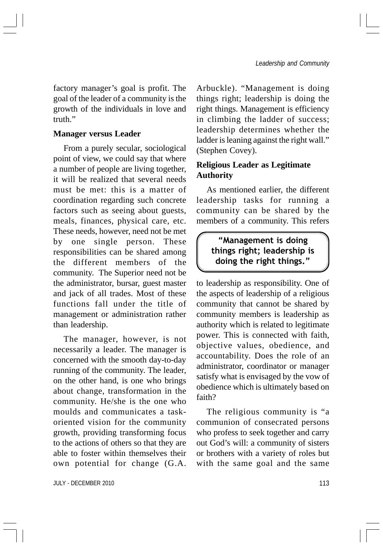factory manager's goal is profit. The goal of the leader of a community is the growth of the individuals in love and truth"

#### **Manager versus Leader**

From a purely secular, sociological point of view, we could say that where a number of people are living together, it will be realized that several needs must be met: this is a matter of coordination regarding such concrete factors such as seeing about guests, meals, finances, physical care, etc. These needs, however, need not be met by one single person. These responsibilities can be shared among the different members of the community. The Superior need not be the administrator, bursar, guest master and jack of all trades. Most of these functions fall under the title of management or administration rather than leadership.

The manager, however, is not necessarily a leader. The manager is concerned with the smooth day-to-day running of the community. The leader, on the other hand, is one who brings about change, transformation in the community. He/she is the one who moulds and communicates a taskoriented vision for the community growth, providing transforming focus to the actions of others so that they are able to foster within themselves their own potential for change (G.A.

JULY - DECEMBER 2010 113

Arbuckle). "Management is doing things right; leadership is doing the right things. Management is efficiency in climbing the ladder of success; leadership determines whether the ladder is leaning against the right wall." (Stephen Covey).

## **Religious Leader as Legitimate Authority**

As mentioned earlier, the different leadership tasks for running a community can be shared by the members of a community. This refers

## "Management is doing things right; leadership is doing the right things."

to leadership as responsibility. One of the aspects of leadership of a religious community that cannot be shared by community members is leadership as authority which is related to legitimate power. This is connected with faith, objective values, obedience, and accountability. Does the role of an administrator, coordinator or manager satisfy what is envisaged by the vow of obedience which is ultimately based on faith?

The religious community is "a communion of consecrated persons who profess to seek together and carry out God's will: a community of sisters or brothers with a variety of roles but with the same goal and the same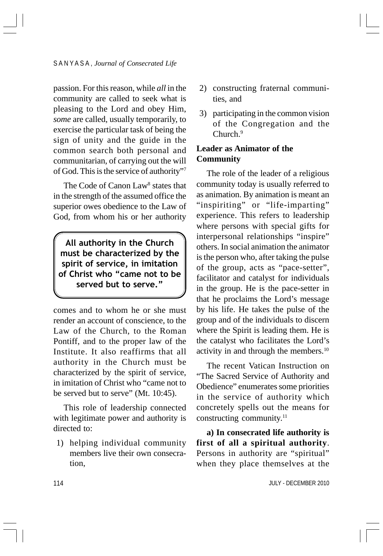passion. For this reason, while *all* in the community are called to seek what is pleasing to the Lord and obey Him, *some* are called, usually temporarily, to exercise the particular task of being the sign of unity and the guide in the common search both personal and communitarian, of carrying out the will of God. This is the service of authority"7

The Code of Canon Law<sup>8</sup> states that in the strength of the assumed office the superior owes obedience to the Law of God, from whom his or her authority

All authority in the Church must be characterized by the spirit of service, in imitation of Christ who "came not to be served but to serve."

comes and to whom he or she must render an account of conscience, to the Law of the Church, to the Roman Pontiff, and to the proper law of the Institute. It also reaffirms that all authority in the Church must be characterized by the spirit of service, in imitation of Christ who "came not to be served but to serve" (Mt. 10:45).

This role of leadership connected with legitimate power and authority is directed to:

1) helping individual community members live their own consecration,

- 2) constructing fraternal communities, and
- 3) participating in the common vision of the Congregation and the Church.<sup>9</sup>

## **Leader as Animator of the Community**

The role of the leader of a religious community today is usually referred to as animation. By animation is meant an "inspiriting" or "life-imparting" experience. This refers to leadership where persons with special gifts for interpersonal relationships "inspire" others. In social animation the animator is the person who, after taking the pulse of the group, acts as "pace-setter", facilitator and catalyst for individuals in the group. He is the pace-setter in that he proclaims the Lord's message by his life. He takes the pulse of the group and of the individuals to discern where the Spirit is leading them. He is the catalyst who facilitates the Lord's activity in and through the members.10

The recent Vatican Instruction on "The Sacred Service of Authority and Obedience" enumerates some priorities in the service of authority which concretely spells out the means for constructing community.<sup>11</sup>

**a) In consecrated life authority is first of all a spiritual authority**. Persons in authority are "spiritual" when they place themselves at the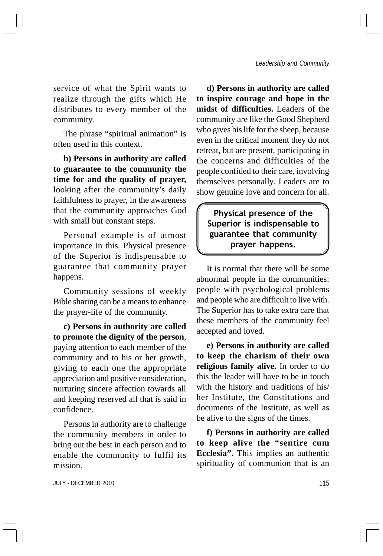service of what the Spirit wants to realize through the gifts which He distributes to every member of the community.

The phrase "spiritual animation" is often used in this context.

**b) Persons in authority are called to guarantee to the community the time for and the quality of prayer,** looking after the community's daily faithfulness to prayer, in the awareness that the community approaches God with small but constant steps.

Personal example is of utmost importance in this. Physical presence of the Superior is indispensable to guarantee that community prayer happens.

Community sessions of weekly Bible sharing can be a means to enhance the prayer-life of the community.

**c) Persons in authority are called to promote the dignity of the person**, paying attention to each member of the community and to his or her growth, giving to each one the appropriate appreciation and positive consideration, nurturing sincere affection towards all and keeping reserved all that is said in confidence.

Persons in authority are to challenge the community members in order to bring out the best in each person and to enable the community to fulfil its mission.

**d) Persons in authority are called to inspire courage and hope in the midst of difficulties.** Leaders of the community are like the Good Shepherd who gives his life for the sheep, because even in the critical moment they do not retreat, but are present, participating in the concerns and difficulties of the people confided to their care, involving themselves personally. Leaders are to show genuine love and concern for all.

## Physical presence of the Superior is indispensable to guarantee that community prayer happens.

It is normal that there will be some abnormal people in the communities: people with psychological problems and people who are difficult to live with. The Superior has to take extra care that these members of the community feel accepted and loved.

**e) Persons in authority are called to keep the charism of their own religious family alive.** In order to do this the leader will have to be in touch with the history and traditions of his/ her Institute, the Constitutions and documents of the Institute, as well as be alive to the signs of the times.

**f) Persons in authority are called to keep alive the "sentire cum Ecclesia".** This implies an authentic spirituality of communion that is an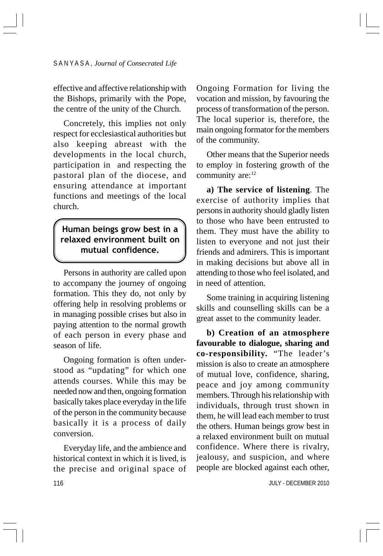effective and affective relationship with the Bishops, primarily with the Pope, the centre of the unity of the Church.

Concretely, this implies not only respect for ecclesiastical authorities but also keeping abreast with the developments in the local church, participation in and respecting the pastoral plan of the diocese, and ensuring attendance at important functions and meetings of the local church.

## Human beings grow best in a relaxed environment built on mutual confidence.

Persons in authority are called upon to accompany the journey of ongoing formation. This they do, not only by offering help in resolving problems or in managing possible crises but also in paying attention to the normal growth of each person in every phase and season of life.

Ongoing formation is often understood as "updating" for which one attends courses. While this may be needed now and then, ongoing formation basically takes place everyday in the life of the person in the community because basically it is a process of daily conversion.

116 Everyday life, and the ambience and historical context in which it is lived, is the precise and original space of Ongoing Formation for living the vocation and mission, by favouring the process of transformation of the person. The local superior is, therefore, the main ongoing formator for the members of the community.

Other means that the Superior needs to employ in fostering growth of the community are:<sup>12</sup>

**a) The service of listening**. The exercise of authority implies that persons in authority should gladly listen to those who have been entrusted to them. They must have the ability to listen to everyone and not just their friends and admirers. This is important in making decisions but above all in attending to those who feel isolated, and in need of attention.

Some training in acquiring listening skills and counselling skills can be a great asset to the community leader.

**b) Creation of an atmosphere favourable to dialogue, sharing and co-responsibility.** "The leader's mission is also to create an atmosphere of mutual love, confidence, sharing, peace and joy among community members. Through his relationship with individuals, through trust shown in them, he will lead each member to trust the others. Human beings grow best in a relaxed environment built on mutual confidence. Where there is rivalry, jealousy, and suspicion, and where people are blocked against each other,

JULY - DECEMBER 2010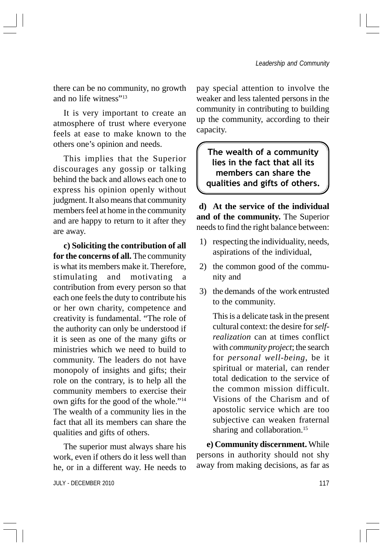there can be no community, no growth and no life witness"<sup>13</sup>

It is very important to create an atmosphere of trust where everyone feels at ease to make known to the others one's opinion and needs.

This implies that the Superior discourages any gossip or talking behind the back and allows each one to express his opinion openly without judgment. It also means that community members feel at home in the community and are happy to return to it after they are away.

**c) Soliciting the contribution of all for the concerns of all.** The community is what its members make it. Therefore, stimulating and motivating a contribution from every person so that each one feels the duty to contribute his or her own charity, competence and creativity is fundamental. "The role of the authority can only be understood if it is seen as one of the many gifts or ministries which we need to build to community. The leaders do not have monopoly of insights and gifts; their role on the contrary, is to help all the community members to exercise their own gifts for the good of the whole."14 The wealth of a community lies in the fact that all its members can share the qualities and gifts of others.

The superior must always share his work, even if others do it less well than he, or in a different way. He needs to

pay special attention to involve the weaker and less talented persons in the community in contributing to building up the community, according to their capacity.

The wealth of a community lies in the fact that all its members can share the qualities and gifts of others.

**d) At the service of the individual and of the community.** The Superior needs to find the right balance between:

- 1) respecting the individuality, needs, aspirations of the individual,
- 2) the common good of the community and
- 3) the demands of the work entrusted to the community.

This is a delicate task in the present cultural context: the desire for *selfrealization* can at times conflict with *community project*; the search for *personal well-being*, be it spiritual or material, can render total dedication to the service of the common mission difficult. Visions of the Charism and of apostolic service which are too subjective can weaken fraternal sharing and collaboration.<sup>15</sup>

**e) Community discernment.** While persons in authority should not shy away from making decisions, as far as

JULY - DECEMBER 2010 117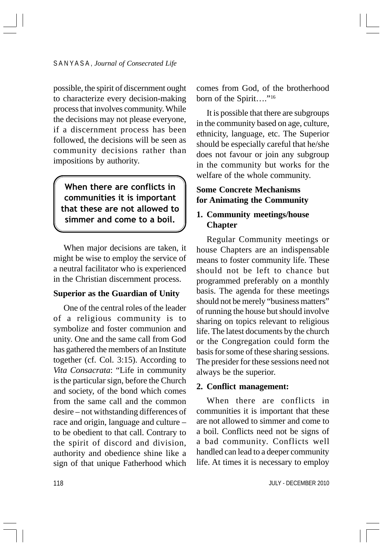possible, the spirit of discernment ought to characterize every decision-making process that involves community. While the decisions may not please everyone, if a discernment process has been followed, the decisions will be seen as community decisions rather than impositions by authority.

When there are conflicts in communities it is important that these are not allowed to simmer and come to a boil.

When major decisions are taken, it might be wise to employ the service of a neutral facilitator who is experienced in the Christian discernment process.

#### **Superior as the Guardian of Unity**

One of the central roles of the leader of a religious community is to symbolize and foster communion and unity. One and the same call from God has gathered the members of an Institute together (cf. Col. 3:15). According to *Vita Consacrata*: "Life in community is the particular sign, before the Church and society, of the bond which comes from the same call and the common desire – not withstanding differences of race and origin, language and culture – to be obedient to that call. Contrary to the spirit of discord and division, authority and obedience shine like a sign of that unique Fatherhood which

comes from God, of the brotherhood born of the Spirit...."<sup>16</sup>

It is possible that there are subgroups in the community based on age, culture, ethnicity, language, etc. The Superior should be especially careful that he/she does not favour or join any subgroup in the community but works for the welfare of the whole community.

## **Some Concrete Mechanisms for Animating the Community**

### **1. Community meetings/house Chapter**

Regular Community meetings or house Chapters are an indispensable means to foster community life. These should not be left to chance but programmed preferably on a monthly basis. The agenda for these meetings should not be merely "business matters" of running the house but should involve sharing on topics relevant to religious life. The latest documents by the church or the Congregation could form the basis for some of these sharing sessions. The presider for these sessions need not always be the superior.

#### **2. Conflict management:**

When there are conflicts in communities it is important that these are not allowed to simmer and come to a boil. Conflicts need not be signs of a bad community. Conflicts well handled can lead to a deeper community life. At times it is necessary to employ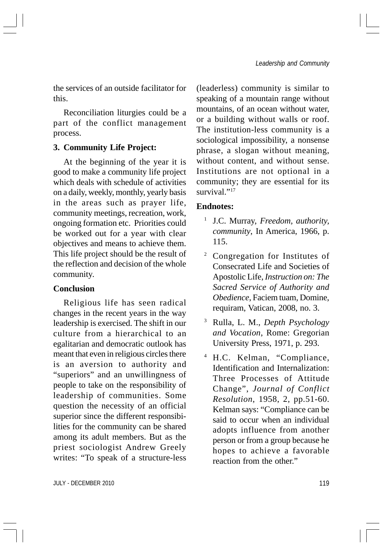the services of an outside facilitator for this.

Reconciliation liturgies could be a part of the conflict management process.

#### **3. Community Life Project:**

At the beginning of the year it is good to make a community life project which deals with schedule of activities on a daily, weekly, monthly, yearly basis in the areas such as prayer life, community meetings, recreation, work, ongoing formation etc. Priorities could be worked out for a year with clear objectives and means to achieve them. This life project should be the result of the reflection and decision of the whole community.

#### **Conclusion**

Religious life has seen radical changes in the recent years in the way leadership is exercised. The shift in our culture from a hierarchical to an egalitarian and democratic outlook has meant that even in religious circles there is an aversion to authority and "superiors" and an unwillingness of people to take on the responsibility of leadership of communities. Some question the necessity of an official superior since the different responsibilities for the community can be shared among its adult members. But as the priest sociologist Andrew Greely writes: "To speak of a structure-less

(leaderless) community is similar to speaking of a mountain range without mountains, of an ocean without water, or a building without walls or roof. The institution-less community is a sociological impossibility, a nonsense phrase, a slogan without meaning, without content, and without sense. Institutions are not optional in a community; they are essential for its survival."<sup>17</sup>

#### **Endnotes:**

- <sup>1</sup> J.C. Murray, *Freedom, authority, community*, In America, 1966, p. 115.
- <sup>2</sup> Congregation for Institutes of Consecrated Life and Societies of Apostolic Life, *Instruction on: The Sacred Service of Authority and Obedience*, Faciem tuam, Domine, requiram, Vatican, 2008, no. 3.
- <sup>3</sup> Rulla, L. M., *Depth Psychology and Vocation*, Rome: Gregorian University Press, 1971, p. 293.
- <sup>4</sup> H.C. Kelman, "Compliance, Identification and Internalization: Three Processes of Attitude Change", *Journal of Conflict Resolution*, 1958, 2, pp.51-60. Kelman says: "Compliance can be said to occur when an individual adopts influence from another person or from a group because he hopes to achieve a favorable reaction from the other."

JULY - DECEMBER 2010 119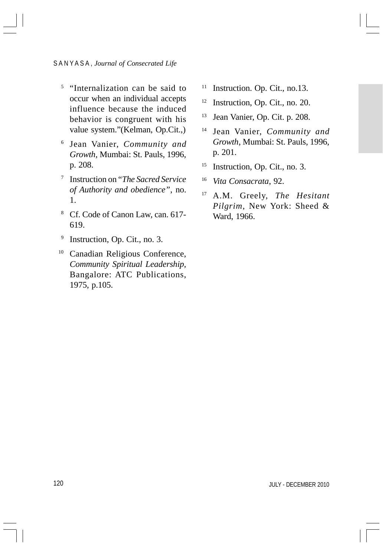#### S A N Y A S A , *Journal of Consecrated Life*

- <sup>5</sup> "Internalization can be said to occur when an individual accepts influence because the induced behavior is congruent with his value system."(Kelman, Op.Cit.,)
- <sup>6</sup> Jean Vanier, *Community and Growth*, Mumbai: St. Pauls, 1996, p. 208.
- <sup>7</sup> Instruction on "*The Sacred Service of Authority and obedience"*, no. 1.
- <sup>8</sup> Cf. Code of Canon Law, can. 617- 619.
- <sup>9</sup> Instruction, Op. Cit., no. 3.
- <sup>10</sup> Canadian Religious Conference, *Community Spiritual Leadership,* Bangalore: ATC Publications, 1975, p.105.
- <sup>11</sup> Instruction. Op. Cit., no.13.
- <sup>12</sup> Instruction, Op. Cit., no. 20.
- <sup>13</sup> Jean Vanier, Op. Cit. p. 208.
- <sup>14</sup> Jean Vanier, *Community and Growth*, Mumbai: St. Pauls, 1996, p. 201.
- <sup>15</sup> Instruction, Op. Cit., no. 3.
- <sup>16</sup> *Vita Consacrata*, 92.
- <sup>17</sup> A.M. Greely, *The Hesitant Pilgrim*, New York: Sheed & Ward, 1966.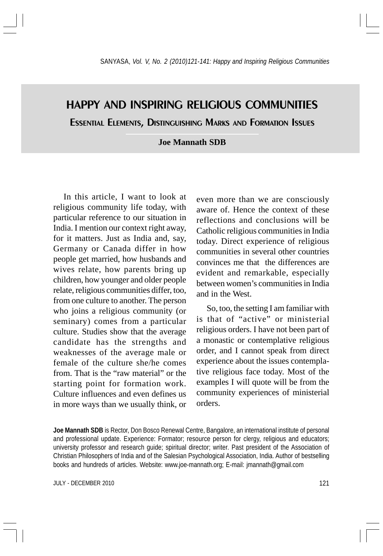# HAPPY AND INSPIRING RELIGIOUS COMMUNITIES

ESSENTIAL ELEMENTS, DISTINGUISHING MARKS AND FORMATION ISSUES

#### **Joe Mannath SDB**

In this article, I want to look at religious community life today, with particular reference to our situation in India. I mention our context right away, for it matters. Just as India and, say, Germany or Canada differ in how people get married, how husbands and wives relate, how parents bring up children, how younger and older people relate, religious communities differ, too, from one culture to another. The person who joins a religious community (or seminary) comes from a particular culture. Studies show that the average candidate has the strengths and weaknesses of the average male or female of the culture she/he comes from. That is the "raw material" or the starting point for formation work. Culture influences and even defines us in more ways than we usually think, or

even more than we are consciously aware of. Hence the context of these reflections and conclusions will be Catholic religious communities in India today. Direct experience of religious communities in several other countries convinces me that the differences are evident and remarkable, especially between women's communities in India and in the West.

So, too, the setting I am familiar with is that of "active" or ministerial religious orders. I have not been part of a monastic or contemplative religious order, and I cannot speak from direct experience about the issues contemplative religious face today. Most of the examples I will quote will be from the community experiences of ministerial orders.

**Joe Mannath SDB** is Rector, Don Bosco Renewal Centre, Bangalore, an international institute of personal and professional update. Experience: Formator; resource person for clergy, religious and educators; university professor and research guide; spiritual director; writer. Past president of the Association of Christian Philosophers of India and of the Salesian Psychological Association, India. Author of bestselling books and hundreds of articles. Website: www.joe-mannath.org; E-mail: jmannath@gmail.com

JULY - DECEMBER 2010 2121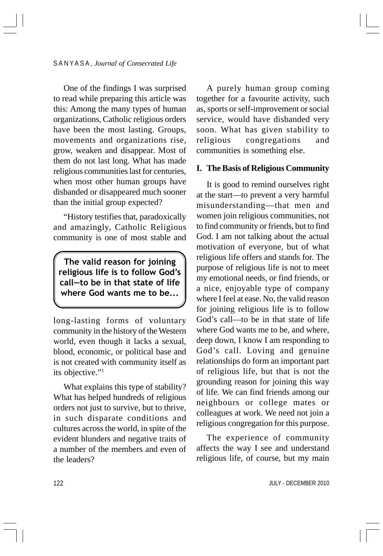One of the findings I was surprised to read while preparing this article was this: Among the many types of human organizations, Catholic religious orders have been the most lasting. Groups, movements and organizations rise, grow, weaken and disappear. Most of them do not last long. What has made religious communities last for centuries, when most other human groups have disbanded or disappeared much sooner than the initial group expected?

"History testifies that, paradoxically and amazingly, Catholic Religious community is one of most stable and

The valid reason for joining religious life is to follow God's call—to be in that state of life where God wants me to be...

long-lasting forms of voluntary community in the history of the Western world, even though it lacks a sexual, blood, economic, or political base and is not created with community itself as its objective."1

What explains this type of stability? What has helped hundreds of religious orders not just to survive, but to thrive, in such disparate conditions and cultures across the world, in spite of the evident blunders and negative traits of a number of the members and even of the leaders?

A purely human group coming together for a favourite activity, such as, sports or self-improvement or social service, would have disbanded very soon. What has given stability to religious congregations and communities is something else.

#### **I. The Basis of Religious Community**

It is good to remind ourselves right at the start—to prevent a very harmful misunderstanding—that men and women join religious communities, not to find community or friends, but to find God. I am not talking about the actual motivation of everyone, but of what religious life offers and stands for. The purpose of religious life is not to meet my emotional needs, or find friends, or a nice, enjoyable type of company where I feel at ease. No, the valid reason for joining religious life is to follow God's call—to be in that state of life where God wants me to be, and where, deep down, I know I am responding to God's call. Loving and genuine relationships do form an important part of religious life, but that is not the grounding reason for joining this way of life. We can find friends among our neighbours or college mates or colleagues at work. We need not join a religious congregation for this purpose.

The experience of community affects the way I see and understand religious life, of course, but my main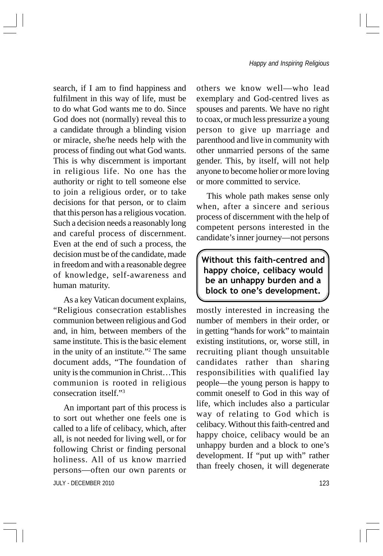search, if I am to find happiness and fulfilment in this way of life, must be to do what God wants me to do. Since God does not (normally) reveal this to a candidate through a blinding vision or miracle, she/he needs help with the process of finding out what God wants. This is why discernment is important in religious life. No one has the authority or right to tell someone else to join a religious order, or to take decisions for that person, or to claim that this person has a religious vocation. Such a decision needs a reasonably long and careful process of discernment. Even at the end of such a process, the decision must be of the candidate, made in freedom and with a reasonable degree of knowledge, self-awareness and human maturity.

As a key Vatican document explains, "Religious consecration establishes communion between religious and God and, in him, between members of the same institute. This is the basic element in the unity of an institute."2 The same document adds, "The foundation of unity is the communion in Christ…This communion is rooted in religious consecration itself."3

JULY - DECEMBER 2010 23 An important part of this process is to sort out whether one feels one is called to a life of celibacy, which, after all, is not needed for living well, or for following Christ or finding personal holiness. All of us know married persons—often our own parents or

others we know well—who lead exemplary and God-centred lives as spouses and parents. We have no right to coax, or much less pressurize a young person to give up marriage and parenthood and live in community with other unmarried persons of the same gender. This, by itself, will not help anyone to become holier or more loving or more committed to service.

This whole path makes sense only when, after a sincere and serious process of discernment with the help of competent persons interested in the candidate's inner journey—not persons

Without this faith-centred and happy choice, celibacy would be an unhappy burden and a block to one's development.

mostly interested in increasing the number of members in their order, or in getting "hands for work" to maintain existing institutions, or, worse still, in recruiting pliant though unsuitable candidates rather than sharing responsibilities with qualified lay people—the young person is happy to commit oneself to God in this way of life, which includes also a particular way of relating to God which is celibacy. Without this faith-centred and happy choice, celibacy would be an unhappy burden and a block to one's development. If "put up with" rather than freely chosen, it will degenerate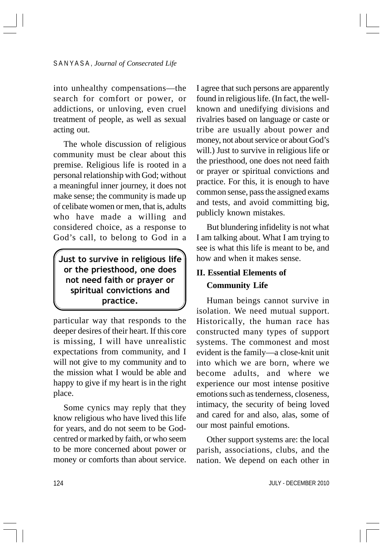into unhealthy compensations—the search for comfort or power, or addictions, or unloving, even cruel treatment of people, as well as sexual acting out.

The whole discussion of religious community must be clear about this premise. Religious life is rooted in a personal relationship with God; without a meaningful inner journey, it does not make sense; the community is made up of celibate women or men, that is, adults who have made a willing and considered choice, as a response to God's call, to belong to God in a

Just to survive in religious life or the priesthood, one does not need faith or prayer or spiritual convictions and practice.

particular way that responds to the deeper desires of their heart. If this core is missing, I will have unrealistic expectations from community, and I will not give to my community and to the mission what I would be able and happy to give if my heart is in the right place.

Some cynics may reply that they know religious who have lived this life for years, and do not seem to be Godcentred or marked by faith, or who seem to be more concerned about power or money or comforts than about service. I agree that such persons are apparently found in religious life. (In fact, the wellknown and unedifying divisions and rivalries based on language or caste or tribe are usually about power and money, not about service or about God's will.) Just to survive in religious life or the priesthood, one does not need faith or prayer or spiritual convictions and practice. For this, it is enough to have common sense, pass the assigned exams and tests, and avoid committing big, publicly known mistakes.

But blundering infidelity is not what I am talking about. What I am trying to see is what this life is meant to be, and how and when it makes sense.

## **II. Essential Elements of Community Life**

Human beings cannot survive in isolation. We need mutual support. Historically, the human race has constructed many types of support systems. The commonest and most evident is the family—a close-knit unit into which we are born, where we become adults, and where we experience our most intense positive emotions such as tenderness, closeness, intimacy, the security of being loved and cared for and also, alas, some of our most painful emotions.

Other support systems are: the local parish, associations, clubs, and the nation. We depend on each other in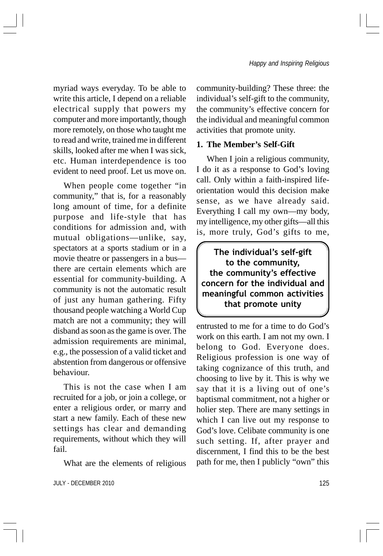myriad ways everyday. To be able to write this article, I depend on a reliable electrical supply that powers my computer and more importantly, though more remotely, on those who taught me to read and write, trained me in different skills, looked after me when I was sick, etc. Human interdependence is too evident to need proof. Let us move on.

When people come together "in community," that is, for a reasonably long amount of time, for a definite purpose and life-style that has conditions for admission and, with mutual obligations—unlike, say, spectators at a sports stadium or in a movie theatre or passengers in a bus there are certain elements which are essential for community-building. A community is not the automatic result of just any human gathering. Fifty thousand people watching a World Cup match are not a community; they will disband as soon as the game is over. The admission requirements are minimal, e.g., the possession of a valid ticket and abstention from dangerous or offensive behaviour.

This is not the case when I am recruited for a job, or join a college, or enter a religious order, or marry and start a new family. Each of these new settings has clear and demanding requirements, without which they will fail.

What are the elements of religious

JULY - DECEMBER 2010 25 200 125

community-building? These three: the individual's self-gift to the community, the community's effective concern for the individual and meaningful common activities that promote unity.

#### **1. The Member's Self-Gift**

When I join a religious community, I do it as a response to God's loving call. Only within a faith-inspired lifeorientation would this decision make sense, as we have already said. Everything I call my own—my body, my intelligence, my other gifts—all this is, more truly, God's gifts to me,

The individual's self-gift to the community, the community's effective concern for the individual and meaningful common activities that promote unity

entrusted to me for a time to do God's work on this earth. I am not my own. I belong to God. Everyone does. Religious profession is one way of taking cognizance of this truth, and choosing to live by it. This is why we say that it is a living out of one's baptismal commitment, not a higher or holier step. There are many settings in which I can live out my response to God's love. Celibate community is one such setting. If, after prayer and discernment, I find this to be the best path for me, then I publicly "own" this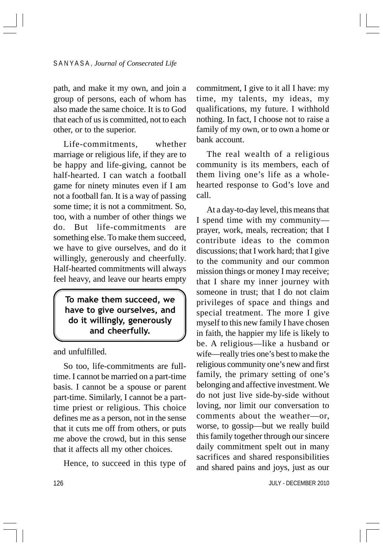path, and make it my own, and join a group of persons, each of whom has also made the same choice. It is to God that each of us is committed, not to each other, or to the superior.

Life-commitments, whether marriage or religious life, if they are to be happy and life-giving, cannot be half-hearted. I can watch a football game for ninety minutes even if I am not a football fan. It is a way of passing some time; it is not a commitment. So, too, with a number of other things we do. But life-commitments are something else. To make them succeed, we have to give ourselves, and do it willingly, generously and cheerfully. Half-hearted commitments will always feel heavy, and leave our hearts empty

To make them succeed, we have to give ourselves, and do it willingly, generously and cheerfully.

and unfulfilled.

So too, life-commitments are fulltime. I cannot be married on a part-time basis. I cannot be a spouse or parent part-time. Similarly, I cannot be a parttime priest or religious. This choice defines me as a person, not in the sense that it cuts me off from others, or puts me above the crowd, but in this sense that it affects all my other choices.

Hence, to succeed in this type of

commitment, I give to it all I have: my time, my talents, my ideas, my qualifications, my future. I withhold nothing. In fact, I choose not to raise a family of my own, or to own a home or bank account.

The real wealth of a religious community is its members, each of them living one's life as a wholehearted response to God's love and call.

At a day-to-day level, this means that I spend time with my community prayer, work, meals, recreation; that I contribute ideas to the common discussions; that I work hard; that I give to the community and our common mission things or money I may receive; that I share my inner journey with someone in trust; that I do not claim privileges of space and things and special treatment. The more I give myself to this new family I have chosen in faith, the happier my life is likely to be. A religious—like a husband or wife—really tries one's best to make the religious community one's new and first family, the primary setting of one's belonging and affective investment. We do not just live side-by-side without loving, nor limit our conversation to comments about the weather—or, worse, to gossip—but we really build this family together through our sincere daily commitment spelt out in many sacrifices and shared responsibilities and shared pains and joys, just as our

JULY - DECEMBER 2010

126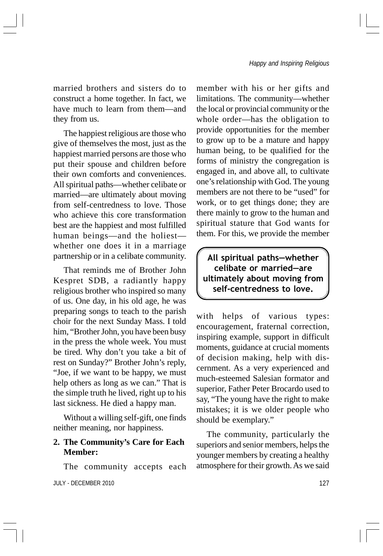married brothers and sisters do to construct a home together. In fact, we have much to learn from them—and they from us.

The happiest religious are those who give of themselves the most, just as the happiest married persons are those who put their spouse and children before their own comforts and conveniences. All spiritual paths—whether celibate or married—are ultimately about moving from self-centredness to love. Those who achieve this core transformation best are the happiest and most fulfilled human beings—and the holiest whether one does it in a marriage partnership or in a celibate community.

That reminds me of Brother John Kespret SDB, a radiantly happy religious brother who inspired so many of us. One day, in his old age, he was preparing songs to teach to the parish choir for the next Sunday Mass. I told him, "Brother John, you have been busy in the press the whole week. You must be tired. Why don't you take a bit of rest on Sunday?" Brother John's reply, "Joe, if we want to be happy, we must help others as long as we can." That is the simple truth he lived, right up to his last sickness. He died a happy man.

Without a willing self-gift, one finds neither meaning, nor happiness.

## **2. The Community's Care for Each Member:**

The community accepts each

JULY - DECEMBER 2010 227

member with his or her gifts and limitations. The community—whether the local or provincial community or the whole order—has the obligation to provide opportunities for the member to grow up to be a mature and happy human being, to be qualified for the forms of ministry the congregation is engaged in, and above all, to cultivate one's relationship with God. The young members are not there to be "used" for work, or to get things done; they are there mainly to grow to the human and spiritual stature that God wants for them. For this, we provide the member

All spiritual paths—whether celibate or married—are ultimately about moving from self-centredness to love.

with helps of various types: encouragement, fraternal correction, inspiring example, support in difficult moments, guidance at crucial moments of decision making, help with discernment. As a very experienced and much-esteemed Salesian formator and superior, Father Peter Brocardo used to say, "The young have the right to make mistakes; it is we older people who should be exemplary."

The community, particularly the superiors and senior members, helps the younger members by creating a healthy atmosphere for their growth. As we said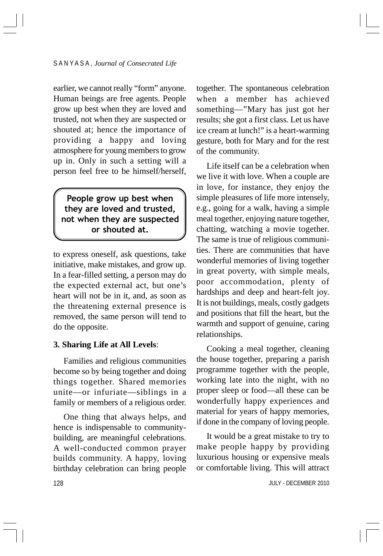earlier, we cannot really "form" anyone. Human beings are free agents. People grow up best when they are loved and trusted, not when they are suspected or shouted at; hence the importance of providing a happy and loving atmosphere for young members to grow up in. Only in such a setting will a person feel free to be himself/herself,

People grow up best when they are loved and trusted, not when they are suspected or shouted at.

to express oneself, ask questions, take initiative, make mistakes, and grow up. In a fear-filled setting, a person may do the expected external act, but one's heart will not be in it, and, as soon as the threatening external presence is removed, the same person will tend to do the opposite.

#### **3. Sharing Life at All Levels**:

Families and religious communities become so by being together and doing things together. Shared memories unite—or infuriate—siblings in a family or members of a religious order.

One thing that always helps, and hence is indispensable to communitybuilding, are meaningful celebrations. A well-conducted common prayer builds community. A happy, loving birthday celebration can bring people together. The spontaneous celebration when a member has achieved something—"Mary has just got her results; she got a first class. Let us have ice cream at lunch!" is a heart-warming gesture, both for Mary and for the rest of the community.

Life itself can be a celebration when we live it with love. When a couple are in love, for instance, they enjoy the simple pleasures of life more intensely, e.g., going for a walk, having a simple meal together, enjoying nature together, chatting, watching a movie together. The same is true of religious communities. There are communities that have wonderful memories of living together in great poverty, with simple meals, poor accommodation, plenty of hardships and deep and heart-felt joy. It is not buildings, meals, costly gadgets and positions that fill the heart, but the warmth and support of genuine, caring relationships.

Cooking a meal together, cleaning the house together, preparing a parish programme together with the people, working late into the night, with no proper sleep or food—all these can be wonderfully happy experiences and material for years of happy memories, if done in the company of loving people.

It would be a great mistake to try to make people happy by providing luxurious housing or expensive meals or comfortable living. This will attract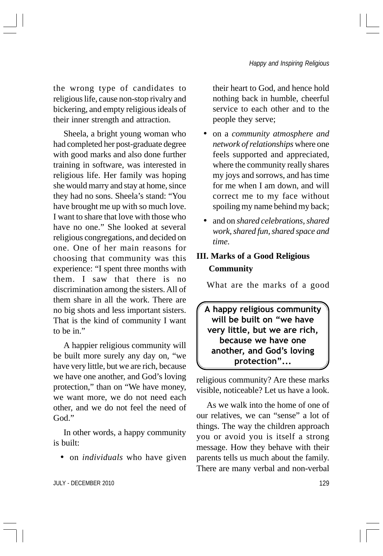the wrong type of candidates to religious life, cause non-stop rivalry and bickering, and empty religious ideals of their inner strength and attraction.

Sheela, a bright young woman who had completed her post-graduate degree with good marks and also done further training in software, was interested in religious life. Her family was hoping she would marry and stay at home, since they had no sons. Sheela's stand: "You have brought me up with so much love. I want to share that love with those who have no one." She looked at several religious congregations, and decided on one. One of her main reasons for choosing that community was this experience: "I spent three months with them. I saw that there is no discrimination among the sisters. All of them share in all the work. There are no big shots and less important sisters. That is the kind of community I want to be in."

A happier religious community will be built more surely any day on, "we have very little, but we are rich, because we have one another, and God's loving protection," than on "We have money, we want more, we do not need each other, and we do not feel the need of God."

In other words, a happy community is built:

• on *individuals* who have given

their heart to God, and hence hold nothing back in humble, cheerful service to each other and to the people they serve;

- on a *community atmosphere and network of relationships* where one feels supported and appreciated, where the community really shares my joys and sorrows, and has time for me when I am down, and will correct me to my face without spoiling my name behind my back;
- and on *shared celebrations, shared work, shared fun, shared space and time.*

## **III. Marks of a Good Religious Community**

What are the marks of a good

A happy religious community will be built on "we have very little, but we are rich, because we have one another, and God's loving protection"...

religious community? Are these marks visible, noticeable? Let us have a look.

As we walk into the home of one of our relatives, we can "sense" a lot of things. The way the children approach you or avoid you is itself a strong message. How they behave with their parents tells us much about the family. There are many verbal and non-verbal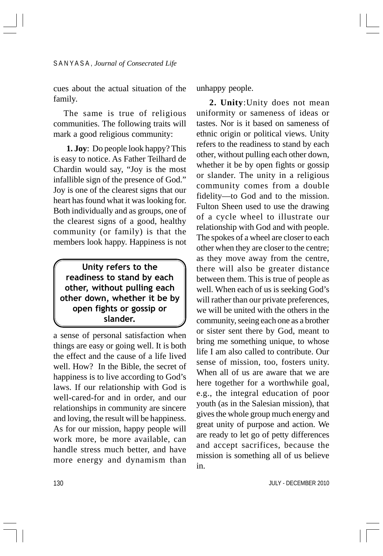cues about the actual situation of the family.

The same is true of religious communities. The following traits will mark a good religious community:

**1. Joy**: Do people look happy? This is easy to notice. As Father Teilhard de Chardin would say, "Joy is the most infallible sign of the presence of God." Joy is one of the clearest signs that our heart has found what it was looking for. Both individually and as groups, one of the clearest signs of a good, healthy community (or family) is that the members look happy. Happiness is not

## Unity refers to the readiness to stand by each other, without pulling each other down, whether it be by open fights or gossip or slander.

a sense of personal satisfaction when things are easy or going well. It is both the effect and the cause of a life lived well. How? In the Bible, the secret of happiness is to live according to God's laws. If our relationship with God is well-cared-for and in order, and our relationships in community are sincere and loving, the result will be happiness. As for our mission, happy people will work more, be more available, can handle stress much better, and have more energy and dynamism than

unhappy people.

**2. Unity**:Unity does not mean uniformity or sameness of ideas or tastes. Nor is it based on sameness of ethnic origin or political views. Unity refers to the readiness to stand by each other, without pulling each other down, whether it be by open fights or gossip or slander. The unity in a religious community comes from a double fidelity—to God and to the mission. Fulton Sheen used to use the drawing of a cycle wheel to illustrate our relationship with God and with people. The spokes of a wheel are closer to each other when they are closer to the centre; as they move away from the centre, there will also be greater distance between them. This is true of people as well. When each of us is seeking God's will rather than our private preferences, we will be united with the others in the community, seeing each one as a brother or sister sent there by God, meant to bring me something unique, to whose life I am also called to contribute. Our sense of mission, too, fosters unity. When all of us are aware that we are here together for a worthwhile goal, e.g., the integral education of poor youth (as in the Salesian mission), that gives the whole group much energy and great unity of purpose and action. We are ready to let go of petty differences and accept sacrifices, because the mission is something all of us believe in.

JULY - DECEMBER 2010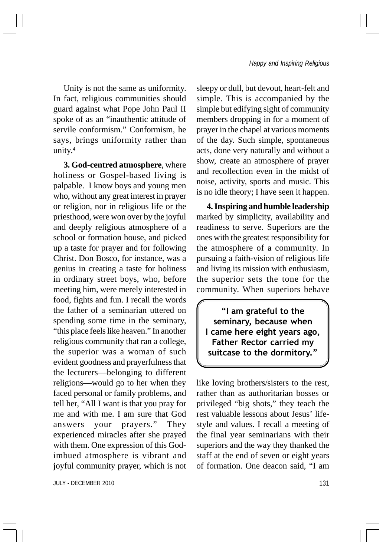Unity is not the same as uniformity. In fact, religious communities should guard against what Pope John Paul II spoke of as an "inauthentic attitude of servile conformism." Conformism, he says, brings uniformity rather than unity.<sup>4</sup>

**3. God**-**centred atmosphere**, where holiness or Gospel-based living is palpable. I know boys and young men who, without any great interest in prayer or religion, nor in religious life or the priesthood, were won over by the joyful and deeply religious atmosphere of a school or formation house, and picked up a taste for prayer and for following Christ. Don Bosco, for instance, was a genius in creating a taste for holiness in ordinary street boys, who, before meeting him, were merely interested in food, fights and fun. I recall the words the father of a seminarian uttered on spending some time in the seminary, "this place feels like heaven." In another religious community that ran a college, the superior was a woman of such evident goodness and prayerfulness that the lecturers—belonging to different religions—would go to her when they faced personal or family problems, and tell her, "All I want is that you pray for me and with me. I am sure that God answers your prayers." They experienced miracles after she prayed with them. One expression of this Godimbued atmosphere is vibrant and joyful community prayer, which is not

JULY - DECEMBER 2010 131

sleepy or dull, but devout, heart-felt and simple. This is accompanied by the simple but edifying sight of community members dropping in for a moment of prayer in the chapel at various moments of the day. Such simple, spontaneous acts, done very naturally and without a show, create an atmosphere of prayer and recollection even in the midst of noise, activity, sports and music. This is no idle theory; I have seen it happen.

**4. Inspiring and humble leadership** marked by simplicity, availability and readiness to serve. Superiors are the ones with the greatest responsibility for the atmosphere of a community. In pursuing a faith-vision of religious life and living its mission with enthusiasm, the superior sets the tone for the community. When superiors behave

"I am grateful to the seminary, because when I came here eight years ago, Father Rector carried my suitcase to the dormitory."

like loving brothers/sisters to the rest, rather than as authoritarian bosses or privileged "big shots," they teach the rest valuable lessons about Jesus' lifestyle and values. I recall a meeting of the final year seminarians with their superiors and the way they thanked the staff at the end of seven or eight years of formation. One deacon said, "I am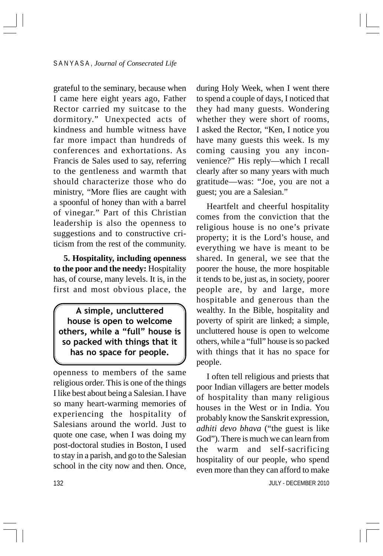grateful to the seminary, because when I came here eight years ago, Father Rector carried my suitcase to the dormitory." Unexpected acts of kindness and humble witness have far more impact than hundreds of conferences and exhortations. As Francis de Sales used to say, referring to the gentleness and warmth that should characterize those who do ministry, "More flies are caught with a spoonful of honey than with a barrel of vinegar." Part of this Christian leadership is also the openness to suggestions and to constructive criticism from the rest of the community.

**5. Hospitality, including openness to the poor and the needy:** Hospitality has, of course, many levels. It is, in the first and most obvious place, the

A simple, uncluttered house is open to welcome others, while a "full" house is so packed with things that it has no space for people.

openness to members of the same religious order. This is one of the things I like best about being a Salesian. I have so many heart-warming memories of experiencing the hospitality of Salesians around the world. Just to quote one case, when I was doing my post-doctoral studies in Boston, I used to stay in a parish, and go to the Salesian school in the city now and then. Once,

during Holy Week, when I went there to spend a couple of days, I noticed that they had many guests. Wondering whether they were short of rooms, I asked the Rector, "Ken, I notice you have many guests this week. Is my coming causing you any inconvenience?" His reply—which I recall clearly after so many years with much gratitude—was: "Joe, you are not a guest; you are a Salesian."

Heartfelt and cheerful hospitality comes from the conviction that the religious house is no one's private property; it is the Lord's house, and everything we have is meant to be shared. In general, we see that the poorer the house, the more hospitable it tends to be, just as, in society, poorer people are, by and large, more hospitable and generous than the wealthy. In the Bible, hospitality and poverty of spirit are linked; a simple, uncluttered house is open to welcome others, while a "full" house is so packed with things that it has no space for people.

I often tell religious and priests that poor Indian villagers are better models of hospitality than many religious houses in the West or in India. You probably know the Sanskrit expression, *adhiti devo bhava* ("the guest is like God"). There is much we can learn from the warm and self-sacrificing hospitality of our people, who spend even more than they can afford to make

JULY - DECEMBER 2010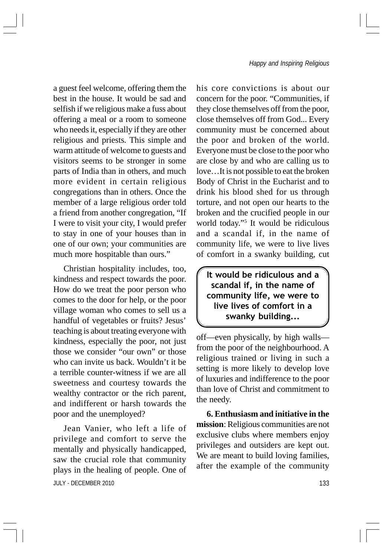a guest feel welcome, offering them the best in the house. It would be sad and selfish if we religious make a fuss about offering a meal or a room to someone who needs it, especially if they are other religious and priests. This simple and warm attitude of welcome to guests and visitors seems to be stronger in some parts of India than in others, and much more evident in certain religious congregations than in others. Once the member of a large religious order told a friend from another congregation, "If I were to visit your city, I would prefer to stay in one of your houses than in one of our own; your communities are much more hospitable than ours."

Christian hospitality includes, too, kindness and respect towards the poor. How do we treat the poor person who comes to the door for help, or the poor village woman who comes to sell us a handful of vegetables or fruits? Jesus' teaching is about treating everyone with kindness, especially the poor, not just those we consider "our own" or those who can invite us back. Wouldn't it be a terrible counter-witness if we are all sweetness and courtesy towards the wealthy contractor or the rich parent, and indifferent or harsh towards the poor and the unemployed?

**JULY - DECEMBER 2010** 2010 Jean Vanier, who left a life of privilege and comfort to serve the mentally and physically handicapped, saw the crucial role that community plays in the healing of people. One of

his core convictions is about our concern for the poor. "Communities, if they close themselves off from the poor, close themselves off from God... Every community must be concerned about the poor and broken of the world. Everyone must be close to the poor who are close by and who are calling us to love…It is not possible to eat the broken Body of Christ in the Eucharist and to drink his blood shed for us through torture, and not open our hearts to the broken and the crucified people in our world today."5 It would be ridiculous and a scandal if, in the name of community life, we were to live lives of comfort in a swanky building, cut

It would be ridiculous and a scandal if, in the name of community life, we were to live lives of comfort in a swanky building...

off—even physically, by high walls from the poor of the neighbourhood. A religious trained or living in such a setting is more likely to develop love of luxuries and indifference to the poor than love of Christ and commitment to the needy.

**6. Enthusiasm and initiative in the mission**: Religious communities are not exclusive clubs where members enjoy privileges and outsiders are kept out. We are meant to build loving families, after the example of the community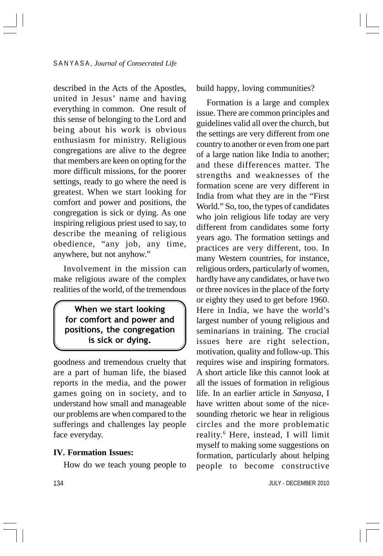described in the Acts of the Apostles, united in Jesus' name and having everything in common. One result of this sense of belonging to the Lord and being about his work is obvious enthusiasm for ministry. Religious congregations are alive to the degree that members are keen on opting for the more difficult missions, for the poorer settings, ready to go where the need is greatest. When we start looking for comfort and power and positions, the congregation is sick or dying. As one inspiring religious priest used to say, to describe the meaning of religious obedience, "any job, any time, anywhere, but not anyhow."

Involvement in the mission can make religious aware of the complex realities of the world, of the tremendous

When we start looking for comfort and power and positions, the congregation is sick or dying.

goodness and tremendous cruelty that are a part of human life, the biased reports in the media, and the power games going on in society, and to understand how small and manageable our problems are when compared to the sufferings and challenges lay people face everyday.

#### **IV. Formation Issues:**

How do we teach young people to

build happy, loving communities?

Formation is a large and complex issue. There are common principles and guidelines valid all over the church, but the settings are very different from one country to another or even from one part of a large nation like India to another; and these differences matter. The strengths and weaknesses of the formation scene are very different in India from what they are in the "First World." So, too, the types of candidates who join religious life today are very different from candidates some forty years ago. The formation settings and practices are very different, too. In many Western countries, for instance, religious orders, particularly of women, hardly have any candidates, or have two or three novices in the place of the forty or eighty they used to get before 1960. Here in India, we have the world's largest number of young religious and seminarians in training. The crucial issues here are right selection, motivation, quality and follow-up. This requires wise and inspiring formators. A short article like this cannot look at all the issues of formation in religious life. In an earlier article in *Sanyasa*, I have written about some of the nicesounding rhetoric we hear in religious circles and the more problematic reality.6 Here, instead, I will limit myself to making some suggestions on formation, particularly about helping people to become constructive

JULY - DECEMBER 2010

134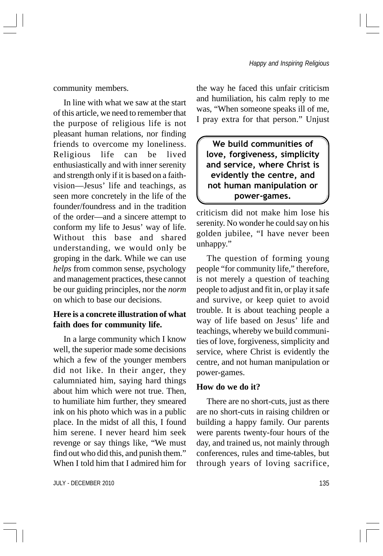community members.

In line with what we saw at the start of this article, we need to remember that the purpose of religious life is not pleasant human relations, nor finding friends to overcome my loneliness. Religious life can be lived enthusiastically and with inner serenity and strength only if it is based on a faithvision—Jesus' life and teachings, as seen more concretely in the life of the founder/foundress and in the tradition of the order—and a sincere attempt to conform my life to Jesus' way of life. Without this base and shared understanding, we would only be groping in the dark. While we can use *helps* from common sense, psychology and management practices, these cannot be our guiding principles, nor the *norm* on which to base our decisions.

## **Here is a concrete illustration of what faith does for community life.**

In a large community which I know well, the superior made some decisions which a few of the younger members did not like. In their anger, they calumniated him, saying hard things about him which were not true. Then, to humiliate him further, they smeared ink on his photo which was in a public place. In the midst of all this, I found him serene. I never heard him seek revenge or say things like, "We must find out who did this, and punish them." When I told him that I admired him for

JULY - DECEMBER 2010 135

the way he faced this unfair criticism and humiliation, his calm reply to me was, "When someone speaks ill of me, I pray extra for that person." Unjust

We build communities of love, forgiveness, simplicity and service, where Christ is evidently the centre, and not human manipulation or power-games.

criticism did not make him lose his serenity. No wonder he could say on his golden jubilee, "I have never been unhappy."

The question of forming young people "for community life," therefore, is not merely a question of teaching people to adjust and fit in, or play it safe and survive, or keep quiet to avoid trouble. It is about teaching people a way of life based on Jesus' life and teachings, whereby we build communities of love, forgiveness, simplicity and service, where Christ is evidently the centre, and not human manipulation or power-games.

#### **How do we do it?**

There are no short-cuts, just as there are no short-cuts in raising children or building a happy family. Our parents were parents twenty-four hours of the day, and trained us, not mainly through conferences, rules and time-tables, but through years of loving sacrifice,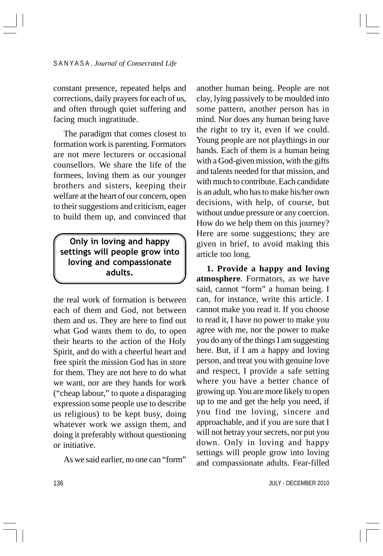constant presence, repeated helps and corrections, daily prayers for each of us, and often through quiet suffering and facing much ingratitude.

The paradigm that comes closest to formation work is parenting. Formators are not mere lecturers or occasional counsellors. We share the life of the formees, loving them as our younger brothers and sisters, keeping their welfare at the heart of our concern, open to their suggestions and criticism, eager to build them up, and convinced that

Only in loving and happy settings will people grow into loving and compassionate adults.

the real work of formation is between each of them and God, not between them and us. They are here to find out what God wants them to do, to open their hearts to the action of the Holy Spirit, and do with a cheerful heart and free spirit the mission God has in store for them. They are not here to do what we want, nor are they hands for work ("cheap labour," to quote a disparaging expression some people use to describe us religious) to be kept busy, doing whatever work we assign them, and doing it preferably without questioning or initiative.

As we said earlier, no one can "form"

another human being. People are not clay, lying passively to be moulded into some pattern, another person has in mind. Nor does any human being have the right to try it, even if we could. Young people are not playthings in our hands. Each of them is a human being with a God-given mission, with the gifts and talents needed for that mission, and with much to contribute. Each candidate is an adult, who has to make his/her own decisions, with help, of course, but without undue pressure or any coercion. How do we help them on this journey? Here are some suggestions; they are given in brief, to avoid making this article too long.

**1. Provide a happy and loving atmosphere***.* Formators, as we have said, cannot "form" a human being. I can, for instance, write this article. I cannot make you read it. If you choose to read it, I have no power to make you agree with me, nor the power to make you do any of the things I am suggesting here. But, if I am a happy and loving person, and treat you with genuine love and respect, I provide a safe setting where you have a better chance of growing up. You are more likely to open up to me and get the help you need, if you find me loving, sincere and approachable, and if you are sure that I will not betray your secrets, nor put you down. Only in loving and happy settings will people grow into loving and compassionate adults. Fear-filled

JULY - DECEMBER 2010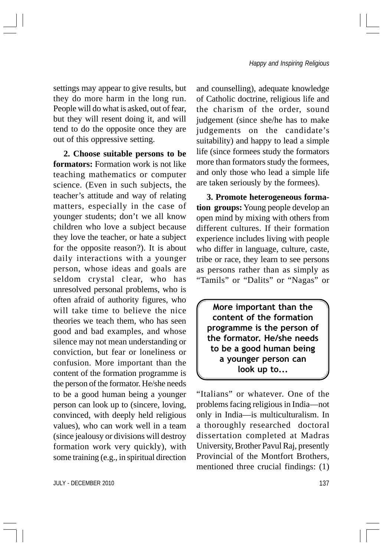settings may appear to give results, but they do more harm in the long run. People will do what is asked, out of fear, but they will resent doing it, and will tend to do the opposite once they are out of this oppressive setting.

**2. Choose suitable persons to be formators:** Formation work is not like teaching mathematics or computer science. (Even in such subjects, the teacher's attitude and way of relating matters, especially in the case of younger students; don't we all know children who love a subject because they love the teacher, or hate a subject for the opposite reason?). It is about daily interactions with a younger person, whose ideas and goals are seldom crystal clear, who has unresolved personal problems, who is often afraid of authority figures, who will take time to believe the nice theories we teach them, who has seen good and bad examples, and whose silence may not mean understanding or conviction, but fear or loneliness or confusion. More important than the content of the formation programme is the person of the formator. He/she needs to be a good human being a younger person can look up to (sincere, loving, convinced, with deeply held religious values), who can work well in a team (since jealousy or divisions will destroy formation work very quickly), with some training (e.g., in spiritual direction

and counselling), adequate knowledge of Catholic doctrine, religious life and the charism of the order, sound judgement (since she/he has to make judgements on the candidate's suitability) and happy to lead a simple life (since formees study the formators more than formators study the formees, and only those who lead a simple life are taken seriously by the formees).

**3. Promote heterogeneous formation groups:** Young people develop an open mind by mixing with others from different cultures. If their formation experience includes living with people who differ in language, culture, caste, tribe or race, they learn to see persons as persons rather than as simply as "Tamils" or "Dalits" or "Nagas" or

More important than the content of the formation programme is the person of the formator. He/she needs to be a good human being a younger person can look up to...

"Italians" or whatever. One of the problems facing religious in India—not only in India—is multiculturalism. In a thoroughly researched doctoral dissertation completed at Madras University, Brother Pavul Raj, presently Provincial of the Montfort Brothers, mentioned three crucial findings: (1)

JULY - DECEMBER 2010 137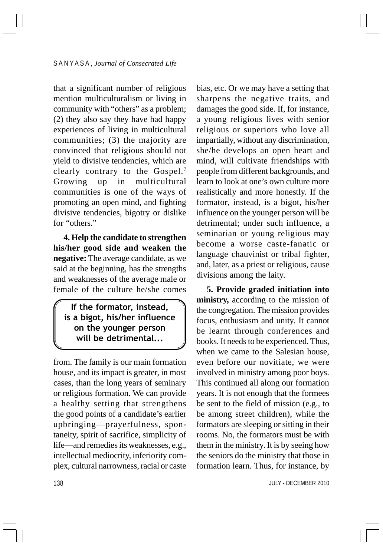that a significant number of religious mention multiculturalism or living in community with "others" as a problem; (2) they also say they have had happy experiences of living in multicultural communities; (3) the majority are convinced that religious should not yield to divisive tendencies, which are clearly contrary to the Gospel.7 Growing up in multicultural communities is one of the ways of promoting an open mind, and fighting divisive tendencies, bigotry or dislike for "others."

**4. Help the candidate to strengthen his/her good side and weaken the negative:** The average candidate, as we said at the beginning, has the strengths and weaknesses of the average male or female of the culture he/she comes

If the formator, instead, is a bigot, his/her influence on the younger person will be detrimental...

from. The family is our main formation house, and its impact is greater, in most cases, than the long years of seminary or religious formation. We can provide a healthy setting that strengthens the good points of a candidate's earlier upbringing—prayerfulness, spontaneity, spirit of sacrifice, simplicity of life—and remedies its weaknesses, e.g., intellectual mediocrity, inferiority complex, cultural narrowness, racial or caste

bias, etc. Or we may have a setting that sharpens the negative traits, and damages the good side. If, for instance, a young religious lives with senior religious or superiors who love all impartially, without any discrimination, she/he develops an open heart and mind, will cultivate friendships with people from different backgrounds, and learn to look at one's own culture more realistically and more honestly. If the formator, instead, is a bigot, his/her influence on the younger person will be detrimental; under such influence, a seminarian or young religious may become a worse caste-fanatic or language chauvinist or tribal fighter, and, later, as a priest or religious, cause divisions among the laity.

**5. Provide graded initiation into ministry,** according to the mission of the congregation. The mission provides focus, enthusiasm and unity. It cannot be learnt through conferences and books. It needs to be experienced. Thus, when we came to the Salesian house, even before our novitiate, we were involved in ministry among poor boys. This continued all along our formation years. It is not enough that the formees be sent to the field of mission (e.g., to be among street children), while the formators are sleeping or sitting in their rooms. No, the formators must be with them in the ministry. It is by seeing how the seniors do the ministry that those in formation learn. Thus, for instance, by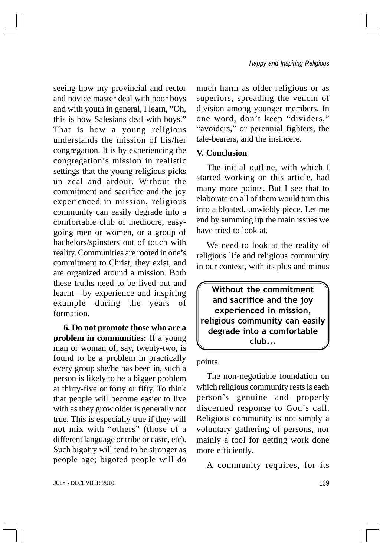seeing how my provincial and rector and novice master deal with poor boys and with youth in general, I learn, "Oh, this is how Salesians deal with boys." That is how a young religious understands the mission of his/her congregation. It is by experiencing the congregation's mission in realistic settings that the young religious picks up zeal and ardour. Without the commitment and sacrifice and the joy experienced in mission, religious community can easily degrade into a comfortable club of mediocre, easygoing men or women, or a group of bachelors/spinsters out of touch with reality. Communities are rooted in one's commitment to Christ; they exist, and are organized around a mission. Both these truths need to be lived out and learnt—by experience and inspiring example—during the years of formation.

**6. Do not promote those who are a problem in communities:** If a young man or woman of, say, twenty-two, is found to be a problem in practically every group she/he has been in, such a person is likely to be a bigger problem at thirty-five or forty or fifty. To think that people will become easier to live with as they grow older is generally not true. This is especially true if they will not mix with "others" (those of a different language or tribe or caste, etc). Such bigotry will tend to be stronger as people age; bigoted people will do

much harm as older religious or as superiors, spreading the venom of division among younger members. In one word, don't keep "dividers," "avoiders," or perennial fighters, the tale-bearers, and the insincere.

#### **V. Conclusion**

The initial outline, with which I started working on this article, had many more points. But I see that to elaborate on all of them would turn this into a bloated, unwieldy piece. Let me end by summing up the main issues we have tried to look at.

We need to look at the reality of religious life and religious community in our context, with its plus and minus

Without the commitment and sacrifice and the joy experienced in mission, religious community can easily degrade into a comfortable club...

#### points.

The non-negotiable foundation on which religious community rests is each person's genuine and properly discerned response to God's call. Religious community is not simply a voluntary gathering of persons, nor mainly a tool for getting work done more efficiently.

A community requires, for its

JULY - DECEMBER 2010 139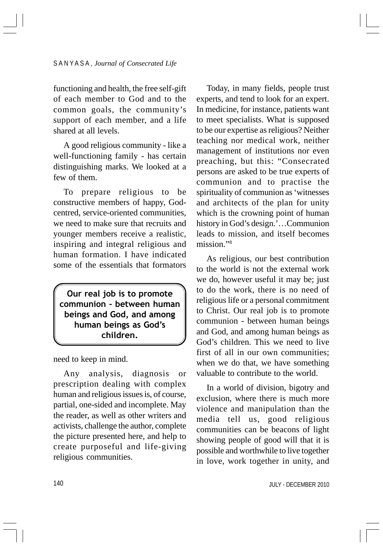functioning and health, the free self-gift of each member to God and to the common goals, the community's support of each member, and a life shared at all levels.

A good religious community - like a well-functioning family - has certain distinguishing marks. We looked at a few of them.

To prepare religious to be constructive members of happy, Godcentred, service-oriented communities, we need to make sure that recruits and younger members receive a realistic, inspiring and integral religious and human formation. I have indicated some of the essentials that formators

Our real job is to promote communion - between human beings and God, and among human beings as God's children.

need to keep in mind.

Any analysis, diagnosis or prescription dealing with complex human and religious issues is, of course, partial, one-sided and incomplete. May the reader, as well as other writers and activists, challenge the author, complete the picture presented here, and help to create purposeful and life-giving religious communities.

Today, in many fields, people trust experts, and tend to look for an expert. In medicine, for instance, patients want to meet specialists. What is supposed to be our expertise as religious? Neither teaching nor medical work, neither management of institutions nor even preaching, but this: "Consecrated persons are asked to be true experts of communion and to practise the spirituality of communion as 'witnesses and architects of the plan for unity which is the crowning point of human history in God's design.'…Communion leads to mission, and itself becomes mission."8

As religious, our best contribution to the world is not the external work we do, however useful it may be; just to do the work, there is no need of religious life or a personal commitment to Christ. Our real job is to promote communion - between human beings and God, and among human beings as God's children. This we need to live first of all in our own communities; when we do that, we have something valuable to contribute to the world.

In a world of division, bigotry and exclusion, where there is much more violence and manipulation than the media tell us, good religious communities can be beacons of light showing people of good will that it is possible and worthwhile to live together in love, work together in unity, and

JULY - DECEMBER 2010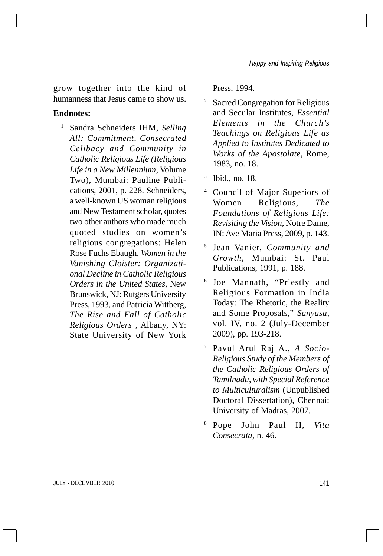grow together into the kind of humanness that Jesus came to show us.

#### **Endnotes:**

<sup>1</sup> Sandra Schneiders IHM, *Selling All: Commitment, Consecrated Celibacy and Community in Catholic Religious Life (Religious Life in a New Millennium*, Volume Two), Mumbai: Pauline Publications, 2001, p. 228. Schneiders, a well-known US woman religious and New Testament scholar, quotes two other authors who made much quoted studies on women's religious congregations: Helen Rose Fuchs Ebaugh, *Women in the Vanishing Cloister: Organizational Decline in Catholic Religious Orders in the United States*, New Brunswick, NJ: Rutgers University Press, 1993, and Patricia Wittberg, *The Rise and Fall of Catholic Religious Orders* , Albany, NY: State University of New York

Press, 1994.

- <sup>2</sup> Sacred Congregation for Religious and Secular Institutes, *Essential Elements in the Church's Teachings on Religious Life as Applied to Institutes Dedicated to Works of the Apostolate*, Rome, 1983, no. 18.
- <sup>3</sup> Ibid., no. 18.
- <sup>4</sup> Council of Major Superiors of Women Religious, *The Foundations of Religious Life: Revisiting the Vision*, Notre Dame, IN: Ave Maria Press, 2009, p. 143.
- <sup>5</sup> Jean Vanier, *Community and Growth*, Mumbai: St. Paul Publications, 1991, p. 188.
- <sup>6</sup> Joe Mannath, "Priestly and Religious Formation in India Today: The Rhetoric, the Reality and Some Proposals," *Sanyasa*, vol. IV, no. 2 (July-December 2009), pp. 193-218.
- <sup>7</sup> Pavul Arul Raj A., *A Socio-Religious Study of the Members of the Catholic Religious Orders of Tamilnadu, with Special Reference to Multiculturalism* (Unpublished Doctoral Dissertation), Chennai: University of Madras, 2007.
- <sup>8</sup> Pope John Paul II, *Vita Consecrata*, n. 46.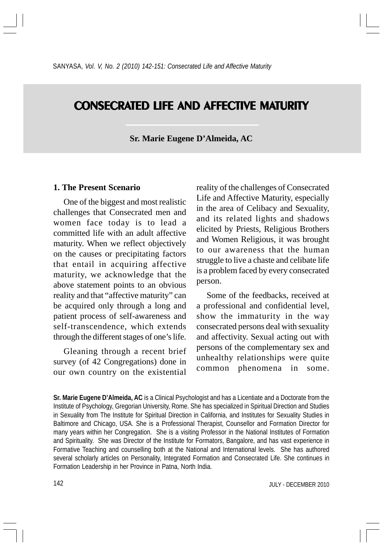# **CONSECRATED LIFE AND AFFECTIVE MATURITY**

**Sr. Marie Eugene D'Almeida, AC**

#### **1. The Present Scenario**

One of the biggest and most realistic challenges that Consecrated men and women face today is to lead a committed life with an adult affective maturity. When we reflect objectively on the causes or precipitating factors that entail in acquiring affective maturity, we acknowledge that the above statement points to an obvious reality and that "affective maturity" can be acquired only through a long and patient process of self-awareness and self-transcendence, which extends through the different stages of one's life.

Gleaning through a recent brief survey (of 42 Congregations) done in our own country on the existential reality of the challenges of Consecrated Life and Affective Maturity, especially in the area of Celibacy and Sexuality, and its related lights and shadows elicited by Priests, Religious Brothers and Women Religious, it was brought to our awareness that the human struggle to live a chaste and celibate life is a problem faced by every consecrated person.

Some of the feedbacks, received at a professional and confidential level, show the immaturity in the way consecrated persons deal with sexuality and affectivity. Sexual acting out with persons of the complementary sex and unhealthy relationships were quite common phenomena in some.

**Sr. Marie Eugene D'Almeida, AC** is a Clinical Psychologist and has a Licentiate and a Doctorate from the Institute of Psychology, Gregorian University, Rome. She has specialized in Spiritual Direction and Studies in Sexuality from The Institute for Spiritual Direction in California, and Institutes for Sexuality Studies in Baltimore and Chicago, USA. She is a Professional Therapist, Counsellor and Formation Director for many years within her Congregation. She is a visiting Professor in the National Institutes of Formation and Spirituality. She was Director of the Institute for Formators, Bangalore, and has vast experience in Formative Teaching and counselling both at the National and International levels. She has authored several scholarly articles on Personality, Integrated Formation and Consecrated Life. She continues in Formation Leadership in her Province in Patna, North India.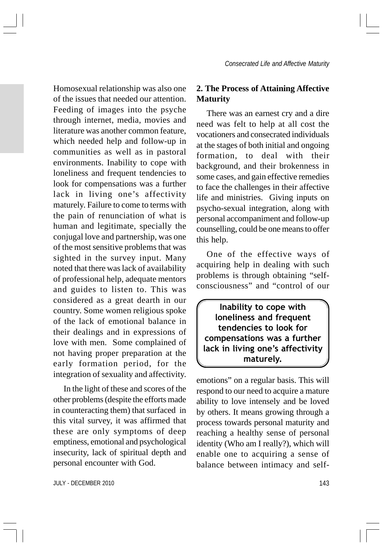Homosexual relationship was also one of the issues that needed our attention. Feeding of images into the psyche through internet, media, movies and literature was another common feature, which needed help and follow-up in communities as well as in pastoral environments. Inability to cope with loneliness and frequent tendencies to look for compensations was a further lack in living one's affectivity maturely. Failure to come to terms with the pain of renunciation of what is human and legitimate, specially the conjugal love and partnership, was one of the most sensitive problems that was sighted in the survey input. Many noted that there was lack of availability of professional help, adequate mentors and guides to listen to. This was considered as a great dearth in our country. Some women religious spoke of the lack of emotional balance in their dealings and in expressions of love with men. Some complained of not having proper preparation at the early formation period, for the integration of sexuality and affectivity.

In the light of these and scores of the other problems (despite the efforts made in counteracting them) that surfaced in this vital survey, it was affirmed that these are only symptoms of deep emptiness, emotional and psychological insecurity, lack of spiritual depth and personal encounter with God.

## **2. The Process of Attaining Affective Maturity**

There was an earnest cry and a dire need was felt to help at all cost the vocationers and consecrated individuals at the stages of both initial and ongoing formation, to deal with their background, and their brokenness in some cases, and gain effective remedies to face the challenges in their affective life and ministries. Giving inputs on psycho-sexual integration, along with personal accompaniment and follow-up counselling, could be one means to offer this help.

One of the effective ways of acquiring help in dealing with such problems is through obtaining "selfconsciousness" and "control of our

Inability to cope with loneliness and frequent tendencies to look for compensations was a further lack in living one's affectivity maturely.

emotions" on a regular basis. This will respond to our need to acquire a mature ability to love intensely and be loved by others. It means growing through a process towards personal maturity and reaching a healthy sense of personal identity (Who am I really?), which will enable one to acquiring a sense of balance between intimacy and self-

JULY - DECEMBER 2010 143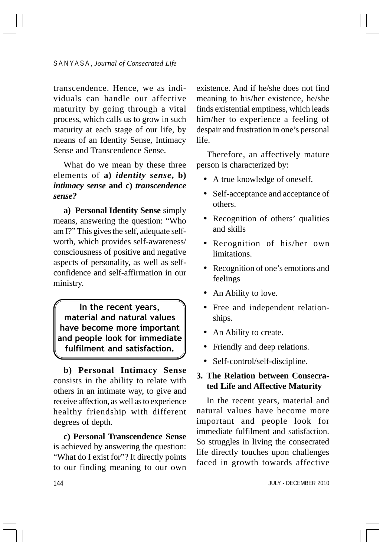transcendence. Hence, we as individuals can handle our affective maturity by going through a vital process, which calls us to grow in such maturity at each stage of our life, by means of an Identity Sense, Intimacy Sense and Transcendence Sense.

What do we mean by these three elements of **a)** *identity sense***, b)** *intimacy sense* **and c)** *transcendence sense?*

**a) Personal Identity Sense** simply means, answering the question: "Who am I?" This gives the self, adequate selfworth, which provides self-awareness/ consciousness of positive and negative aspects of personality, as well as selfconfidence and self-affirmation in our ministry.

In the recent years, material and natural values have become more important and people look for immediate fulfilment and satisfaction.

**b) Personal Intimacy Sense** consists in the ability to relate with others in an intimate way, to give and receive affection, as well as to experience healthy friendship with different degrees of depth.

**c) Personal Transcendence Sense** is achieved by answering the question: "What do I exist for"? It directly points to our finding meaning to our own

existence. And if he/she does not find meaning to his/her existence, he/she finds existential emptiness, which leads him/her to experience a feeling of despair and frustration in one's personal life.

Therefore, an affectively mature person is characterized by:

- A true knowledge of oneself.
- Self-acceptance and acceptance of others.
- Recognition of others' qualities and skills
- Recognition of his/her own limitations.
- Recognition of one's emotions and feelings
- An Ability to love.
- Free and independent relationships.
- An Ability to create.
- Friendly and deep relations.
- Self-control/self-discipline.

# **3. The Relation between Consecrated Life and Affective Maturity**

In the recent years, material and natural values have become more important and people look for immediate fulfilment and satisfaction. So struggles in living the consecrated life directly touches upon challenges faced in growth towards affective

JULY - DECEMBER 2010

144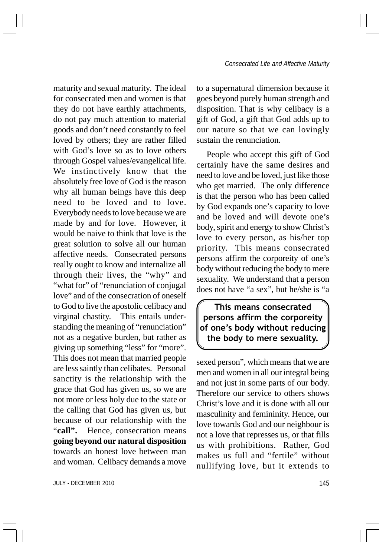maturity and sexual maturity. The ideal for consecrated men and women is that they do not have earthly attachments, do not pay much attention to material goods and don't need constantly to feel loved by others; they are rather filled with God's love so as to love others through Gospel values/evangelical life. We instinctively know that the absolutely free love of God is the reason why all human beings have this deep need to be loved and to love. Everybody needs to love because we are made by and for love. However, it would be naive to think that love is the great solution to solve all our human affective needs. Consecrated persons really ought to know and internalize all through their lives, the "why" and "what for" of "renunciation of conjugal" love" and of the consecration of oneself to God to live the apostolic celibacy and virginal chastity. This entails understanding the meaning of "renunciation" not as a negative burden, but rather as giving up something "less" for "more". This does not mean that married people are less saintly than celibates. Personal sanctity is the relationship with the grace that God has given us, so we are not more or less holy due to the state or the calling that God has given us, but because of our relationship with the "call". Hence, consecration means **going beyond our natural disposition** towards an honest love between man and woman. Celibacy demands a move

JULY - DECEMBER 2010 2000 145

to a supernatural dimension because it goes beyond purely human strength and disposition. That is why celibacy is a gift of God, a gift that God adds up to our nature so that we can lovingly sustain the renunciation.

People who accept this gift of God certainly have the same desires and need to love and be loved, just like those who get married. The only difference is that the person who has been called by God expands one's capacity to love and be loved and will devote one's body, spirit and energy to show Christ's love to every person, as his/her top priority. This means consecrated persons affirm the corporeity of one's body without reducing the body to mere sexuality. We understand that a person does not have "a sex", but he/she is "a

This means consecrated persons affirm the corporeity of one's body without reducing the body to mere sexuality.

sexed person", which means that we are men and women in all our integral being and not just in some parts of our body. Therefore our service to others shows Christ's love and it is done with all our masculinity and femininity. Hence, our love towards God and our neighbour is not a love that represses us, or that fills us with prohibitions. Rather, God makes us full and "fertile" without nullifying love, but it extends to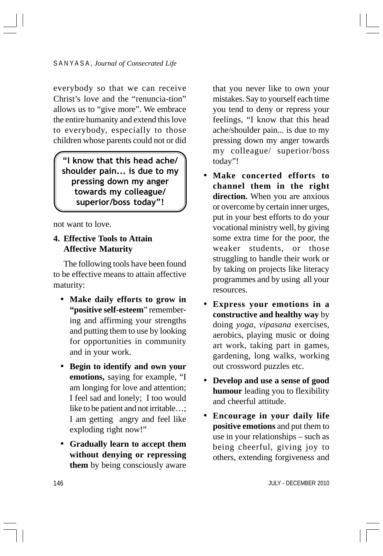everybody so that we can receive Christ's love and the "renuncia-tion" allows us to "give more". We embrace the entire humanity and extend this love to everybody, especially to those children whose parents could not or did

"I know that this head ache/ shoulder pain... is due to my pressing down my anger towards my colleague/ superior/boss today"!

not want to love.

### **4. Effective Tools to Attain Affective Maturity**

The following tools have been found to be effective means to attain affective maturity:

- **Make daily efforts to grow in "positive self-esteem**" remembering and affirming your strengths and putting them to use by looking for opportunities in community and in your work.
- **Begin to identify and own your emotions,** saying for example, "I am longing for love and attention; I feel sad and lonely; I too would like to be patient and not irritable...; I am getting angry and feel like exploding right now!"
- **Gradually learn to accept them without denying or repressing them** by being consciously aware

that you never like to own your mistakes. Say to yourself each time you tend to deny or repress your feelings, "I know that this head ache/shoulder pain... is due to my pressing down my anger towards my colleague/ superior/boss today"!

- **Make concerted efforts to channel them in the right direction.** When you are anxious or overcome by certain inner urges, put in your best efforts to do your vocational ministry well, by giving some extra time for the poor, the weaker students, or those struggling to handle their work or by taking on projects like literacy programmes and by using all your resources.
- **Express your emotions in a constructive and healthy way** by doing *yoga*, *vipasana* exercises, aerobics, playing music or doing art work, taking part in games, gardening, long walks, working out crossword puzzles etc.
- **Develop and use a sense of good humour** leading you to flexibility and cheerful attitude.
- **Encourage in your daily life positive emotions** and put them to use in your relationships – such as being cheerful, giving joy to others, extending forgiveness and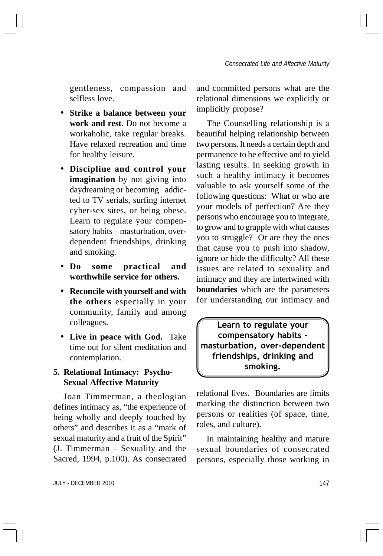gentleness, compassion and selfless love.

- **Strike a balance between your work and rest**. Do not become a workaholic, take regular breaks. Have relaxed recreation and time for healthy leisure.
- **Discipline and control your imagination** by not giving into daydreaming or becoming addicted to TV serials, surfing internet cyber-sex sites, or being obese. Learn to regulate your compensatory habits – masturbation, overdependent friendships, drinking and smoking.
- **Do some practical and worthwhile service for others.**
- **Reconcile with yourself and with the others** especially in your community, family and among colleagues.
- **Live in peace with God.** Take time out for silent meditation and contemplation.

# **5. Relational Intimacy: Psycho-Sexual Affective Maturity**

Joan Timmerman, a theologian defines intimacy as, "the experience of being wholly and deeply touched by others" and describes it as a "mark of sexual maturity and a fruit of the Spirit" (J. Timmerman – Sexuality and the Sacred, 1994, p.100). As consecrated and committed persons what are the relational dimensions we explicitly or implicitly propose?

The Counselling relationship is a beautiful helping relationship between two persons. It needs a certain depth and permanence to be effective and to yield lasting results. In seeking growth in such a healthy intimacy it becomes valuable to ask yourself some of the following questions: What or who are your models of perfection? Are they persons who encourage you to integrate, to grow and to grapple with what causes you to struggle? Or are they the ones that cause you to push into shadow, ignore or hide the difficulty? All these issues are related to sexuality and intimacy and they are intertwined with **boundaries** which are the parameters for understanding our intimacy and

Learn to regulate your compensatory habits – masturbation, over-dependent friendships, drinking and smoking.

relational lives. Boundaries are limits marking the distinction between two persons or realities (of space, time, roles, and culture).

In maintaining healthy and mature sexual boundaries of consecrated persons, especially those working in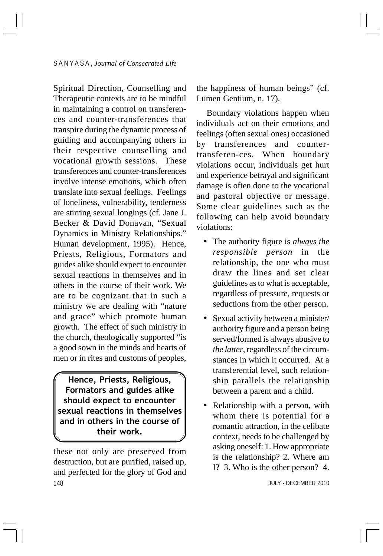Spiritual Direction, Counselling and Therapeutic contexts are to be mindful in maintaining a control on transferences and counter-transferences that transpire during the dynamic process of guiding and accompanying others in their respective counselling and vocational growth sessions. These transferences and counter-transferences involve intense emotions, which often translate into sexual feelings. Feelings of loneliness, vulnerability, tenderness are stirring sexual longings (cf. Jane J. Becker & David Donavan, "Sexual Dynamics in Ministry Relationships." Human development, 1995). Hence, Priests, Religious, Formators and guides alike should expect to encounter sexual reactions in themselves and in others in the course of their work. We are to be cognizant that in such a ministry we are dealing with "nature and grace" which promote human growth. The effect of such ministry in the church, theologically supported "is a good sown in the minds and hearts of men or in rites and customs of peoples,

Hence, Priests, Religious, Formators and guides alike should expect to encounter sexual reactions in themselves and in others in the course of their work.

148 these not only are preserved from destruction, but are purified, raised up, and perfected for the glory of God and

the happiness of human beings" (cf. Lumen Gentium, n. 17).

Boundary violations happen when individuals act on their emotions and feelings (often sexual ones) occasioned by transferences and countertransferen-ces. When boundary violations occur, individuals get hurt and experience betrayal and significant damage is often done to the vocational and pastoral objective or message. Some clear guidelines such as the following can help avoid boundary violations:

- The authority figure is *always the responsible person* in the relationship, the one who must draw the lines and set clear guidelines as to what is acceptable, regardless of pressure, requests or seductions from the other person.
- Sexual activity between a minister/ authority figure and a person being served/formed is always abusive to *the latter*, regardless of the circumstances in which it occurred. At a transferential level, such relationship parallels the relationship between a parent and a child.
- Relationship with a person, with whom there is potential for a romantic attraction, in the celibate context, needs to be challenged by asking oneself: 1. How appropriate is the relationship? 2. Where am I? 3. Who is the other person? 4.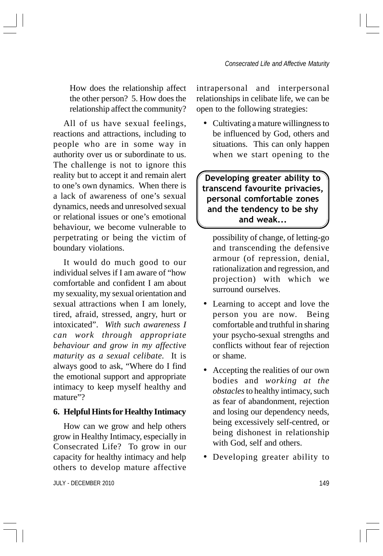How does the relationship affect the other person? 5. How does the relationship affect the community?

All of us have sexual feelings, reactions and attractions, including to people who are in some way in authority over us or subordinate to us. The challenge is not to ignore this reality but to accept it and remain alert to one's own dynamics. When there is a lack of awareness of one's sexual dynamics, needs and unresolved sexual or relational issues or one's emotional behaviour, we become vulnerable to perpetrating or being the victim of boundary violations.

It would do much good to our individual selves if I am aware of "how comfortable and confident I am about my sexuality, my sexual orientation and sexual attractions when I am lonely, tired, afraid, stressed, angry, hurt or intoxicated". *With such awareness I can work through appropriate behaviour and grow in my affective maturity as a sexual celibate.* It is always good to ask, "Where do I find the emotional support and appropriate intimacy to keep myself healthy and mature"?

#### **6. Helpful Hints for Healthy Intimacy**

How can we grow and help others grow in Healthy Intimacy, especially in Consecrated Life? To grow in our capacity for healthy intimacy and help others to develop mature affective

JULY - DECEMBER 2010 149

intrapersonal and interpersonal relationships in celibate life, we can be open to the following strategies:

• Cultivating a mature willingness to be influenced by God, others and situations. This can only happen when we start opening to the

Developing greater ability to transcend favourite privacies, personal comfortable zones and the tendency to be shy and weak...

possibility of change, of letting-go and transcending the defensive armour (of repression, denial, rationalization and regression, and projection) with which we surround ourselves.

- Learning to accept and love the person you are now. Being comfortable and truthful in sharing your psycho-sexual strengths and conflicts without fear of rejection or shame.
- Accepting the realities of our own bodies and *working at the obstacles* to healthy intimacy, such as fear of abandonment, rejection and losing our dependency needs, being excessively self-centred, or being dishonest in relationship with God, self and others.
- Developing greater ability to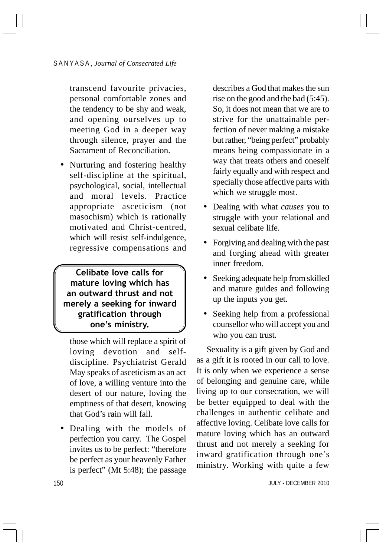transcend favourite privacies, personal comfortable zones and the tendency to be shy and weak, and opening ourselves up to meeting God in a deeper way through silence, prayer and the Sacrament of Reconciliation.

• Nurturing and fostering healthy self-discipline at the spiritual, psychological, social, intellectual and moral levels. Practice appropriate asceticism (not masochism) which is rationally motivated and Christ-centred, which will resist self-indulgence, regressive compensations and

Celibate love calls for mature loving which has an outward thrust and not merely a seeking for inward gratification through one's ministry.

those which will replace a spirit of loving devotion and selfdiscipline. Psychiatrist Gerald May speaks of asceticism as an act of love, a willing venture into the desert of our nature, loving the emptiness of that desert, knowing that God's rain will fall.

• Dealing with the models of perfection you carry. The Gospel invites us to be perfect: "therefore be perfect as your heavenly Father is perfect" (Mt 5:48); the passage

describes a God that makes the sun rise on the good and the bad (5:45). So, it does not mean that we are to strive for the unattainable perfection of never making a mistake but rather, "being perfect" probably means being compassionate in a way that treats others and oneself fairly equally and with respect and specially those affective parts with which we struggle most.

- Dealing with what *causes* you to struggle with your relational and sexual celibate life.
- Forgiving and dealing with the past and forging ahead with greater inner freedom.
- Seeking adequate help from skilled and mature guides and following up the inputs you get.
- Seeking help from a professional counsellor who will accept you and who you can trust.

Sexuality is a gift given by God and as a gift it is rooted in our call to love. It is only when we experience a sense of belonging and genuine care, while living up to our consecration, we will be better equipped to deal with the challenges in authentic celibate and affective loving. Celibate love calls for mature loving which has an outward thrust and not merely a seeking for inward gratification through one's ministry. Working with quite a few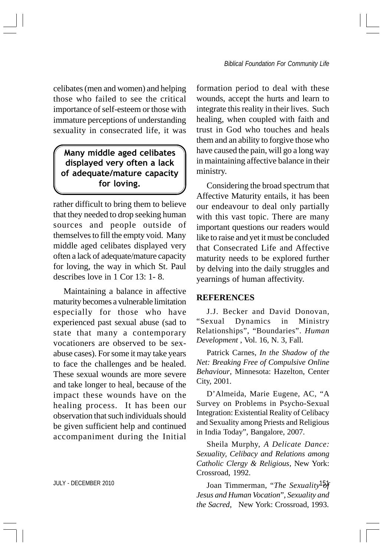celibates (men and women) and helping those who failed to see the critical importance of self-esteem or those with immature perceptions of understanding sexuality in consecrated life, it was

# Many middle aged celibates displayed very often a lack of adequate/mature capacity for loving.

rather difficult to bring them to believe that they needed to drop seeking human sources and people outside of themselves to fill the empty void. Many middle aged celibates displayed very often a lack of adequate/mature capacity for loving, the way in which St. Paul describes love in 1 Cor 13: 1- 8.

Maintaining a balance in affective maturity becomes a vulnerable limitation especially for those who have experienced past sexual abuse (sad to state that many a contemporary vocationers are observed to be sexabuse cases). For some it may take years to face the challenges and be healed. These sexual wounds are more severe and take longer to heal, because of the impact these wounds have on the healing process. It has been our observation that such individuals should be given sufficient help and continued accompaniment during the Initial

formation period to deal with these wounds, accept the hurts and learn to integrate this reality in their lives. Such healing, when coupled with faith and trust in God who touches and heals them and an ability to forgive those who have caused the pain, will go a long way in maintaining affective balance in their ministry.

Considering the broad spectrum that Affective Maturity entails, it has been our endeavour to deal only partially with this vast topic. There are many important questions our readers would like to raise and yet it must be concluded that Consecrated Life and Affective maturity needs to be explored further by delving into the daily struggles and yearnings of human affectivity.

#### **REFERENCES**

J.J. Becker and David Donovan, "Sexual Dynamics in Ministry Relationships", "Boundaries". *Human Development* , Vol. 16, N. 3, Fall.

Patrick Carnes, *In the Shadow of the Net: Breaking Free of Compulsive Online Behaviour*, Minnesota: Hazelton, Center City, 2001.

D'Almeida, Marie Eugene, AC, "A Survey on Problems in Psycho-Sexual Integration: Existential Reality of Celibacy and Sexuality among Priests and Religious in India Today", Bangalore, 2007.

Sheila Murphy, *A Delicate Dance: Sexuality, Celibacy and Relations among Catholic Clergy & Religious*, New York: Crossroad, 1992.

JULY - DECEMBER 2010 **151 Islams** Joan Timmerman, "*The Sexuality*  $\frac{5}{2}$ *Jesus and Human Vocation*", *Sexuality and the Sacred*, New York: Crossroad, 1993.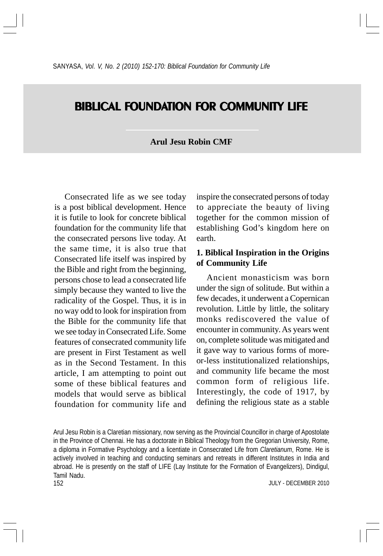# **BIBLICAL FOUNDATION FOR COMMUNITY LIFE**

### **Arul Jesu Robin CMF**

Consecrated life as we see today is a post biblical development. Hence it is futile to look for concrete biblical foundation for the community life that the consecrated persons live today. At the same time, it is also true that Consecrated life itself was inspired by the Bible and right from the beginning, persons chose to lead a consecrated life simply because they wanted to live the radicality of the Gospel. Thus, it is in no way odd to look for inspiration from the Bible for the community life that we see today in Consecrated Life. Some features of consecrated community life are present in First Testament as well as in the Second Testament. In this article, I am attempting to point out some of these biblical features and models that would serve as biblical foundation for community life and

inspire the consecrated persons of today to appreciate the beauty of living together for the common mission of establishing God's kingdom here on earth.

### **1. Biblical Inspiration in the Origins of Community Life**

Ancient monasticism was born under the sign of solitude. But within a few decades, it underwent a Copernican revolution. Little by little, the solitary monks rediscovered the value of encounter in community. As years went on, complete solitude was mitigated and it gave way to various forms of moreor-less institutionalized relationships, and community life became the most common form of religious life. Interestingly, the code of 1917, by defining the religious state as a stable

152 Arul Jesu Robin is a Claretian missionary, now serving as the Provincial Councillor in charge of Apostolate in the Province of Chennai. He has a doctorate in Biblical Theology from the Gregorian University, Rome, a diploma in Formative Psychology and a licentiate in Consecrated Life from *Claretianum*, Rome. He is actively involved in teaching and conducting seminars and retreats in different Institutes in India and abroad. He is presently on the staff of LIFE (Lay Institute for the Formation of Evangelizers), Dindigul, Tamil Nadu.

JULY - DECEMBER 2010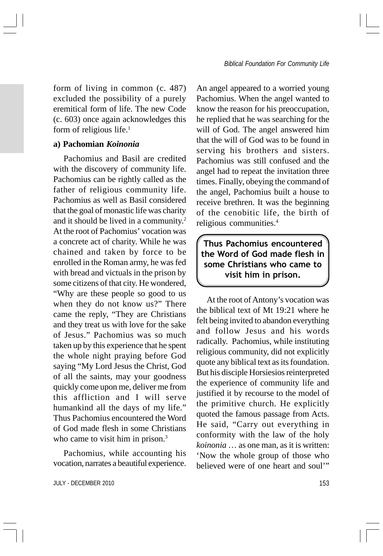form of living in common (c. 487) excluded the possibility of a purely eremitical form of life. The new Code (c. 603) once again acknowledges this form of religious life.<sup>1</sup>

### **a) Pachomian** *Koinonia*

Pachomius and Basil are credited with the discovery of community life. Pachomius can be rightly called as the father of religious community life. Pachomius as well as Basil considered that the goal of monastic life was charity and it should be lived in a community.2 At the root of Pachomius' vocation was a concrete act of charity. While he was chained and taken by force to be enrolled in the Roman army, he was fed with bread and victuals in the prison by some citizens of that city. He wondered, "Why are these people so good to us when they do not know us?" There came the reply, "They are Christians and they treat us with love for the sake of Jesus." Pachomius was so much taken up by this experience that he spent the whole night praying before God saying "My Lord Jesus the Christ, God of all the saints, may your goodness quickly come upon me, deliver me from this affliction and I will serve humankind all the days of my life." Thus Pachomius encountered the Word of God made flesh in some Christians who came to visit him in prison.<sup>3</sup>

Pachomius, while accounting his vocation, narrates a beautiful experience.

JULY - DECEMBER 2010 153

An angel appeared to a worried young Pachomius. When the angel wanted to know the reason for his preoccupation, he replied that he was searching for the will of God. The angel answered him that the will of God was to be found in serving his brothers and sisters. Pachomius was still confused and the angel had to repeat the invitation three times. Finally, obeying the command of the angel, Pachomius built a house to receive brethren. It was the beginning of the cenobitic life, the birth of religious communities.4

Thus Pachomius encountered the Word of God made flesh in some Christians who came to visit him in prison.

At the root of Antony's vocation was the biblical text of Mt 19:21 where he felt being invited to abandon everything and follow Jesus and his words radically. Pachomius, while instituting religious community, did not explicitly quote any biblical text as its foundation. But his disciple Horsiesios reinterpreted the experience of community life and justified it by recourse to the model of the primitive church. He explicitly quoted the famous passage from Acts. He said, "Carry out everything in conformity with the law of the holy *koinonia* … as one man, as it is written: 'Now the whole group of those who believed were of one heart and soul'"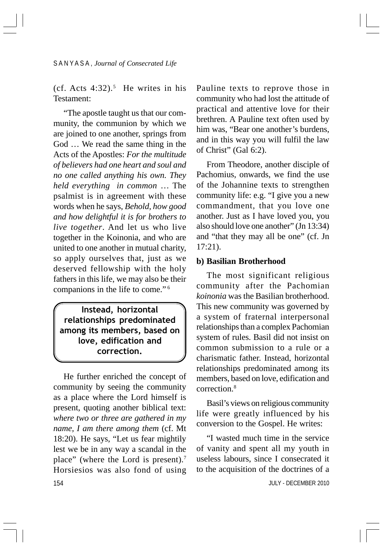$(cf. Ates 4:32).$ <sup>5</sup> He writes in his Testament:

"The apostle taught us that our community, the communion by which we are joined to one another, springs from God … We read the same thing in the Acts of the Apostles: *For the multitude of believers had one heart and soul and no one called anything his own. They held everything in common* … The psalmist is in agreement with these words when he says, *Behold, how good and how delightful it is for brothers to live together*. And let us who live together in the Koinonia, and who are united to one another in mutual charity, so apply ourselves that, just as we deserved fellowship with the holy fathers in this life, we may also be their companions in the life to come." <sup>6</sup>

Instead, horizontal relationships predominated among its members, based on love, edification and correction.

154 He further enriched the concept of community by seeing the community as a place where the Lord himself is present, quoting another biblical text: *where two or three are gathered in my name, I am there among them* (cf. Mt 18:20). He says, "Let us fear mightily lest we be in any way a scandal in the place" (where the Lord is present).7 Horsiesios was also fond of using

Pauline texts to reprove those in community who had lost the attitude of practical and attentive love for their brethren. A Pauline text often used by him was, "Bear one another's burdens, and in this way you will fulfil the law of Christ" (Gal 6:2).

From Theodore, another disciple of Pachomius, onwards, we find the use of the Johannine texts to strengthen community life: e.g. "I give you a new commandment, that you love one another. Just as I have loved you, you also should love one another" (Jn 13:34) and "that they may all be one" (cf. Jn 17:21).

#### **b) Basilian Brotherhood**

The most significant religious community after the Pachomian *koinonia* was the Basilian brotherhood. This new community was governed by a system of fraternal interpersonal relationships than a complex Pachomian system of rules. Basil did not insist on common submission to a rule or a charismatic father. Instead, horizontal relationships predominated among its members, based on love, edification and correction.8

Basil's views on religious community life were greatly influenced by his conversion to the Gospel. He writes:

"I wasted much time in the service of vanity and spent all my youth in useless labours, since I consecrated it to the acquisition of the doctrines of a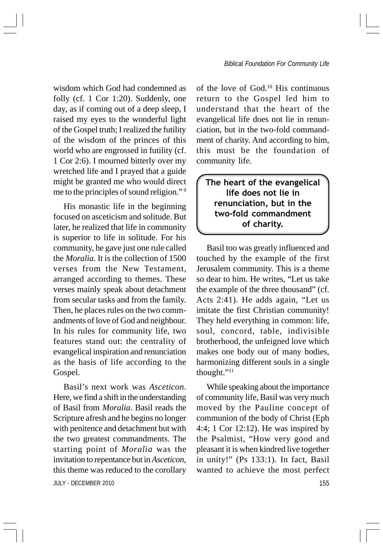wisdom which God had condemned as folly (cf. 1 Cor 1:20). Suddenly, one day, as if coming out of a deep sleep, I raised my eyes to the wonderful light of the Gospel truth; I realized the futility of the wisdom of the princes of this world who are engrossed in futility (cf. 1 Cor 2:6). I mourned bitterly over my wretched life and I prayed that a guide might be granted me who would direct me to the principles of sound religion." <sup>9</sup>

His monastic life in the beginning focused on asceticism and solitude. But later, he realized that life in community is superior to life in solitude. For his community, he gave just one rule called the *Moralia*. It is the collection of 1500 verses from the New Testament, arranged according to themes. These verses mainly speak about detachment from secular tasks and from the family. Then, he places rules on the two commandments of love of God and neighbour. In his rules for community life, two features stand out: the centrality of evangelical inspiration and renunciation as the basis of life according to the Gospel.

JULY - DECEMBER 2010 155 Basil's next work was *Asceticon*. Here, we find a shift in the understanding of Basil from *Moralia*. Basil reads the Scripture afresh and he begins no longer with penitence and detachment but with the two greatest commandments. The starting point of *Moralia* was the invitation to repentance but in *Asceticon*, this theme was reduced to the corollary

of the love of God.10 His continuous return to the Gospel led him to understand that the heart of the evangelical life does not lie in renunciation, but in the two-fold commandment of charity. And according to him, this must be the foundation of community life.

The heart of the evangelical life does not lie in renunciation, but in the two-fold commandment of charity.

Basil too was greatly influenced and touched by the example of the first Jerusalem community. This is a theme so dear to him. He writes, "Let us take the example of the three thousand" (cf. Acts 2:41). He adds again, "Let us imitate the first Christian community! They held everything in common: life, soul, concord, table, indivisible brotherhood, the unfeigned love which makes one body out of many bodies, harmonizing different souls in a single thought."11

While speaking about the importance of community life, Basil was very much moved by the Pauline concept of communion of the body of Christ (Eph 4:4; 1 Cor 12:12). He was inspired by the Psalmist, "How very good and pleasant it is when kindred live together in unity!" (Ps 133:1). In fact, Basil wanted to achieve the most perfect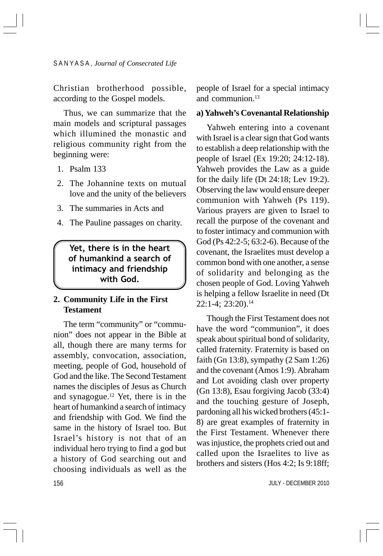Christian brotherhood possible, according to the Gospel models.

Thus, we can summarize that the main models and scriptural passages which illumined the monastic and religious community right from the beginning were:

- 1. Psalm 133
- 2. The Johannine texts on mutual love and the unity of the believers
- 3. The summaries in Acts and
- 4. The Pauline passages on charity.

Yet, there is in the heart of humankind a search of intimacy and friendship with God.

### **2. Community Life in the First Testament**

The term "community" or "communion" does not appear in the Bible at all, though there are many terms for assembly, convocation, association, meeting, people of God, household of God and the like. The Second Testament names the disciples of Jesus as Church and synagogue. $12$  Yet, there is in the heart of humankind a search of intimacy and friendship with God. We find the same in the history of Israel too. But Israel's history is not that of an individual hero trying to find a god but a history of God searching out and choosing individuals as well as the

people of Israel for a special intimacy and communion.13

#### **a) Yahweh's Covenantal Relationship**

Yahweh entering into a covenant with Israel is a clear sign that God wants to establish a deep relationship with the people of Israel (Ex 19:20; 24:12-18). Yahweh provides the Law as a guide for the daily life (Dt 24:18; Lev 19:2). Observing the law would ensure deeper communion with Yahweh (Ps 119). Various prayers are given to Israel to recall the purpose of the covenant and to foster intimacy and communion with God (Ps 42:2-5; 63:2-6). Because of the covenant, the Israelites must develop a common bond with one another, a sense of solidarity and belonging as the chosen people of God. Loving Yahweh is helping a fellow Israelite in need (Dt  $22:1-4$ ;  $23:20$ ).<sup>14</sup>

Though the First Testament does not have the word "communion", it does speak about spiritual bond of solidarity, called fraternity. Fraternity is based on faith (Gn 13:8), sympathy (2 Sam 1:26) and the covenant (Amos 1:9). Abraham and Lot avoiding clash over property (Gn 13:8), Esau forgiving Jacob (33:4) and the touching gesture of Joseph, pardoning all his wicked brothers (45:1- 8) are great examples of fraternity in the First Testament. Whenever there was injustice, the prophets cried out and called upon the Israelites to live as brothers and sisters (Hos 4:2; Is 9:18ff;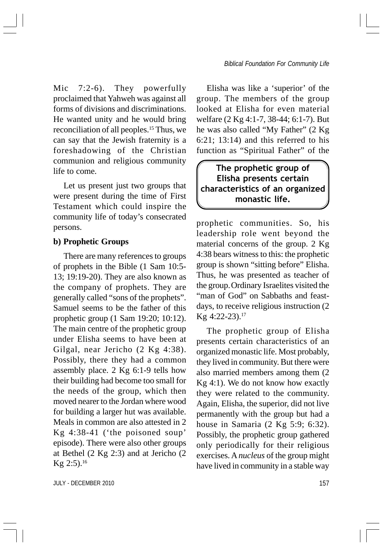Mic 7:2-6). They powerfully proclaimed that Yahweh was against all forms of divisions and discriminations. He wanted unity and he would bring reconciliation of all peoples.15 Thus, we can say that the Jewish fraternity is a foreshadowing of the Christian communion and religious community life to come.

Let us present just two groups that were present during the time of First Testament which could inspire the community life of today's consecrated persons.

#### **b) Prophetic Groups**

There are many references to groups of prophets in the Bible (1 Sam 10:5- 13; 19:19-20). They are also known as the company of prophets. They are generally called "sons of the prophets". Samuel seems to be the father of this prophetic group (1 Sam 19:20; 10:12). The main centre of the prophetic group under Elisha seems to have been at Gilgal, near Jericho (2 Kg 4:38). Possibly, there they had a common assembly place. 2 Kg 6:1-9 tells how their building had become too small for the needs of the group, which then moved nearer to the Jordan where wood for building a larger hut was available. Meals in common are also attested in 2 Kg 4:38-41 ('the poisoned soup' episode). There were also other groups at Bethel (2 Kg 2:3) and at Jericho (2 Kg  $2:5$ ).<sup>16</sup>

Elisha was like a 'superior' of the group. The members of the group looked at Elisha for even material welfare (2 Kg 4:1-7, 38-44; 6:1-7). But he was also called "My Father" (2 Kg 6:21; 13:14) and this referred to his function as "Spiritual Father" of the

# The prophetic group of Elisha presents certain characteristics of an organized monastic life.

prophetic communities. So, his leadership role went beyond the material concerns of the group. 2 Kg 4:38 bears witness to this: the prophetic group is shown "sitting before" Elisha. Thus, he was presented as teacher of the group.Ordinary Israelites visited the "man of God" on Sabbaths and feastdays, to receive religious instruction (2 Kg 4:22-23).17

The prophetic group of Elisha presents certain characteristics of an organized monastic life. Most probably, they lived in community. But there were also married members among them (2 Kg 4:1). We do not know how exactly they were related to the community. Again, Elisha, the superior, did not live permanently with the group but had a house in Samaria (2 Kg 5:9; 6:32). Possibly, the prophetic group gathered only periodically for their religious exercises. A *nucleus* of the group might have lived in community in a stable way

JULY - DECEMBER 2010 157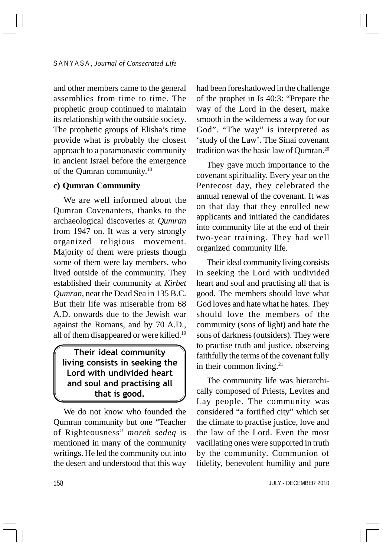and other members came to the general assemblies from time to time. The prophetic group continued to maintain its relationship with the outside society. The prophetic groups of Elisha's time provide what is probably the closest approach to a paramonastic community in ancient Israel before the emergence of the Qumran community.18

#### **c) Qumran Community**

We are well informed about the Qumran Covenanters, thanks to the archaeological discoveries at *Qumran* from 1947 on. It was a very strongly organized religious movement. Majority of them were priests though some of them were lay members, who lived outside of the community. They established their community at *Kirbet Qumran*, near the Dead Sea in 135 B.C. But their life was miserable from 68 A.D. onwards due to the Jewish war against the Romans, and by 70 A.D., all of them disappeared or were killed.<sup>19</sup>

# Their ideal community living consists in seeking the Lord with undivided heart and soul and practising all that is good.

We do not know who founded the Qumran community but one "Teacher of Righteousness" *moreh sedeq* is mentioned in many of the community writings. He led the community out into the desert and understood that this way

had been foreshadowed in the challenge of the prophet in Is 40:3: "Prepare the way of the Lord in the desert, make smooth in the wilderness a way for our God". "The way" is interpreted as 'study of the Law'. The Sinai covenant tradition was the basic law of Qumran.20

They gave much importance to the covenant spirituality. Every year on the Pentecost day, they celebrated the annual renewal of the covenant. It was on that day that they enrolled new applicants and initiated the candidates into community life at the end of their two-year training. They had well organized community life.

Their ideal community living consists in seeking the Lord with undivided heart and soul and practising all that is good. The members should love what God loves and hate what he hates. They should love the members of the community (sons of light) and hate the sons of darkness (outsiders). They were to practise truth and justice, observing faithfully the terms of the covenant fully in their common living.<sup>21</sup>

The community life was hierarchically composed of Priests, Levites and Lay people. The community was considered "a fortified city" which set the climate to practise justice, love and the law of the Lord. Even the most vacillating ones were supported in truth by the community. Communion of fidelity, benevolent humility and pure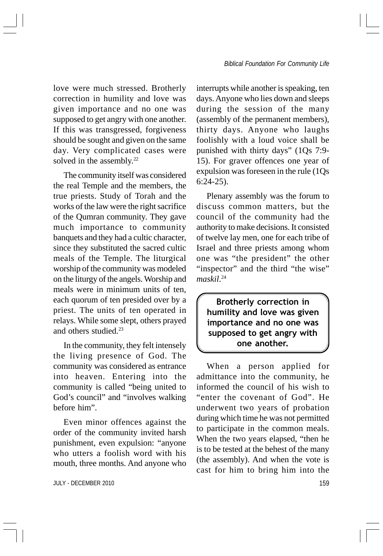love were much stressed. Brotherly correction in humility and love was given importance and no one was supposed to get angry with one another. If this was transgressed, forgiveness should be sought and given on the same day. Very complicated cases were solved in the assembly.<sup>22</sup>

The community itself was considered the real Temple and the members, the true priests. Study of Torah and the works of the law were the right sacrifice of the Qumran community. They gave much importance to community banquets and they had a cultic character, since they substituted the sacred cultic meals of the Temple. The liturgical worship of the community was modeled on the liturgy of the angels. Worship and meals were in minimum units of ten, each quorum of ten presided over by a priest. The units of ten operated in relays. While some slept, others prayed and others studied.23

In the community, they felt intensely the living presence of God. The community was considered as entrance into heaven. Entering into the community is called "being united to God's council" and "involves walking before him".

Even minor offences against the order of the community invited harsh punishment, even expulsion: "anyone who utters a foolish word with his mouth, three months. And anyone who

JULY - DECEMBER 2010 159

interrupts while another is speaking, ten days. Anyone who lies down and sleeps during the session of the many (assembly of the permanent members), thirty days. Anyone who laughs foolishly with a loud voice shall be punished with thirty days" (1Qs 7:9- 15). For graver offences one year of expulsion was foreseen in the rule (1Qs 6:24-25).

Plenary assembly was the forum to discuss common matters, but the council of the community had the authority to make decisions. It consisted of twelve lay men, one for each tribe of Israel and three priests among whom one was "the president" the other "inspector" and the third "the wise" *maskil*. 24

Brotherly correction in humility and love was given importance and no one was supposed to get angry with one another.

When a person applied for admittance into the community, he informed the council of his wish to "enter the covenant of God". He underwent two years of probation during which time he was not permitted to participate in the common meals. When the two years elapsed, "then he is to be tested at the behest of the many (the assembly). And when the vote is cast for him to bring him into the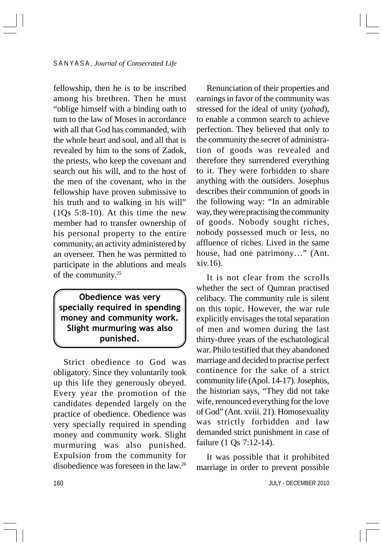fellowship, then he is to be inscribed among his brethren. Then he must "oblige himself with a binding oath to turn to the law of Moses in accordance with all that God has commanded, with the whole heart and soul, and all that is revealed by him to the sons of Zadok, the priests, who keep the covenant and search out his will, and to the host of the men of the covenant, who in the fellowship have proven submissive to his truth and to walking in his will"  $(10s\,5:8-10)$ . At this time the new member had to transfer ownership of his personal property to the entire community, an activity administered by an overseer. Then he was permitted to participate in the ablutions and meals of the community.25

# Obedience was very specially required in spending money and community work. Slight murmuring was also punished.

Strict obedience to God was obligatory. Since they voluntarily took up this life they generously obeyed. Every year the promotion of the candidates depended largely on the practice of obedience. Obedience was very specially required in spending money and community work. Slight murmuring was also punished. Expulsion from the community for disobedience was foreseen in the law.26

Renunciation of their properties and earnings in favor of the community was stressed for the ideal of unity (*yahad*), to enable a common search to achieve perfection. They believed that only to the community the secret of administration of goods was revealed and therefore they surrendered everything to it. They were forbidden to share anything with the outsiders. Josephus describes their communion of goods in the following way: "In an admirable way, they were practising the community of goods. Nobody sought riches, nobody possessed much or less, no affluence of riches. Lived in the same house, had one patrimony…" (Ant. xiv.16).

It is not clear from the scrolls whether the sect of Qumran practised celibacy. The community rule is silent on this topic. However, the war rule explicitly envisages the total separation of men and women during the last thirty-three years of the eschatological war. Philo testified that they abandoned marriage and decided to practise perfect continence for the sake of a strict community life (Apol. 14-17). Josephus, the historian says, "They did not take wife, renounced everything for the love of God" (Ant. xviii. 21). Homosexuality was strictly forbidden and law demanded strict punishment in case of failure (1 Qs 7:12-14).

It was possible that it prohibited marriage in order to prevent possible

160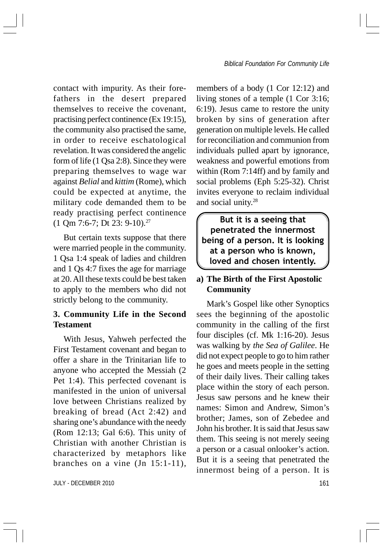contact with impurity. As their forefathers in the desert prepared themselves to receive the covenant, practising perfect continence (Ex 19:15), the community also practised the same, in order to receive eschatological revelation. It was considered the angelic form of life (1 Qsa 2:8). Since they were preparing themselves to wage war against *Belial* and *kittim* (Rome), which could be expected at anytime, the military code demanded them to be ready practising perfect continence (1 Qm 7:6-7; Dt 23: 9-10).27

But certain texts suppose that there were married people in the community. 1 Qsa 1:4 speak of ladies and children and 1 Qs 4:7 fixes the age for marriage at 20. All these texts could be best taken to apply to the members who did not strictly belong to the community.

# **3. Community Life in the Second Testament**

With Jesus, Yahweh perfected the First Testament covenant and began to offer a share in the Trinitarian life to anyone who accepted the Messiah (2 Pet 1:4). This perfected covenant is manifested in the union of universal love between Christians realized by breaking of bread (Act 2:42) and sharing one's abundance with the needy (Rom 12:13; Gal 6:6). This unity of Christian with another Christian is characterized by metaphors like branches on a vine (Jn 15:1-11),

JULY - DECEMBER 2010 161 No. 1999 161 No. 1999 161 No. 1999 161 No. 1999 161 No. 1999 161 No. 1999 161 No. 199

members of a body (1 Cor 12:12) and living stones of a temple (1 Cor 3:16; 6:19). Jesus came to restore the unity broken by sins of generation after generation on multiple levels. He called for reconciliation and communion from individuals pulled apart by ignorance, weakness and powerful emotions from within (Rom 7:14ff) and by family and social problems (Eph 5:25-32). Christ invites everyone to reclaim individual and social unity.28

But it is a seeing that penetrated the innermost being of a person. It is looking at a person who is known, loved and chosen intently.

## **a) The Birth of the First Apostolic Community**

Mark's Gospel like other Synoptics sees the beginning of the apostolic community in the calling of the first four disciples (cf. Mk 1:16-20). Jesus was walking by *the Sea of Galilee*. He did not expect people to go to him rather he goes and meets people in the setting of their daily lives. Their calling takes place within the story of each person. Jesus saw persons and he knew their names: Simon and Andrew, Simon's brother; James, son of Zebedee and John his brother. It is said that Jesus saw them. This seeing is not merely seeing a person or a casual onlooker's action. But it is a seeing that penetrated the innermost being of a person. It is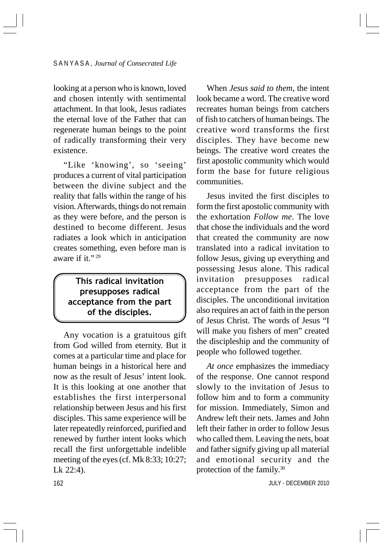looking at a person who is known, loved and chosen intently with sentimental attachment. In that look, Jesus radiates the eternal love of the Father that can regenerate human beings to the point of radically transforming their very existence.

"Like 'knowing', so 'seeing' produces a current of vital participation between the divine subject and the reality that falls within the range of his vision. Afterwards, things do not remain as they were before, and the person is destined to become different. Jesus radiates a look which in anticipation creates something, even before man is aware if it."<sup>29</sup>

# This radical invitation presupposes radical acceptance from the part of the disciples.

Any vocation is a gratuitous gift from God willed from eternity. But it comes at a particular time and place for human beings in a historical here and now as the result of Jesus' intent look. It is this looking at one another that establishes the first interpersonal relationship between Jesus and his first disciples. This same experience will be later repeatedly reinforced, purified and renewed by further intent looks which recall the first unforgettable indelible meeting of the eyes (cf. Mk 8:33; 10:27; Lk 22:4).

When *Jesus said to them*, the intent look became a word. The creative word recreates human beings from catchers of fish to catchers of human beings. The creative word transforms the first disciples. They have become new beings. The creative word creates the first apostolic community which would form the base for future religious communities.

Jesus invited the first disciples to form the first apostolic community with the exhortation *Follow me*. The love that chose the individuals and the word that created the community are now translated into a radical invitation to follow Jesus, giving up everything and possessing Jesus alone. This radical invitation presupposes radical acceptance from the part of the disciples. The unconditional invitation also requires an act of faith in the person of Jesus Christ. The words of Jesus "I will make you fishers of men" created the discipleship and the community of people who followed together.

*At once* emphasizes the immediacy of the response. One cannot respond slowly to the invitation of Jesus to follow him and to form a community for mission. Immediately, Simon and Andrew left their nets. James and John left their father in order to follow Jesus who called them. Leaving the nets, boat and father signify giving up all material and emotional security and the protection of the family.30

JULY - DECEMBER 2010

162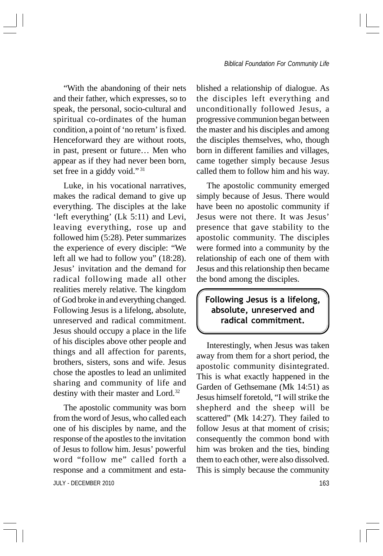"With the abandoning of their nets and their father, which expresses, so to speak, the personal, socio-cultural and spiritual co-ordinates of the human condition, a point of 'no return' is fixed. Henceforward they are without roots, in past, present or future… Men who appear as if they had never been born, set free in a giddy void."<sup>31</sup>

Luke, in his vocational narratives, makes the radical demand to give up everything. The disciples at the lake 'left everything' (Lk 5:11) and Levi, leaving everything, rose up and followed him (5:28). Peter summarizes the experience of every disciple: "We left all we had to follow you" (18:28). Jesus' invitation and the demand for radical following made all other realities merely relative. The kingdom of God broke in and everything changed. Following Jesus is a lifelong, absolute, unreserved and radical commitment. Jesus should occupy a place in the life of his disciples above other people and things and all affection for parents, brothers, sisters, sons and wife. Jesus chose the apostles to lead an unlimited sharing and community of life and destiny with their master and Lord.<sup>32</sup>

JULY - DECEMBER 2010 163 The apostolic community was born from the word of Jesus, who called each one of his disciples by name, and the response of the apostles to the invitation of Jesus to follow him. Jesus' powerful word "follow me" called forth a response and a commitment and esta-

blished a relationship of dialogue. As the disciples left everything and unconditionally followed Jesus, a progressive communion began between the master and his disciples and among the disciples themselves, who, though born in different families and villages, came together simply because Jesus called them to follow him and his way.

The apostolic community emerged simply because of Jesus. There would have been no apostolic community if Jesus were not there. It was Jesus' presence that gave stability to the apostolic community. The disciples were formed into a community by the relationship of each one of them with Jesus and this relationship then became the bond among the disciples.

Following Jesus is a lifelong, absolute, unreserved and radical commitment.

Interestingly, when Jesus was taken away from them for a short period, the apostolic community disintegrated. This is what exactly happened in the Garden of Gethsemane (Mk 14:51) as Jesus himself foretold, "I will strike the shepherd and the sheep will be scattered" (Mk 14:27). They failed to follow Jesus at that moment of crisis; consequently the common bond with him was broken and the ties, binding them to each other, were also dissolved. This is simply because the community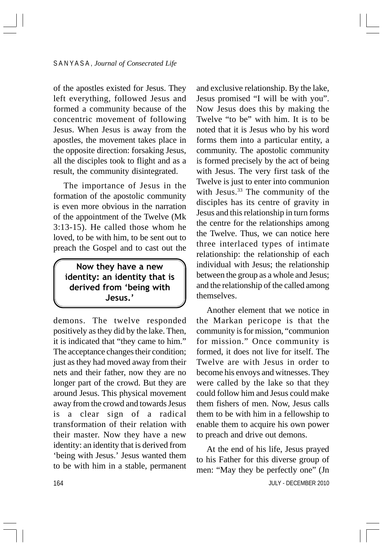of the apostles existed for Jesus. They left everything, followed Jesus and formed a community because of the concentric movement of following Jesus. When Jesus is away from the apostles, the movement takes place in the opposite direction: forsaking Jesus, all the disciples took to flight and as a result, the community disintegrated.

The importance of Jesus in the formation of the apostolic community is even more obvious in the narration of the appointment of the Twelve (Mk 3:13-15). He called those whom he loved, to be with him, to be sent out to preach the Gospel and to cast out the

Now they have a new identity: an identity that is derived from 'being with Jesus.'

demons. The twelve responded positively as they did by the lake. Then, it is indicated that "they came to him." The acceptance changes their condition; just as they had moved away from their nets and their father, now they are no longer part of the crowd. But they are around Jesus. This physical movement away from the crowd and towards Jesus is a clear sign of a radical transformation of their relation with their master. Now they have a new identity: an identity that is derived from 'being with Jesus.' Jesus wanted them to be with him in a stable, permanent and exclusive relationship. By the lake, Jesus promised "I will be with you". Now Jesus does this by making the Twelve "to be" with him. It is to be noted that it is Jesus who by his word forms them into a particular entity, a community. The apostolic community is formed precisely by the act of being with Jesus. The very first task of the Twelve is just to enter into communion with Jesus.<sup>33</sup> The community of the disciples has its centre of gravity in Jesus and this relationship in turn forms the centre for the relationships among the Twelve. Thus, we can notice here three interlaced types of intimate relationship: the relationship of each individual with Jesus; the relationship between the group as a whole and Jesus; and the relationship of the called among themselves.

Another element that we notice in the Markan pericope is that the community is for mission, "communion for mission." Once community is formed, it does not live for itself. The Twelve are with Jesus in order to become his envoys and witnesses. They were called by the lake so that they could follow him and Jesus could make them fishers of men. Now, Jesus calls them to be with him in a fellowship to enable them to acquire his own power to preach and drive out demons.

 JULY - DECEMBER 2010 At the end of his life, Jesus prayed to his Father for this diverse group of men: "May they be perfectly one" (Jn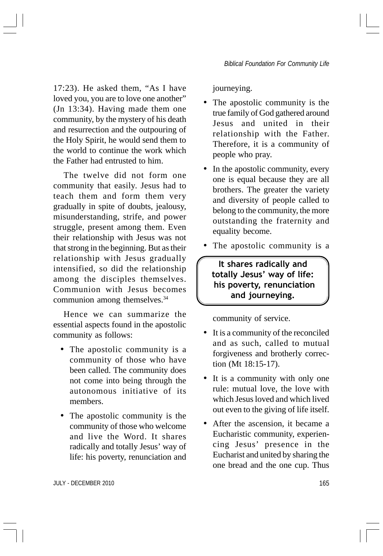17:23). He asked them, "As I have loved you, you are to love one another" (Jn 13:34). Having made them one community, by the mystery of his death and resurrection and the outpouring of the Holy Spirit, he would send them to the world to continue the work which the Father had entrusted to him.

The twelve did not form one community that easily. Jesus had to teach them and form them very gradually in spite of doubts, jealousy, misunderstanding, strife, and power struggle, present among them. Even their relationship with Jesus was not that strong in the beginning. But as their relationship with Jesus gradually intensified, so did the relationship among the disciples themselves. Communion with Jesus becomes communion among themselves.<sup>34</sup>

Hence we can summarize the essential aspects found in the apostolic community as follows:

- The apostolic community is a community of those who have been called. The community does not come into being through the autonomous initiative of its members.
- The apostolic community is the community of those who welcome and live the Word. It shares radically and totally Jesus' way of life: his poverty, renunciation and

journeying.

- The apostolic community is the true family of God gathered around Jesus and united in their relationship with the Father. Therefore, it is a community of people who pray.
- In the apostolic community, every one is equal because they are all brothers. The greater the variety and diversity of people called to belong to the community, the more outstanding the fraternity and equality become.
- The apostolic community is a

It shares radically and totally Jesus' way of life: his poverty, renunciation and journeying.

community of service.

- It is a community of the reconciled and as such, called to mutual forgiveness and brotherly correction (Mt 18:15-17).
- It is a community with only one rule: mutual love, the love with which Jesus loved and which lived out even to the giving of life itself.
- After the ascension, it became a Eucharistic community, experiencing Jesus' presence in the Eucharist and united by sharing the one bread and the one cup. Thus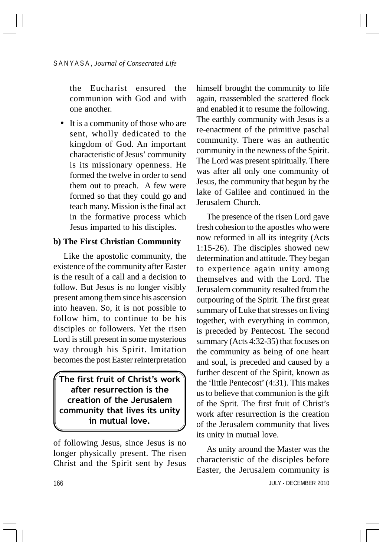the Eucharist ensured the communion with God and with one another.

• It is a community of those who are sent, wholly dedicated to the kingdom of God. An important characteristic of Jesus' community is its missionary openness. He formed the twelve in order to send them out to preach. A few were formed so that they could go and teach many. Mission is the final act in the formative process which Jesus imparted to his disciples.

### **b) The First Christian Community**

Like the apostolic community, the existence of the community after Easter is the result of a call and a decision to follow. But Jesus is no longer visibly present among them since his ascension into heaven. So, it is not possible to follow him, to continue to be his disciples or followers. Yet the risen Lord is still present in some mysterious way through his Spirit. Imitation becomes the post Easter reinterpretation

The first fruit of Christ's work $\,$ after resurrection is the creation of the Jerusalem community that lives its unity in mutual love.

of following Jesus, since Jesus is no longer physically present. The risen Christ and the Spirit sent by Jesus himself brought the community to life again, reassembled the scattered flock and enabled it to resume the following. The earthly community with Jesus is a re-enactment of the primitive paschal community. There was an authentic community in the newness of the Spirit. The Lord was present spiritually. There was after all only one community of Jesus, the community that begun by the lake of Galilee and continued in the Jerusalem Church.

The presence of the risen Lord gave fresh cohesion to the apostles who were now reformed in all its integrity (Acts 1:15-26). The disciples showed new determination and attitude. They began to experience again unity among themselves and with the Lord. The Jerusalem community resulted from the outpouring of the Spirit. The first great summary of Luke that stresses on living together, with everything in common, is preceded by Pentecost. The second summary (Acts 4:32-35) that focuses on the community as being of one heart and soul, is preceded and caused by a further descent of the Spirit, known as the 'little Pentecost' (4:31). This makes us to believe that communion is the gift of the Sprit. The first fruit of Christ's work after resurrection is the creation of the Jerusalem community that lives its unity in mutual love.

 JULY - DECEMBER 2010 As unity around the Master was the characteristic of the disciples before Easter, the Jerusalem community is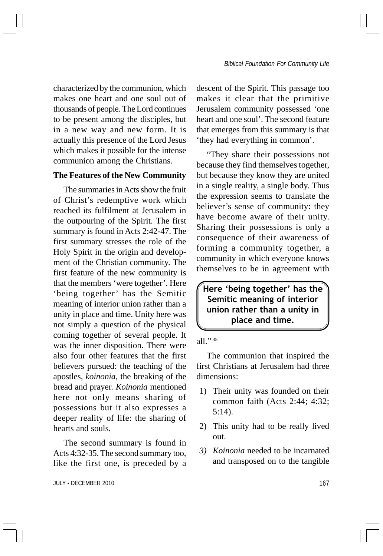characterized by the communion, which makes one heart and one soul out of thousands of people. The Lord continues to be present among the disciples, but in a new way and new form. It is actually this presence of the Lord Jesus which makes it possible for the intense communion among the Christians.

### **The Features of the New Community**

The summaries in Acts show the fruit of Christ's redemptive work which reached its fulfilment at Jerusalem in the outpouring of the Spirit. The first summary is found in Acts 2:42-47. The first summary stresses the role of the Holy Spirit in the origin and development of the Christian community. The first feature of the new community is that the members 'were together'. Here 'being together' has the Semitic meaning of interior union rather than a unity in place and time. Unity here was not simply a question of the physical coming together of several people. It was the inner disposition. There were also four other features that the first believers pursued: the teaching of the apostles, *koinonia*, the breaking of the bread and prayer. *Koinonia* mentioned here not only means sharing of possessions but it also expresses a deeper reality of life: the sharing of hearts and souls.

The second summary is found in Acts 4:32-35. The second summary too, like the first one, is preceded by a

JULY - DECEMBER 2010 167

descent of the Spirit. This passage too makes it clear that the primitive Jerusalem community possessed 'one heart and one soul'. The second feature that emerges from this summary is that 'they had everything in common'.

"They share their possessions not because they find themselves together, but because they know they are united in a single reality, a single body. Thus the expression seems to translate the believer's sense of community: they have become aware of their unity. Sharing their possessions is only a consequence of their awareness of forming a community together, a community in which everyone knows themselves to be in agreement with

Here 'being together' has the Semitic meaning of interior union rather than a unity in place and time.

#### all." <sup>35</sup>

The communion that inspired the first Christians at Jerusalem had three dimensions:

- 1) Their unity was founded on their common faith (Acts 2:44; 4:32; 5:14).
- 2) This unity had to be really lived out.
- *3) Koinonia* needed to be incarnated and transposed on to the tangible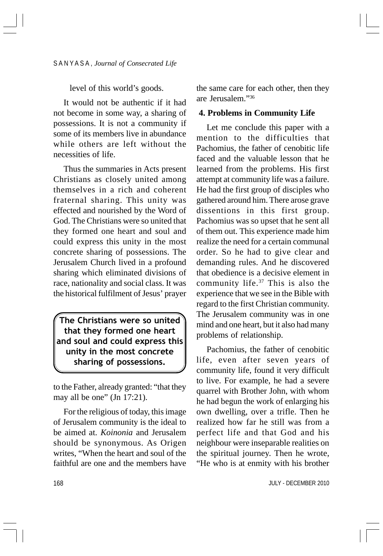level of this world's goods.

It would not be authentic if it had not become in some way, a sharing of possessions. It is not a community if some of its members live in abundance while others are left without the necessities of life.

Thus the summaries in Acts present Christians as closely united among themselves in a rich and coherent fraternal sharing. This unity was effected and nourished by the Word of God. The Christians were so united that they formed one heart and soul and could express this unity in the most concrete sharing of possessions. The Jerusalem Church lived in a profound sharing which eliminated divisions of race, nationality and social class. It was the historical fulfilment of Jesus' prayer

The Christians were so united that they formed one heart and soul and could express this unity in the most concrete sharing of possessions.

to the Father, already granted: "that they may all be one" (Jn 17:21).

For the religious of today, this image of Jerusalem community is the ideal to be aimed at. *Koinonia* and Jerusalem should be synonymous. As Origen writes, "When the heart and soul of the faithful are one and the members have the same care for each other, then they are Jerusalem."36

#### **4. Problems in Community Life**

Let me conclude this paper with a mention to the difficulties that Pachomius, the father of cenobitic life faced and the valuable lesson that he learned from the problems. His first attempt at community life was a failure. He had the first group of disciples who gathered around him. There arose grave dissentions in this first group. Pachomius was so upset that he sent all of them out. This experience made him realize the need for a certain communal order. So he had to give clear and demanding rules. And he discovered that obedience is a decisive element in community life.<sup>37</sup> This is also the experience that we see in the Bible with regard to the first Christian community. The Jerusalem community was in one mind and one heart, but it also had many problems of relationship.

Pachomius, the father of cenobitic life, even after seven years of community life, found it very difficult to live. For example, he had a severe quarrel with Brother John, with whom he had begun the work of enlarging his own dwelling, over a trifle. Then he realized how far he still was from a perfect life and that God and his neighbour were inseparable realities on the spiritual journey. Then he wrote, "He who is at enmity with his brother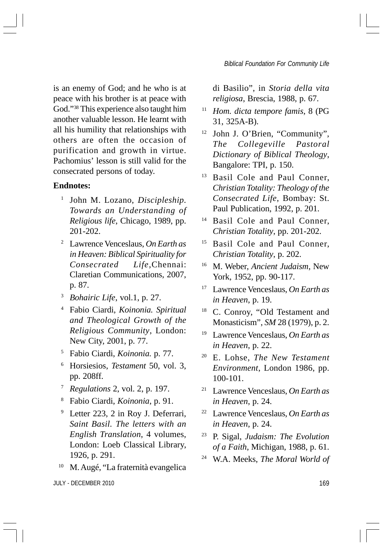is an enemy of God; and he who is at peace with his brother is at peace with God."38 This experience also taught him another valuable lesson. He learnt with all his humility that relationships with others are often the occasion of purification and growth in virtue. Pachomius' lesson is still valid for the consecrated persons of today.

#### **Endnotes:**

- <sup>1</sup> John M. Lozano, *Discipleship. Towards an Understanding of Religious life*, Chicago, 1989, pp. 201-202.
- <sup>2</sup> Lawrence Venceslaus, *On Earth as in Heaven: Biblical Spirituality for Consecrated Life*,Chennai: Claretian Communications, 2007, p. 87.
- <sup>3</sup> *Bohairic Life*, vol.1, p. 27.
- <sup>4</sup> Fabio Ciardi, *Koinonia. Spiritual and Theological Growth of the Religious Community*, London: New City, 2001, p. 77.
- <sup>5</sup> Fabio Ciardi, *Koinonia.* p. 77.
- <sup>6</sup> Horsiesios, *Testament* 50, vol. 3, pp. 208ff.
- <sup>7</sup> *Regulations* 2, vol. 2, p. 197.
- <sup>8</sup> Fabio Ciardi, *Koinonia*, p. 91.
- Letter 223, 2 in Roy J. Deferrari, *Saint Basil. The letters with an English Translation*, 4 volumes, London: Loeb Classical Library, 1926, p. 291.
- <sup>10</sup> M. Augé, "La fraternità evangelica

JULY - DECEMBER 2010 169

di Basilio", in *Storia della vita religiosa*, Brescia, 1988, p. 67.

- <sup>11</sup> *Hom. dicta tempore famis*, 8 (PG 31, 325A-B).
- <sup>12</sup> John J. O'Brien, "Community", *The Collegeville Pastoral Dictionary of Biblical Theology*, Bangalore: TPI, p. 150.
- Basil Cole and Paul Conner. *Christian Totality: Theology of the Consecrated Life*, Bombay: St. Paul Publication, 1992, p. 201.
- <sup>14</sup> Basil Cole and Paul Conner, *Christian Totality*, pp. 201-202.
- <sup>15</sup> Basil Cole and Paul Conner, *Christian Totality*, p. 202.
- <sup>16</sup> M. Weber, *Ancient Judaism*, New York, 1952, pp. 90-117.
- <sup>17</sup> Lawrence Venceslaus, *On Earth as in Heaven*, p. 19.
- <sup>18</sup> C. Conroy, "Old Testament and Monasticism", *SM* 28 (1979), p. 2.
- <sup>19</sup> Lawrence Venceslaus, *On Earth as in Heaven*, p. 22.
- <sup>20</sup> E. Lohse, *The New Testament Environment*, London 1986, pp. 100-101.
- <sup>21</sup> Lawrence Venceslaus, *On Earth as in Heaven*, p. 24.
- <sup>22</sup> Lawrence Venceslaus, *On Earth as in Heaven*, p. 24.
- <sup>23</sup> P. Sigal, *Judaism: The Evolution of a Faith*, Michigan, 1988, p. 61.
- <sup>24</sup> W.A. Meeks, *The Moral World of*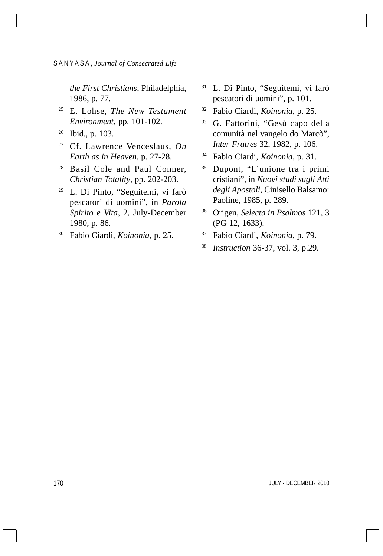*the First Christians*, Philadelphia, 1986, p. 77.

- <sup>25</sup> E. Lohse, *The New Testament Environment*, pp. 101-102.
- <sup>26</sup> Ibid., p. 103.
- <sup>27</sup> Cf. Lawrence Venceslaus, *On Earth as in Heaven*, p. 27-28.
- <sup>28</sup> Basil Cole and Paul Conner, *Christian Totality*, pp. 202-203.
- <sup>29</sup> L. Di Pinto, "Seguitemi, vi farò pescatori di uomini", in *Parola Spirito e Vita*, 2, July-December 1980, p. 86.
- <sup>30</sup> Fabio Ciardi, *Koinonia*, p. 25.
- <sup>31</sup> L. Di Pinto, "Seguitemi, vi farò pescatori di uomini", p. 101.
- <sup>32</sup> Fabio Ciardi, *Koinonia*, p. 25.
- <sup>33</sup> G. Fattorini, "Gesù capo della comunità nel vangelo do Marcò", *Inter Fratres* 32, 1982, p. 106.
- <sup>34</sup> Fabio Ciardi, *Koinonia*, p. 31.
- <sup>35</sup> Dupont, "L'unione tra i primi cristiani", in *Nuovi studi sugli Atti degli Apostoli*, Cinisello Balsamo: Paoline, 1985, p. 289.
- <sup>36</sup> Origen, *Selecta in Psalmos* 121, 3 (PG 12, 1633).
- <sup>37</sup> Fabio Ciardi, *Koinonia*, p. 79.
- <sup>38</sup> *Instruction* 36-37, vol. 3, p.29.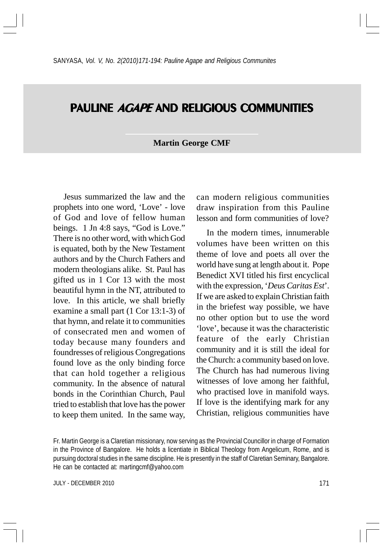# PAULINE AGAPE AND RELIGIOUS COMMUNITIES

#### **Martin George CMF**

Jesus summarized the law and the prophets into one word, 'Love' - love of God and love of fellow human beings. 1 Jn 4:8 says, "God is Love." There is no other word, with which God is equated, both by the New Testament authors and by the Church Fathers and modern theologians alike. St. Paul has gifted us in 1 Cor 13 with the most beautiful hymn in the NT, attributed to love. In this article, we shall briefly examine a small part (1 Cor 13:1-3) of that hymn, and relate it to communities of consecrated men and women of today because many founders and foundresses of religious Congregations found love as the only binding force that can hold together a religious community. In the absence of natural bonds in the Corinthian Church, Paul tried to establish that love has the power to keep them united. In the same way, can modern religious communities draw inspiration from this Pauline lesson and form communities of love?

In the modern times, innumerable volumes have been written on this theme of love and poets all over the world have sung at length about it. Pope Benedict XVI titled his first encyclical with the expression, '*Deus Caritas Est*'. If we are asked to explain Christian faith in the briefest way possible, we have no other option but to use the word 'love', because it was the characteristic feature of the early Christian community and it is still the ideal for the Church: a community based on love. The Church has had numerous living witnesses of love among her faithful, who practised love in manifold ways. If love is the identifying mark for any Christian, religious communities have

JULY - DECEMBER 2010 2000 171

Fr. Martin George is a Claretian missionary, now serving as the Provincial Councillor in charge of Formation in the Province of Bangalore. He holds a licentiate in Biblical Theology from Angelicum, Rome, and is pursuing doctoral studies in the same discipline. He is presently in the staff of Claretian Seminary, Bangalore. He can be contacted at: martingcmf@yahoo.com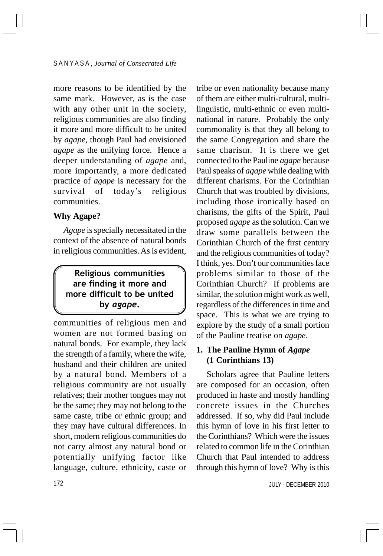more reasons to be identified by the same mark. However, as is the case with any other unit in the society, religious communities are also finding it more and more difficult to be united by *agape*, though Paul had envisioned *agape* as the unifying force. Hence a deeper understanding of *agape* and, more importantly, a more dedicated practice of *agape* is necessary for the survival of today's religious communities.

#### **Why Agape?**

*Agape* is specially necessitated in the context of the absence of natural bonds in religious communities. As is evident,

# Religious communities are finding it more and more difficult to be united by agape.

communities of religious men and women are not formed basing on natural bonds. For example, they lack the strength of a family, where the wife, husband and their children are united by a natural bond. Members of a religious community are not usually relatives; their mother tongues may not be the same; they may not belong to the same caste, tribe or ethnic group; and they may have cultural differences. In short, modern religious communities do not carry almost any natural bond or potentially unifying factor like language, culture, ethnicity, caste or tribe or even nationality because many of them are either multi-cultural, multilinguistic, multi-ethnic or even multinational in nature. Probably the only commonality is that they all belong to the same Congregation and share the same charism. It is there we get connected to the Pauline *agape* because Paul speaks of *agape* while dealing with different charisms. For the Corinthian Church that was troubled by divisions, including those ironically based on charisms, the gifts of the Spirit, Paul proposed *agape* as the solution. Can we draw some parallels between the Corinthian Church of the first century and the religious communities of today? I think, yes. Don't our communities face problems similar to those of the Corinthian Church? If problems are similar, the solution might work as well, regardless of the differences in time and space. This is what we are trying to explore by the study of a small portion of the Pauline treatise on *agape*.

# **1. The Pauline Hymn of** *Agape* **(1 Corinthians 13)**

Scholars agree that Pauline letters are composed for an occasion, often produced in haste and mostly handling concrete issues in the Churches addressed. If so, why did Paul include this hymn of love in his first letter to the Corinthians? Which were the issues related to common life in the Corinthian Church that Paul intended to address through this hymn of love? Why is this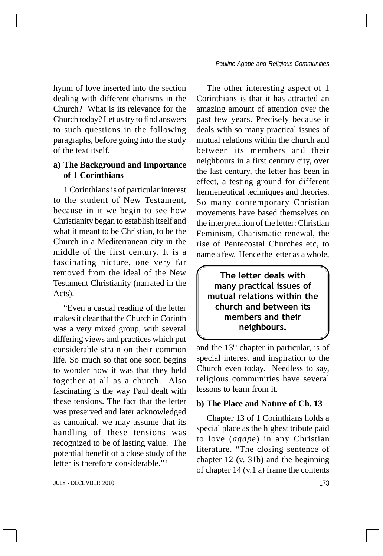hymn of love inserted into the section dealing with different charisms in the Church? What is its relevance for the Church today? Let us try to find answers to such questions in the following paragraphs, before going into the study of the text itself.

## **a) The Background and Importance of 1 Corinthians**

1 Corinthians is of particular interest to the student of New Testament, because in it we begin to see how Christianity began to establish itself and what it meant to be Christian, to be the Church in a Mediterranean city in the middle of the first century. It is a fascinating picture, one very far removed from the ideal of the New Testament Christianity (narrated in the Acts).

"Even a casual reading of the letter makes it clear that the Church in Corinth was a very mixed group, with several differing views and practices which put considerable strain on their common life. So much so that one soon begins to wonder how it was that they held together at all as a church. Also fascinating is the way Paul dealt with these tensions. The fact that the letter was preserved and later acknowledged as canonical, we may assume that its handling of these tensions was recognized to be of lasting value. The potential benefit of a close study of the letter is therefore considerable." <sup>1</sup>

JULY - DECEMBER 2010 173

The other interesting aspect of 1 Corinthians is that it has attracted an amazing amount of attention over the past few years. Precisely because it deals with so many practical issues of mutual relations within the church and between its members and their neighbours in a first century city, over the last century, the letter has been in effect, a testing ground for different hermeneutical techniques and theories. So many contemporary Christian movements have based themselves on the interpretation of the letter: Christian Feminism, Charismatic renewal, the rise of Pentecostal Churches etc, to name a few. Hence the letter as a whole,

The letter deals with many practical issues of mutual relations within the church and between its members and their neighbours.

and the  $13<sup>th</sup>$  chapter in particular, is of special interest and inspiration to the Church even today. Needless to say, religious communities have several lessons to learn from it.

#### **b) The Place and Nature of Ch. 13**

Chapter 13 of 1 Corinthians holds a special place as the highest tribute paid to love (*agape*) in any Christian literature. "The closing sentence of chapter 12 (v. 31b) and the beginning of chapter 14 (v.1 a) frame the contents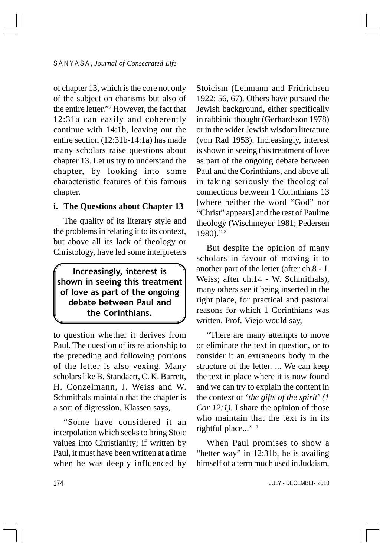of chapter 13, which is the core not only of the subject on charisms but also of the entire letter."2 However, the fact that 12:31a can easily and coherently continue with 14:1b, leaving out the entire section (12:31b-14:1a) has made many scholars raise questions about chapter 13. Let us try to understand the chapter, by looking into some characteristic features of this famous chapter.

### **i. The Questions about Chapter 13**

The quality of its literary style and the problems in relating it to its context, but above all its lack of theology or Christology, have led some interpreters

Increasingly, interest is shown in seeing this treatment of love as part of the ongoing debate between Paul and the Corinthians.

to question whether it derives from Paul. The question of its relationship to the preceding and following portions of the letter is also vexing. Many scholars like B. Standaert, C. K. Barrett, H. Conzelmann, J. Weiss and W. Schmithals maintain that the chapter is a sort of digression. Klassen says,

"Some have considered it an interpolation which seeks to bring Stoic values into Christianity; if written by Paul, it must have been written at a time when he was deeply influenced by Stoicism (Lehmann and Fridrichsen 1922: 56, 67). Others have pursued the Jewish background, either specifically in rabbinic thought (Gerhardsson 1978) or in the wider Jewish wisdom literature (von Rad 1953). Increasingly, interest is shown in seeing this treatment of love as part of the ongoing debate between Paul and the Corinthians, and above all in taking seriously the theological connections between 1 Corinthians 13 [where neither the word "God" nor "Christ" appears] and the rest of Pauline theology (Wischmeyer 1981; Pedersen 1980)." <sup>3</sup>

But despite the opinion of many scholars in favour of moving it to another part of the letter (after ch.8 - J. Weiss; after ch.14 - W. Schmithals), many others see it being inserted in the right place, for practical and pastoral reasons for which 1 Corinthians was written. Prof. Viejo would say,

"There are many attempts to move or eliminate the text in question, or to consider it an extraneous body in the structure of the letter. ... We can keep the text in place where it is now found and we can try to explain the content in the context of '*the gifts of the spirit*' *(1 Cor 12:1)*. I share the opinion of those who maintain that the text is in its rightful place..." 4

When Paul promises to show a "better way" in 12:31b, he is availing himself of a term much used in Judaism,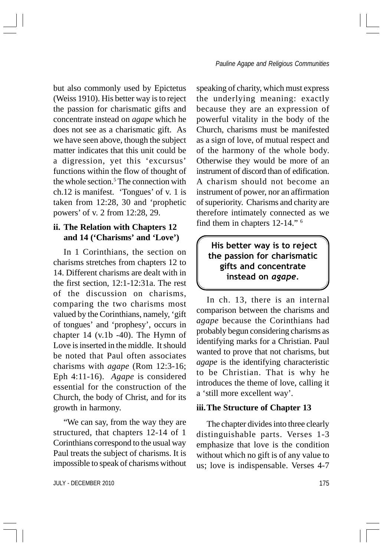but also commonly used by Epictetus (Weiss 1910). His better way is to reject the passion for charismatic gifts and concentrate instead on *agape* which he does not see as a charismatic gift. As we have seen above, though the subject matter indicates that this unit could be a digression, yet this 'excursus' functions within the flow of thought of the whole section.<sup>5</sup> The connection with ch.12 is manifest. 'Tongues' of v. 1 is taken from 12:28, 30 and 'prophetic powers' of v. 2 from 12:28, 29.

## **ii. The Relation with Chapters 12 and 14 ('Charisms' and 'Love')**

In 1 Corinthians, the section on charisms stretches from chapters 12 to 14. Different charisms are dealt with in the first section, 12:1-12:31a. The rest of the discussion on charisms, comparing the two charisms most valued by the Corinthians, namely, 'gift of tongues' and 'prophesy', occurs in chapter 14 (v.1b -40). The Hymn of Love is inserted in the middle. It should be noted that Paul often associates charisms with *agape* (Rom 12:3-16; Eph 4:11-16). *Agape* is considered essential for the construction of the Church, the body of Christ, and for its growth in harmony.

"We can say, from the way they are structured, that chapters 12-14 of 1 Corinthians correspond to the usual way Paul treats the subject of charisms. It is impossible to speak of charisms without

JULY - DECEMBER 2010 175

speaking of charity, which must express the underlying meaning: exactly because they are an expression of powerful vitality in the body of the Church, charisms must be manifested as a sign of love, of mutual respect and of the harmony of the whole body. Otherwise they would be more of an instrument of discord than of edification. A charism should not become an instrument of power, nor an affirmation of superiority. Charisms and charity are therefore intimately connected as we find them in chapters 12-14." 6

## His better way is to reject the passion for charismatic gifts and concentrate instead on agape.

In ch. 13, there is an internal comparison between the charisms and *agape* because the Corinthians had probably begun considering charisms as identifying marks for a Christian. Paul wanted to prove that not charisms, but *agape* is the identifying characteristic to be Christian. That is why he introduces the theme of love, calling it a 'still more excellent way'.

#### **iii.The Structure of Chapter 13**

The chapter divides into three clearly distinguishable parts. Verses 1-3 emphasize that love is the condition without which no gift is of any value to us; love is indispensable. Verses 4-7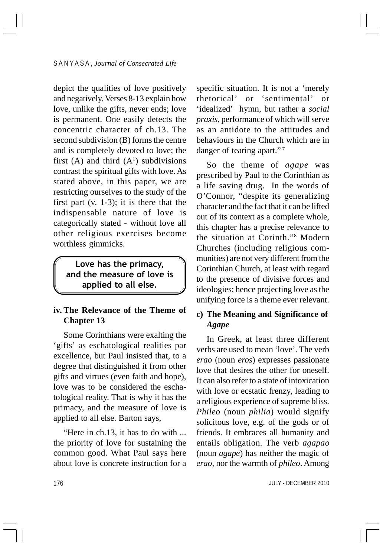depict the qualities of love positively and negatively. Verses 8-13 explain how love, unlike the gifts, never ends; love is permanent. One easily detects the concentric character of ch.13. The second subdivision (B) forms the centre and is completely devoted to love; the first (A) and third  $(A<sup>1</sup>)$  subdivisions contrast the spiritual gifts with love. As stated above, in this paper, we are restricting ourselves to the study of the first part (v. 1-3); it is there that the indispensable nature of love is categorically stated - without love all other religious exercises become worthless gimmicks.

Love has the primacy, and the measure of love is applied to all else.

## **iv. The Relevance of the Theme of Chapter 13**

Some Corinthians were exalting the 'gifts' as eschatological realities par excellence, but Paul insisted that, to a degree that distinguished it from other gifts and virtues (even faith and hope), love was to be considered the eschatological reality. That is why it has the primacy, and the measure of love is applied to all else. Barton says,

"Here in ch.13, it has to do with ... the priority of love for sustaining the common good. What Paul says here about love is concrete instruction for a

specific situation. It is not a 'merely rhetorical' or 'sentimental' or 'idealized' hymn, but rather a *social praxis*, performance of which will serve as an antidote to the attitudes and behaviours in the Church which are in danger of tearing apart."<sup>7</sup>

So the theme of *agape* was prescribed by Paul to the Corinthian as a life saving drug. In the words of O'Connor, "despite its generalizing character and the fact that it can be lifted out of its context as a complete whole, this chapter has a precise relevance to the situation at Corinth."8 Modern Churches (including religious communities) are not very different from the Corinthian Church, at least with regard to the presence of divisive forces and ideologies; hence projecting love as the unifying force is a theme ever relevant.

## **c) The Meaning and Significance of** *Agape*

In Greek, at least three different verbs are used to mean 'love'. The verb *erao* (noun *eros*) expresses passionate love that desires the other for oneself. It can also refer to a state of intoxication with love or ecstatic frenzy, leading to a religious experience of supreme bliss. *Phileo* (noun *philia*) would signify solicitous love, e.g. of the gods or of friends. It embraces all humanity and entails obligation. The verb *agapao* (noun *agape*) has neither the magic of *erao*, nor the warmth of *phileo*. Among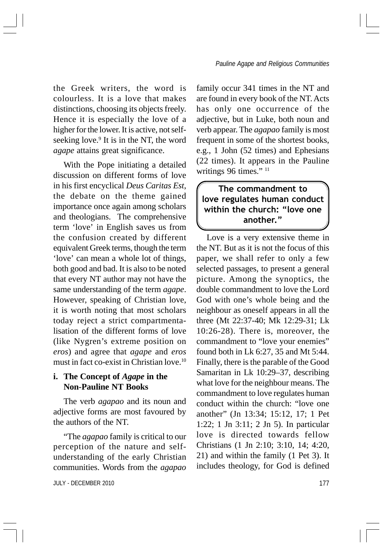the Greek writers, the word is colourless. It is a love that makes distinctions, choosing its objects freely. Hence it is especially the love of a higher for the lower. It is active, not selfseeking love.<sup>9</sup> It is in the NT, the word *agape* attains great significance.

With the Pope initiating a detailed discussion on different forms of love in his first encyclical *Deus Caritas Est*, the debate on the theme gained importance once again among scholars and theologians. The comprehensive term 'love' in English saves us from the confusion created by different equivalent Greek terms, though the term 'love' can mean a whole lot of things, both good and bad. It is also to be noted that every NT author may not have the same understanding of the term *agape*. However, speaking of Christian love, it is worth noting that most scholars today reject a strict compartmentalisation of the different forms of love (like Nygren's extreme position on *eros*) and agree that *agape* and *eros* must in fact co-exist in Christian love.10

### **i. The Concept of** *Agape* **in the Non-Pauline NT Books**

The verb *agapao* and its noun and adjective forms are most favoured by the authors of the NT.

"The *agapao* family is critical to our perception of the nature and selfunderstanding of the early Christian communities. Words from the *agapao*

JULY - DECEMBER 2010 177

family occur 341 times in the NT and are found in every book of the NT. Acts has only one occurrence of the adjective, but in Luke, both noun and verb appear. The *agapao* family is most frequent in some of the shortest books, e.g., 1 John (52 times) and Ephesians (22 times). It appears in the Pauline writings 96 times." <sup>11</sup>

## The commandment to love regulates human conduct within the church: "love one another."

Love is a very extensive theme in the NT. But as it is not the focus of this paper, we shall refer to only a few selected passages, to present a general picture. Among the synoptics, the double commandment to love the Lord God with one's whole being and the neighbour as oneself appears in all the three (Mt 22:37-40; Mk 12:29-31; Lk 10:26-28). There is, moreover, the commandment to "love your enemies" found both in Lk 6:27, 35 and Mt 5:44. Finally, there is the parable of the Good Samaritan in Lk 10:29–37, describing what love for the neighbour means. The commandment to love regulates human conduct within the church: "love one another" (Jn 13:34; 15:12, 17; 1 Pet 1:22; 1 Jn 3:11; 2 Jn 5). In particular love is directed towards fellow Christians (1 Jn 2:10; 3:10, 14; 4:20, 21) and within the family (1 Pet 3). It includes theology, for God is defined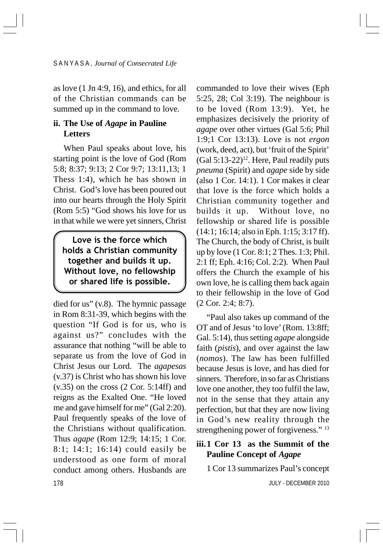as love (1 Jn 4:9, 16), and ethics, for all of the Christian commands can be summed up in the command to love.

## **ii. The Use of** *Agape* **in Pauline Letters**

When Paul speaks about love, his starting point is the love of God (Rom 5:8; 8:37; 9:13; 2 Cor 9:7; 13:11,13; 1 Thess 1:4), which he has shown in Christ. God's love has been poured out into our hearts through the Holy Spirit (Rom 5:5) "God shows his love for us in that while we were yet sinners, Christ

Love is the force which holds a Christian community together and builds it up. Without love, no fellowship or shared life is possible.

178 died for us" (v.8). The hymnic passage in Rom 8:31-39, which begins with the question "If God is for us, who is against us?" concludes with the assurance that nothing "will be able to separate us from the love of God in Christ Jesus our Lord. The *agapesas* (v.37) is Christ who has shown his love  $(v.35)$  on the cross  $(2 \text{ Cor. } 5:14\text{ ff})$  and reigns as the Exalted One. "He loved me and gave himself for me" (Gal 2:20). Paul frequently speaks of the love of the Christians without qualification. Thus *agape* (Rom 12:9; 14:15; 1 Cor. 8:1; 14:1; 16:14) could easily be understood as one form of moral conduct among others. Husbands are

commanded to love their wives (Eph 5:25, 28; Col 3:19). The neighbour is to be loved (Rom 13:9). Yet, he emphasizes decisively the priority of *agape* over other virtues (Gal 5:6; Phil 1:9;1 Cor 13:13). Love is not *ergon* (work, deed, act), but 'fruit of the Spirit'  $(Gal 5:13-22)<sup>12</sup>$ . Here, Paul readily puts *pneuma* (Spirit) and *agape* side by side (also 1 Cor. 14:1). 1 Cor makes it clear that love is the force which holds a Christian community together and builds it up. Without love, no fellowship or shared life is possible (14:1; 16:14; also in Eph. 1:15; 3:17 ff). The Church, the body of Christ, is built up by love (1 Cor. 8:1; 2 Thes. 1:3; Phil. 2:1 ff; Eph. 4:16; Col. 2:2). When Paul offers the Church the example of his own love, he is calling them back again to their fellowship in the love of God (2 Cor. 2:4; 8:7).

"Paul also takes up command of the OT and of Jesus 'to love' (Rom. 13:8ff; Gal. 5:14), thus setting *agape* alongside faith (*pistis*), and over against the law (*nomos*). The law has been fulfilled because Jesus is love, and has died for sinners. Therefore, in so far as Christians love one another, they too fulfil the law, not in the sense that they attain any perfection, but that they are now living in God's new reality through the strengthening power of forgiveness." 13

## **iii.1 Cor 13 as the Summit of the Pauline Concept of** *Agape*

1 Cor 13 summarizes Paul's concept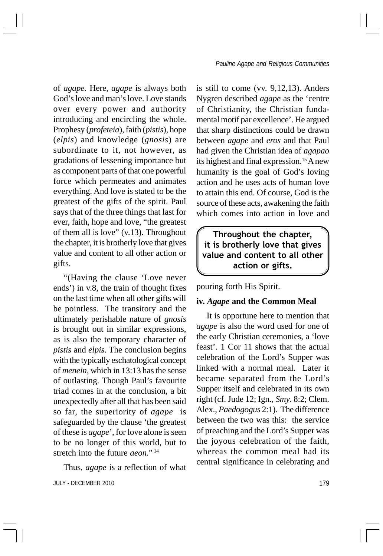of *agape*. Here, *agape* is always both God's love and man's love. Love stands over every power and authority introducing and encircling the whole. Prophesy (*profeteia*), faith (*pistis*), hope (*elpis*) and knowledge (*gnosis*) are subordinate to it, not however, as gradations of lessening importance but as component parts of that one powerful force which permeates and animates everything. And love is stated to be the greatest of the gifts of the spirit. Paul says that of the three things that last for ever, faith, hope and love, "the greatest of them all is love" (v.13). Throughout the chapter, it is brotherly love that gives value and content to all other action or gifts.

"(Having the clause 'Love never ends') in v.8, the train of thought fixes on the last time when all other gifts will be pointless. The transitory and the ultimately perishable nature of *gnosis* is brought out in similar expressions, as is also the temporary character of *pistis* and *elpis*. The conclusion begins with the typically eschatological concept of *menein*, which in 13:13 has the sense of outlasting. Though Paul's favourite triad comes in at the conclusion, a bit unexpectedly after all that has been said so far, the superiority of *agape* is safeguarded by the clause 'the greatest of these is *agape*', for love alone is seen to be no longer of this world, but to stretch into the future *aeon.*" <sup>14</sup>

JULY - DECEMBER 2010 179 Thus, *agape* is a reflection of what

is still to come (vv. 9,12,13). Anders Nygren described *agape* as the 'centre of Christianity, the Christian fundamental motif par excellence'. He argued that sharp distinctions could be drawn between *agape* and *eros* and that Paul had given the Christian idea of *agapao* its highest and final expression.<sup>15</sup> A new humanity is the goal of God's loving action and he uses acts of human love to attain this end. Of course, God is the source of these acts, awakening the faith which comes into action in love and

Throughout the chapter, it is brotherly love that gives value and content to all other action or gifts.

pouring forth His Spirit.

### **iv.** *Agape* **and the Common Meal**

It is opportune here to mention that *agape* is also the word used for one of the early Christian ceremonies, a 'love feast'. 1 Cor 11 shows that the actual celebration of the Lord's Supper was linked with a normal meal. Later it became separated from the Lord's Supper itself and celebrated in its own right (cf. Jude 12; Ign., *Smy*. 8:2; Clem. Alex., *Paedogogus* 2:1). The difference between the two was this: the service of preaching and the Lord's Supper was the joyous celebration of the faith, whereas the common meal had its central significance in celebrating and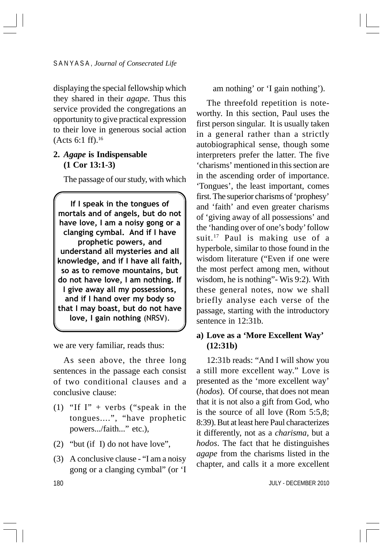displaying the special fellowship which they shared in their *agape*. Thus this service provided the congregations an opportunity to give practical expression to their love in generous social action (Acts 6:1 ff).16

## **2.** *Agape* **is Indispensable (1 Cor 13:1-3)**

The passage of our study, with which

If I speak in the tongues of mortals and of angels, but do not have love, I am a noisy gong or a clanging cymbal. And if I have prophetic powers, and understand all mysteries and all knowledge, and if I have all faith, so as to remove mountains, but do not have love, I am nothing. If I give away all my possessions, and if I hand over my body so that I may boast, but do not have love, I gain nothing (NRSV).

we are very familiar, reads thus:

As seen above, the three long sentences in the passage each consist of two conditional clauses and a conclusive clause:

- (1) "If  $\Gamma$ " + verbs ("speak in the tongues....", "have prophetic powers.../faith..." etc.),
- (2) "but (if I) do not have love",
- (3) A conclusive clause "I am a noisy gong or a clanging cymbal" (or 'I

#### am nothing' or 'I gain nothing').

The threefold repetition is noteworthy. In this section, Paul uses the first person singular. It is usually taken in a general rather than a strictly autobiographical sense, though some interpreters prefer the latter. The five 'charisms' mentioned in this section are in the ascending order of importance. 'Tongues', the least important, comes first. The superior charisms of 'prophesy' and 'faith' and even greater charisms of 'giving away of all possessions' and the 'handing over of one's body' follow suit.<sup>17</sup> Paul is making use of a hyperbole, similar to those found in the wisdom literature ("Even if one were the most perfect among men, without wisdom, he is nothing"- Wis 9:2). With these general notes, now we shall briefly analyse each verse of the passage, starting with the introductory sentence in 12:31b.

## **a) Love as a 'More Excellent Way' (12:31b)**

12:31b reads: "And I will show you a still more excellent way." Love is presented as the 'more excellent way' (*hodos*). Of course, that does not mean that it is not also a gift from God, who is the source of all love (Rom 5:5,8; 8:39). But at least here Paul characterizes it differently, not as a *charisma*, but a *hodos*. The fact that he distinguishes *agape* from the charisms listed in the chapter, and calls it a more excellent

180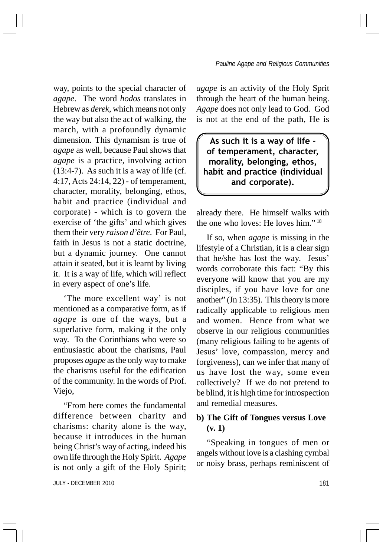way, points to the special character of *agape*. The word *hodos* translates in Hebrew as *derek*, which means not only the way but also the act of walking, the march, with a profoundly dynamic dimension. This dynamism is true of *agape* as well, because Paul shows that *agape* is a practice, involving action  $(13:4-7)$ . As such it is a way of life (cf. 4:17, Acts 24:14, 22) - of temperament, character, morality, belonging, ethos, habit and practice (individual and corporate) - which is to govern the exercise of 'the gifts' and which gives them their very *raison d'être*. For Paul, faith in Jesus is not a static doctrine, but a dynamic journey. One cannot attain it seated, but it is learnt by living it. It is a way of life, which will reflect in every aspect of one's life.

'The more excellent way' is not mentioned as a comparative form, as if *agape* is one of the ways, but a superlative form, making it the only way. To the Corinthians who were so enthusiastic about the charisms, Paul proposes *agape* as the only way to make the charisms useful for the edification of the community. In the words of Prof. Viejo,

"From here comes the fundamental difference between charity and charisms: charity alone is the way, because it introduces in the human being Christ's way of acting, indeed his own life through the Holy Spirit. *Agape* is not only a gift of the Holy Spirit;

*agape* is an activity of the Holy Sprit through the heart of the human being. *Agape* does not only lead to God. God is not at the end of the path, He is

As such it is a way of life of temperament, character, morality, belonging, ethos, habit and practice (individual and corporate).

already there. He himself walks with the one who loves: He loves him." <sup>18</sup>

If so, when *agape* is missing in the lifestyle of a Christian, it is a clear sign that he/she has lost the way. Jesus' words corroborate this fact: "By this everyone will know that you are my disciples, if you have love for one another" (Jn 13:35). This theory is more radically applicable to religious men and women. Hence from what we observe in our religious communities (many religious failing to be agents of Jesus' love, compassion, mercy and forgiveness), can we infer that many of us have lost the way, some even collectively? If we do not pretend to be blind, it is high time for introspection and remedial measures.

## **b) The Gift of Tongues versus Love (v. 1)**

"Speaking in tongues of men or angels without love is a clashing cymbal or noisy brass, perhaps reminiscent of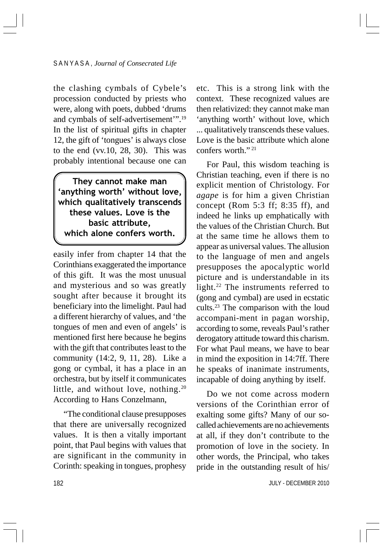the clashing cymbals of Cybele's procession conducted by priests who were, along with poets, dubbed 'drums and cymbals of self-advertisement'".19 In the list of spiritual gifts in chapter 12, the gift of 'tongues' is always close to the end (vv.10, 28, 30). This was probably intentional because one can

They cannot make man 'anything worth' without love, which qualitatively transcends these values. Love is the basic attribute, which alone confers worth.

easily infer from chapter 14 that the Corinthians exaggerated the importance of this gift. It was the most unusual and mysterious and so was greatly sought after because it brought its beneficiary into the limelight. Paul had a different hierarchy of values, and 'the tongues of men and even of angels' is mentioned first here because he begins with the gift that contributes least to the community (14:2, 9, 11, 28). Like a gong or cymbal, it has a place in an orchestra, but by itself it communicates little, and without love, nothing.<sup>20</sup> According to Hans Conzelmann,

"The conditional clause presupposes that there are universally recognized values. It is then a vitally important point, that Paul begins with values that are significant in the community in Corinth: speaking in tongues, prophesy

etc. This is a strong link with the context. These recognized values are then relativized: they cannot make man 'anything worth' without love, which ... qualitatively transcends these values. Love is the basic attribute which alone confers worth."<sup>21</sup>

For Paul, this wisdom teaching is Christian teaching, even if there is no explicit mention of Christology. For *agape* is for him a given Christian concept (Rom 5:3 ff; 8:35 ff), and indeed he links up emphatically with the values of the Christian Church. But at the same time he allows them to appear as universal values. The allusion to the language of men and angels presupposes the apocalyptic world picture and is understandable in its light.22 The instruments referred to (gong and cymbal) are used in ecstatic cults.23 The comparison with the loud accompani-ment in pagan worship, according to some, reveals Paul's rather derogatory attitude toward this charism. For what Paul means, we have to bear in mind the exposition in 14:7ff. There he speaks of inanimate instruments, incapable of doing anything by itself.

Do we not come across modern versions of the Corinthian error of exalting some gifts? Many of our socalled achievements are no achievements at all, if they don't contribute to the promotion of love in the society. In other words, the Principal, who takes pride in the outstanding result of his/

JULY - DECEMBER 2010

182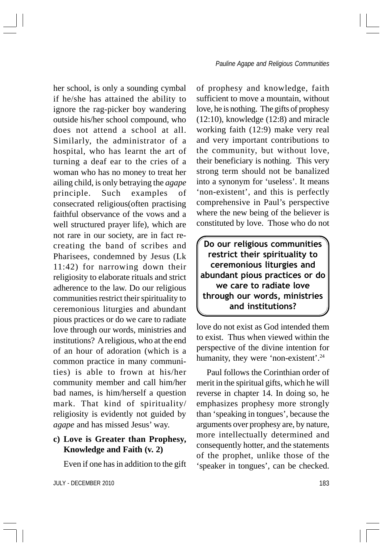her school, is only a sounding cymbal if he/she has attained the ability to ignore the rag-picker boy wandering outside his/her school compound, who does not attend a school at all. Similarly, the administrator of a hospital, who has learnt the art of turning a deaf ear to the cries of a woman who has no money to treat her ailing child, is only betraying the *agape* principle. Such examples of consecrated religious(often practising faithful observance of the vows and a well structured prayer life), which are not rare in our society, are in fact recreating the band of scribes and Pharisees, condemned by Jesus (Lk 11:42) for narrowing down their religiosity to elaborate rituals and strict adherence to the law. Do our religious communities restrict their spirituality to ceremonious liturgies and abundant pious practices or do we care to radiate love through our words, ministries and institutions? A religious, who at the end of an hour of adoration (which is a common practice in many communities) is able to frown at his/her community member and call him/her bad names, is him/herself a question mark. That kind of spirituality/ religiosity is evidently not guided by *agape* and has missed Jesus' way.

## **c) Love is Greater than Prophesy, Knowledge and Faith (v. 2)**

Even if one has in addition to the gift

JULY - DECEMBER 2010 183

of prophesy and knowledge, faith sufficient to move a mountain, without love, he is nothing. The gifts of prophesy (12:10), knowledge (12:8) and miracle working faith (12:9) make very real and very important contributions to the community, but without love, their beneficiary is nothing. This very strong term should not be banalized into a synonym for 'useless'. It means 'non-existent', and this is perfectly comprehensive in Paul's perspective where the new being of the believer is constituted by love. Those who do not

Do our religious communities restrict their spirituality to ceremonious liturgies and abundant pious practices or do we care to radiate love through our words, ministries and institutions?

love do not exist as God intended them to exist. Thus when viewed within the perspective of the divine intention for humanity, they were 'non-existent'.<sup>24</sup>

Paul follows the Corinthian order of merit in the spiritual gifts, which he will reverse in chapter 14. In doing so, he emphasizes prophesy more strongly than 'speaking in tongues', because the arguments over prophesy are, by nature, more intellectually determined and consequently hotter, and the statements of the prophet, unlike those of the 'speaker in tongues', can be checked.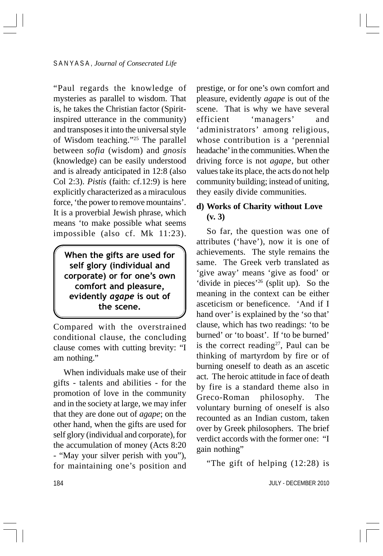"Paul regards the knowledge of mysteries as parallel to wisdom. That is, he takes the Christian factor (Spiritinspired utterance in the community) and transposes it into the universal style of Wisdom teaching."25 The parallel between *sofia* (wisdom) and *gnosis* (knowledge) can be easily understood and is already anticipated in 12:8 (also Col 2:3). *Pistis* (faith: cf.12:9) is here explicitly characterized as a miraculous force, 'the power to remove mountains'. It is a proverbial Jewish phrase, which means 'to make possible what seems impossible (also cf. Mk 11:23).

When the gifts are used for self glory (individual and corporate) or for one's own comfort and pleasure, evidently agape is out of the scene.

Compared with the overstrained conditional clause, the concluding clause comes with cutting brevity: "I am nothing."

When individuals make use of their gifts - talents and abilities - for the promotion of love in the community and in the society at large, we may infer that they are done out of *agape*; on the other hand, when the gifts are used for self glory (individual and corporate), for the accumulation of money (Acts 8:20 - "May your silver perish with you"), for maintaining one's position and

prestige, or for one's own comfort and pleasure, evidently *agape* is out of the scene. That is why we have several efficient 'managers' and 'administrators' among religious, whose contribution is a 'perennial headache' in the communities. When the driving force is not *agape*, but other values take its place, the acts do not help community building; instead of uniting, they easily divide communities.

## **d) Works of Charity without Love (v. 3)**

So far, the question was one of attributes ('have'), now it is one of achievements. The style remains the same. The Greek verb translated as 'give away' means 'give as food' or 'divide in pieces'26 (split up). So the meaning in the context can be either asceticism or beneficence. 'And if I hand over' is explained by the 'so that' clause, which has two readings: 'to be burned' or 'to boast'. If 'to be burned' is the correct reading<sup>27</sup>, Paul can be thinking of martyrdom by fire or of burning oneself to death as an ascetic act. The heroic attitude in face of death by fire is a standard theme also in Greco-Roman philosophy. The voluntary burning of oneself is also recounted as an Indian custom, taken over by Greek philosophers. The brief verdict accords with the former one: "I gain nothing"

"The gift of helping (12:28) is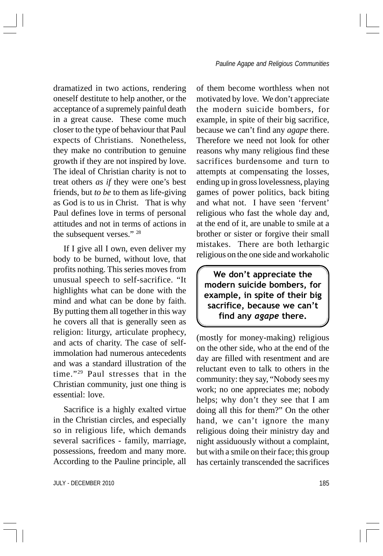dramatized in two actions, rendering oneself destitute to help another, or the acceptance of a supremely painful death in a great cause. These come much closer to the type of behaviour that Paul expects of Christians. Nonetheless, they make no contribution to genuine growth if they are not inspired by love. The ideal of Christian charity is not to treat others *as if* they were one's best friends, but *to be* to them as life-giving as God is to us in Christ. That is why Paul defines love in terms of personal attitudes and not in terms of actions in the subsequent verses." 28

If I give all I own, even deliver my body to be burned, without love, that profits nothing. This series moves from unusual speech to self-sacrifice. "It highlights what can be done with the mind and what can be done by faith. By putting them all together in this way he covers all that is generally seen as religion: liturgy, articulate prophecy, and acts of charity. The case of selfimmolation had numerous antecedents and was a standard illustration of the time."29 Paul stresses that in the Christian community, just one thing is essential: love.

Sacrifice is a highly exalted virtue in the Christian circles, and especially so in religious life, which demands several sacrifices - family, marriage, possessions, freedom and many more. According to the Pauline principle, all

of them become worthless when not motivated by love. We don't appreciate the modern suicide bombers, for example, in spite of their big sacrifice, because we can't find any *agape* there. Therefore we need not look for other reasons why many religious find these sacrifices burdensome and turn to attempts at compensating the losses, ending up in gross lovelessness, playing games of power politics, back biting and what not. I have seen 'fervent' religious who fast the whole day and, at the end of it, are unable to smile at a brother or sister or forgive their small mistakes. There are both lethargic religious on the one side and workaholic

We don't appreciate the modern suicide bombers, for example, in spite of their big sacrifice, because we can't find any agape there.

(mostly for money-making) religious on the other side, who at the end of the day are filled with resentment and are reluctant even to talk to others in the community: they say, "Nobody sees my work; no one appreciates me; nobody helps; why don't they see that I am doing all this for them?" On the other hand, we can't ignore the many religious doing their ministry day and night assiduously without a complaint, but with a smile on their face; this group has certainly transcended the sacrifices

JULY - DECEMBER 2010 185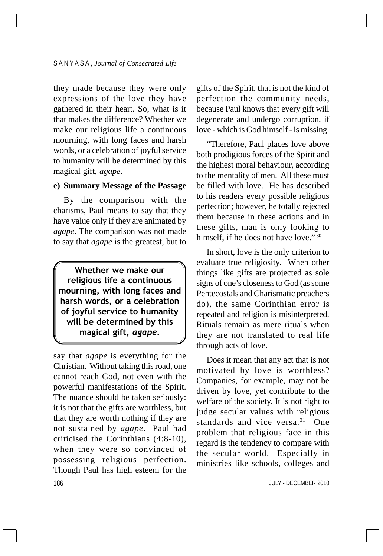they made because they were only expressions of the love they have gathered in their heart. So, what is it that makes the difference? Whether we make our religious life a continuous mourning, with long faces and harsh words, or a celebration of joyful service to humanity will be determined by this magical gift, *agape*.

#### **e) Summary Message of the Passage**

By the comparison with the charisms, Paul means to say that they have value only if they are animated by *agape*. The comparison was not made to say that *agape* is the greatest, but to

Whether we make our religious life a continuous mourning, with long faces and harsh words, or a celebration of joyful service to humanity will be determined by this magical gift, agape.

186 say that *agape* is everything for the Christian. Without taking this road, one cannot reach God, not even with the powerful manifestations of the Spirit. The nuance should be taken seriously: it is not that the gifts are worthless, but that they are worth nothing if they are not sustained by *agape*. Paul had criticised the Corinthians (4:8-10), when they were so convinced of possessing religious perfection. Though Paul has high esteem for the

gifts of the Spirit, that is not the kind of perfection the community needs, because Paul knows that every gift will degenerate and undergo corruption, if love - which is God himself - is missing.

"Therefore, Paul places love above both prodigious forces of the Spirit and the highest moral behaviour, according to the mentality of men. All these must be filled with love. He has described to his readers every possible religious perfection; however, he totally rejected them because in these actions and in these gifts, man is only looking to himself, if he does not have love."<sup>30</sup>

In short, love is the only criterion to evaluate true religiosity. When other things like gifts are projected as sole signs of one's closeness to God (as some Pentecostals and Charismatic preachers do), the same Corinthian error is repeated and religion is misinterpreted. Rituals remain as mere rituals when they are not translated to real life through acts of love.

Does it mean that any act that is not motivated by love is worthless? Companies, for example, may not be driven by love, yet contribute to the welfare of the society. It is not right to judge secular values with religious standards and vice versa.<sup>31</sup> One problem that religious face in this regard is the tendency to compare with the secular world. Especially in ministries like schools, colleges and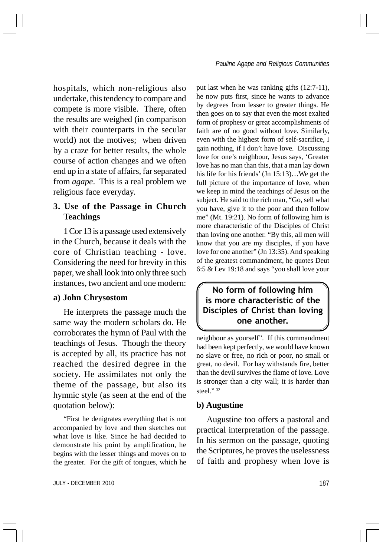hospitals, which non-religious also undertake, this tendency to compare and compete is more visible. There, often the results are weighed (in comparison with their counterparts in the secular world) not the motives; when driven by a craze for better results, the whole course of action changes and we often end up in a state of affairs, far separated from *agape*. This is a real problem we religious face everyday.

## **3. Use of the Passage in Church Teachings**

1 Cor 13 is a passage used extensively in the Church, because it deals with the core of Christian teaching - love. Considering the need for brevity in this paper, we shall look into only three such instances, two ancient and one modern:

#### **a) John Chrysostom**

He interprets the passage much the same way the modern scholars do. He corroborates the hymn of Paul with the teachings of Jesus. Though the theory is accepted by all, its practice has not reached the desired degree in the society. He assimilates not only the theme of the passage, but also its hymnic style (as seen at the end of the quotation below):

"First he denigrates everything that is not accompanied by love and then sketches out what love is like. Since he had decided to demonstrate his point by amplification, he begins with the lesser things and moves on to the greater. For the gift of tongues, which he

JULY - DECEMBER 2010 2000 187 November 2010 187

put last when he was ranking gifts (12:7-11), he now puts first, since he wants to advance by degrees from lesser to greater things. He then goes on to say that even the most exalted form of prophesy or great accomplishments of faith are of no good without love. Similarly, even with the highest form of self-sacrifice, I gain nothing, if I don't have love. Discussing love for one's neighbour, Jesus says, 'Greater love has no man than this, that a man lay down his life for his friends' (Jn 15:13)…We get the full picture of the importance of love, when we keep in mind the teachings of Jesus on the subject. He said to the rich man, "Go, sell what you have, give it to the poor and then follow me" (Mt. 19:21). No form of following him is more characteristic of the Disciples of Christ than loving one another. "By this, all men will know that you are my disciples, if you have love for one another" (Jn 13:35). And speaking of the greatest commandment, he quotes Deut 6:5 & Lev 19:18 and says "you shall love your

## No form of following him is more characteristic of the Disciples of Christ than loving one another.

neighbour as yourself". If this commandment had been kept perfectly, we would have known no slave or free, no rich or poor, no small or great, no devil. For hay withstands fire, better than the devil survives the flame of love. Love is stronger than a city wall; it is harder than steel." <sup>32</sup>

#### **b) Augustine**

Augustine too offers a pastoral and practical interpretation of the passage. In his sermon on the passage, quoting the Scriptures, he proves the uselessness of faith and prophesy when love is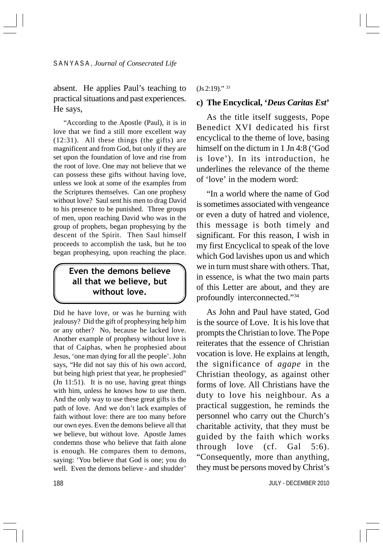absent. He applies Paul's teaching to practical situations and past experiences. He says,

"According to the Apostle (Paul), it is in love that we find a still more excellent way (12:31). All these things (the gifts) are magnificent and from God, but only if they are set upon the foundation of love and rise from the root of love. One may not believe that we can possess these gifts without having love, unless we look at some of the examples from the Scriptures themselves. Can one prophesy without love? Saul sent his men to drag David to his presence to be punished. Three groups of men, upon reaching David who was in the group of prophets, began prophesying by the descent of the Spirit. Then Saul himself proceeds to accomplish the task, but he too began prophesying, upon reaching the place.

## Even the demons believe all that we believe, but without love.

Did he have love, or was he burning with jealousy? Did the gift of prophesying help him or any other? No, because he lacked love. Another example of prophesy without love is that of Caiphas, when he prophesied about Jesus, 'one man dying for all the people'. John says, "He did not say this of his own accord, but being high priest that year, he prophesied" (Jn 11:51). It is no use, having great things with him, unless he knows how to use them. And the only way to use these great gifts is the path of love. And we don't lack examples of faith without love: there are too many before our own eyes. Even the demons believe all that we believe, but without love. Apostle James condemns those who believe that faith alone is enough. He compares them to demons, saying: 'You believe that God is one; you do well. Even the demons believe - and shudder'

#### (Js 2:19)." 33

#### **c) The Encyclical, '***Deus Caritas Est***'**

As the title itself suggests, Pope Benedict XVI dedicated his first encyclical to the theme of love, basing himself on the dictum in 1 Jn 4:8 ('God is love'). In its introduction, he underlines the relevance of the theme of 'love' in the modern word:

"In a world where the name of God is sometimes associated with vengeance or even a duty of hatred and violence, this message is both timely and significant. For this reason, I wish in my first Encyclical to speak of the love which God lavishes upon us and which we in turn must share with others. That, in essence, is what the two main parts of this Letter are about, and they are profoundly interconnected."34

As John and Paul have stated, God is the source of Love. It is his love that prompts the Christian to love. The Pope reiterates that the essence of Christian vocation is love. He explains at length, the significance of *agape* in the Christian theology, as against other forms of love. All Christians have the duty to love his neighbour. As a practical suggestion, he reminds the personnel who carry out the Church's charitable activity, that they must be guided by the faith which works through love (cf. Gal 5:6). "Consequently, more than anything, they must be persons moved by Christ's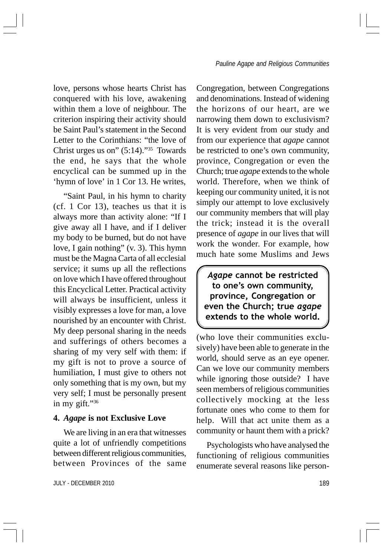love, persons whose hearts Christ has conquered with his love, awakening within them a love of neighbour. The criterion inspiring their activity should be Saint Paul's statement in the Second Letter to the Corinthians: "the love of Christ urges us on"  $(5:14)$ ."<sup>35</sup> Towards the end, he says that the whole encyclical can be summed up in the 'hymn of love' in 1 Cor 13. He writes,

"Saint Paul, in his hymn to charity (cf. 1 Cor 13), teaches us that it is always more than activity alone: "If I give away all I have, and if I deliver my body to be burned, but do not have love, I gain nothing" (v. 3). This hymn must be the Magna Carta of all ecclesial service; it sums up all the reflections on love which I have offered throughout this Encyclical Letter. Practical activity will always be insufficient, unless it visibly expresses a love for man, a love nourished by an encounter with Christ. My deep personal sharing in the needs and sufferings of others becomes a sharing of my very self with them: if my gift is not to prove a source of humiliation, I must give to others not only something that is my own, but my very self; I must be personally present in my gift."<sup>36</sup>

#### **4.** *Agape* **is not Exclusive Love**

We are living in an era that witnesses quite a lot of unfriendly competitions between different religious communities, between Provinces of the same

JULY - DECEMBER 2010 189

Congregation, between Congregations and denominations. Instead of widening the horizons of our heart, are we narrowing them down to exclusivism? It is very evident from our study and from our experience that *agape* cannot be restricted to one's own community, province, Congregation or even the Church; true *agape* extends to the whole world. Therefore, when we think of keeping our community united, it is not simply our attempt to love exclusively our community members that will play the trick; instead it is the overall presence of *agape* in our lives that will work the wonder. For example, how much hate some Muslims and Jews

Agape cannot be restricted to one's own community, province, Congregation or even the Church; true agape extends to the whole world.

(who love their communities exclusively) have been able to generate in the world, should serve as an eye opener. Can we love our community members while ignoring those outside? I have seen members of religious communities collectively mocking at the less fortunate ones who come to them for help. Will that act unite them as a community or haunt them with a prick?

Psychologists who have analysed the functioning of religious communities enumerate several reasons like person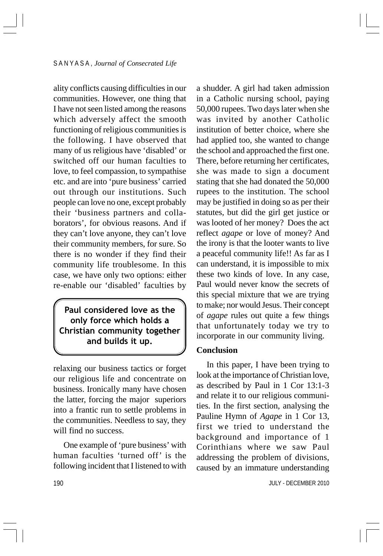ality conflicts causing difficulties in our communities. However, one thing that I have not seen listed among the reasons which adversely affect the smooth functioning of religious communities is the following. I have observed that many of us religious have 'disabled' or switched off our human faculties to love, to feel compassion, to sympathise etc. and are into 'pure business' carried out through our institutions. Such people can love no one, except probably their 'business partners and collaborators', for obvious reasons. And if they can't love anyone, they can't love their community members, for sure. So there is no wonder if they find their community life troublesome. In this case, we have only two options: either re-enable our 'disabled' faculties by

Paul considered love as the only force which holds a Christian community together and builds it up.

relaxing our business tactics or forget our religious life and concentrate on business. Ironically many have chosen the latter, forcing the major superiors into a frantic run to settle problems in the communities. Needless to say, they will find no success.

One example of 'pure business' with human faculties 'turned off' is the following incident that I listened to with a shudder. A girl had taken admission in a Catholic nursing school, paying 50,000 rupees. Two days later when she was invited by another Catholic institution of better choice, where she had applied too, she wanted to change the school and approached the first one. There, before returning her certificates, she was made to sign a document stating that she had donated the 50,000 rupees to the institution. The school may be justified in doing so as per their statutes, but did the girl get justice or was looted of her money? Does the act reflect *agape* or love of money? And the irony is that the looter wants to live a peaceful community life!! As far as I can understand, it is impossible to mix these two kinds of love. In any case, Paul would never know the secrets of this special mixture that we are trying to make; nor would Jesus. Their concept of *agape* rules out quite a few things that unfortunately today we try to incorporate in our community living.

#### **Conclusion**

In this paper, I have been trying to look at the importance of Christian love, as described by Paul in 1 Cor 13:1-3 and relate it to our religious communities. In the first section, analysing the Pauline Hymn of *Agape* in 1 Cor 13, first we tried to understand the background and importance of 1 Corinthians where we saw Paul addressing the problem of divisions, caused by an immature understanding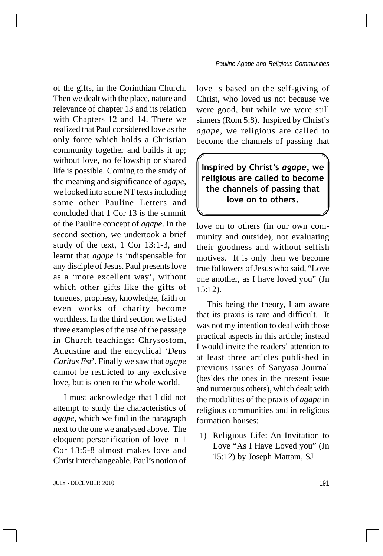of the gifts, in the Corinthian Church. Then we dealt with the place, nature and relevance of chapter 13 and its relation with Chapters 12 and 14. There we realized that Paul considered love as the only force which holds a Christian community together and builds it up; without love, no fellowship or shared life is possible. Coming to the study of the meaning and significance of *agape*, we looked into some NT texts including some other Pauline Letters and concluded that 1 Cor 13 is the summit of the Pauline concept of *agape*. In the second section, we undertook a brief study of the text, 1 Cor 13:1-3, and learnt that *agape* is indispensable for any disciple of Jesus. Paul presents love as a 'more excellent way', without which other gifts like the gifts of tongues, prophesy, knowledge, faith or even works of charity become worthless. In the third section we listed three examples of the use of the passage in Church teachings: Chrysostom, Augustine and the encyclical '*Deus Caritas Est*'. Finally we saw that *agape* cannot be restricted to any exclusive love, but is open to the whole world.

I must acknowledge that I did not attempt to study the characteristics of *agape*, which we find in the paragraph next to the one we analysed above. The eloquent personification of love in 1 Cor 13:5-8 almost makes love and Christ interchangeable. Paul's notion of love is based on the self-giving of Christ, who loved us not because we were good, but while we were still sinners (Rom 5:8). Inspired by Christ's *agape*, we religious are called to become the channels of passing that

Inspired by Christ's agape, we religious are called to become the channels of passing that love on to others.

love on to others (in our own community and outside), not evaluating their goodness and without selfish motives. It is only then we become true followers of Jesus who said, "Love one another, as I have loved you" (Jn 15:12).

This being the theory, I am aware that its praxis is rare and difficult. It was not my intention to deal with those practical aspects in this article; instead I would invite the readers' attention to at least three articles published in previous issues of Sanyasa Journal (besides the ones in the present issue and numerous others), which dealt with the modalities of the praxis of *agape* in religious communities and in religious formation houses:

1) Religious Life: An Invitation to Love "As I Have Loved you" (Jn 15:12) by Joseph Mattam, SJ

JULY - DECEMBER 2010 2010 191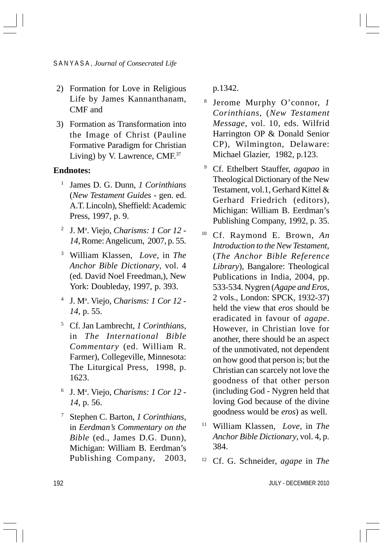#### S A N Y A S A , *Journal of Consecrated Life*

- 2) Formation for Love in Religious Life by James Kannanthanam, CMF and
- 3) Formation as Transformation into the Image of Christ (Pauline Formative Paradigm for Christian Living) by V. Lawrence, CMF.<sup>37</sup>

### **Endnotes:**

- <sup>1</sup> James D. G. Dunn, *1 Corinthians* (*New Testament Guides* - gen. ed. A.T. Lincoln), Sheffield: Academic Press, 1997, p. 9.
- <sup>2</sup> J. M<sup>a</sup>. Viejo, *Charisms: 1 Cor 12 -14*, Rome: Angelicum, 2007, p. 55.
- <sup>3</sup> William Klassen, *Love*, in *The Anchor Bible Dictionary*, vol. 4 (ed. David Noel Freedman,), New York: Doubleday, 1997, p. 393.
- <sup>4</sup> J. Ma . Viejo, *Charisms: 1 Cor 12 - 14*, p. 55.
- <sup>5</sup> Cf. Jan Lambrecht, *1 Corinthians*, in *The International Bible Commentary* (ed. William R. Farmer), Collegeville, Minnesota: The Liturgical Press, 1998, p. 1623.
- <sup>6</sup> J. Ma . Viejo, *Charisms: 1 Cor 12 - 14*, p. 56.
- <sup>7</sup> Stephen C. Barton, *1 Corinthians*, in *Eerdman's Commentary on the Bible* (ed., James D.G. Dunn), Michigan: William B. Eerdman's Publishing Company, 2003,

p.1342.

- <sup>8</sup> Jerome Murphy O'connor, *1 Corinthians*, (*New Testament Message*, vol. 10, eds. Wilfrid Harrington OP & Donald Senior CP), Wilmington, Delaware: Michael Glazier, 1982, p.123.
- <sup>9</sup> Cf. Ethelbert Stauffer, *agapao* in Theological Dictionary of the New Testament, vol.1, Gerhard Kittel & Gerhard Friedrich (editors), Michigan: William B. Eerdman's Publishing Company, 1992, p. 35.
- <sup>10</sup> Cf. Raymond E. Brown, *An Introduction to the New Testament,* (*The Anchor Bible Reference Library*), Bangalore: Theological Publications in India, 2004, pp. 533-534. Nygren (*Agape and Eros*, 2 vols., London: SPCK, 1932-37) held the view that *eros* should be eradicated in favour of *agape*. However, in Christian love for another, there should be an aspect of the unmotivated, not dependent on how good that person is; but the Christian can scarcely not love the goodness of that other person (including God - Nygren held that loving God because of the divine goodness would be *eros*) as well.
- <sup>11</sup> William Klassen, *Love*, in *The Anchor Bible Dictionary*, vol. 4, p. 384.
- <sup>12</sup> Cf. G. Schneider, *agape* in *The*

JULY - DECEMBER 2010

192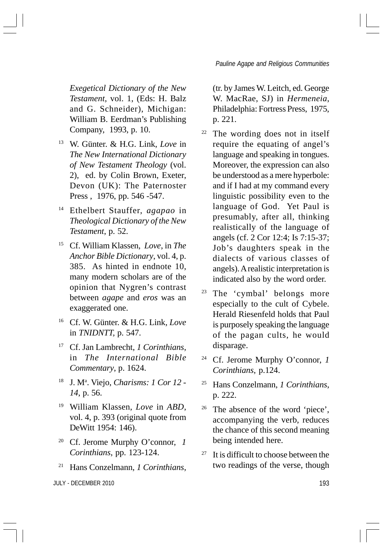*Exegetical Dictionary of the New Testament*, vol. 1, (Eds: H. Balz and G. Schneider), Michigan: William B. Eerdman's Publishing Company, 1993, p. 10.

- <sup>13</sup> W. Günter. & H.G. Link, *Love* in *The New International Dictionary of New Testament Theology* (vol. 2), ed. by Colin Brown, Exeter, Devon (UK): The Paternoster Press , 1976, pp. 546 -547.
- <sup>14</sup> Ethelbert Stauffer, *agapao* in *Theological Dictionary of the New Testament*, p. 52.
- <sup>15</sup> Cf. William Klassen, *Love*, in *The Anchor Bible Dictionary*, vol. 4, p. 385. As hinted in endnote 10, many modern scholars are of the opinion that Nygren's contrast between *agape* and *eros* was an exaggerated one.
- <sup>16</sup> Cf. W. Günter. & H.G. Link, *Love* in *TNIDNTT,* p. 547.
- <sup>17</sup> Cf. Jan Lambrecht, *1 Corinthians*, in *The International Bible Commentary*, p. 1624.
- <sup>18</sup> J. Ma . Viejo, *Charisms: 1 Cor 12 - 14*, p. 56.
- <sup>19</sup> William Klassen, *Love* in *ABD*, vol. 4, p. 393 (original quote from DeWitt 1954: 146).
- Cf. Jerome Murphy O'connor, 1 *Corinthians*, pp. 123-124.
- <sup>21</sup> Hans Conzelmann, *1 Corinthians*,

JULY - DECEMBER 2010 193

(tr. by James W. Leitch, ed. George W. MacRae, SJ) in *Hermeneia*, Philadelphia: Fortress Press, 1975, p. 221.

- <sup>22</sup> The wording does not in itself require the equating of angel's language and speaking in tongues. Moreover, the expression can also be understood as a mere hyperbole: and if I had at my command every linguistic possibility even to the language of God. Yet Paul is presumably, after all, thinking realistically of the language of angels (cf. 2 Cor 12:4; Is 7:15-37; Job's daughters speak in the dialects of various classes of angels). A realistic interpretation is indicated also by the word order.
- <sup>23</sup> The 'cymbal' belongs more especially to the cult of Cybele. Herald Riesenfeld holds that Paul is purposely speaking the language of the pagan cults, he would disparage.
- <sup>24</sup> Cf. Jerome Murphy O'connor, *1 Corinthians*, p.124.
- <sup>25</sup> Hans Conzelmann, *1 Corinthians*, p. 222.
- <sup>26</sup> The absence of the word 'piece', accompanying the verb, reduces the chance of this second meaning being intended here.
- $27$  It is difficult to choose between the two readings of the verse, though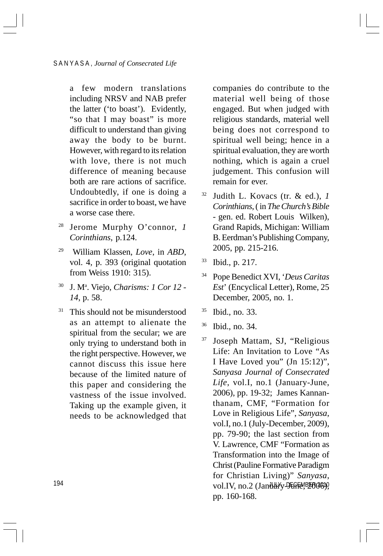a few modern translations including NRSV and NAB prefer the latter ('to boast'). Evidently, "so that I may boast" is more difficult to understand than giving away the body to be burnt. However, with regard to its relation with love, there is not much difference of meaning because both are rare actions of sacrifice. Undoubtedly, if one is doing a sacrifice in order to boast, we have a worse case there.

- <sup>28</sup> Jerome Murphy O'connor, *1 Corinthians*, p.124.
- 29 William Klassen, *Love*, in *ABD*, vol. 4, p. 393 (original quotation from Weiss 1910: 315).
- <sup>30</sup> J. Ma . Viejo, *Charisms: 1 Cor 12 - 14*, p. 58.
- $31$  This should not be misunderstood as an attempt to alienate the spiritual from the secular; we are only trying to understand both in the right perspective. However, we cannot discuss this issue here because of the limited nature of this paper and considering the vastness of the issue involved. Taking up the example given, it needs to be acknowledged that

companies do contribute to the material well being of those engaged. But when judged with religious standards, material well being does not correspond to spiritual well being; hence in a spiritual evaluation, they are worth nothing, which is again a cruel judgement. This confusion will remain for ever.

- <sup>32</sup> Judith L. Kovacs (tr. & ed.), *1 Corinthians*, ( in *The Church's Bible* - gen. ed. Robert Louis Wilken), Grand Rapids, Michigan: William B. Eerdman's Publishing Company, 2005, pp. 215-216.
- <sup>33</sup> Ibid., p. 217.
- <sup>34</sup> Pope Benedict XVI, '*Deus Caritas Est*' (Encyclical Letter), Rome, 25 December, 2005, no. 1.
- <sup>35</sup> Ibid., no. 33.
- <sup>36</sup> Ibid., no. 34.
- vol.IV, no.2 (January JEGFA,B2006)), <sup>37</sup> Joseph Mattam, SJ, "Religious Life: An Invitation to Love "As I Have Loved you" (Jn 15:12)", *Sanyasa Journal of Consecrated Life*, vol.I, no.1 (January-June, 2006), pp. 19-32; James Kannanthanam, CMF, "Formation for Love in Religious Life", *Sanyasa*, vol.I, no.1 (July-December, 2009), pp. 79-90; the last section from V. Lawrence, CMF "Formation as Transformation into the Image of Christ (Pauline Formative Paradigm for Christian Living)" *Sanyasa*, pp. 160-168.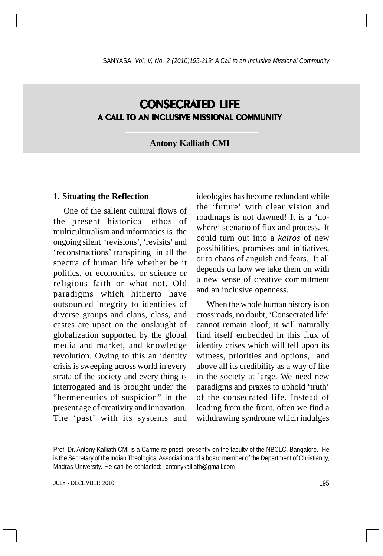# **CONSECRATED LIFE** A CALL TO AN INCLUSIVE MISSIONAL COMMUNITY

#### **Antony Kalliath CMI**

#### 1. **Situating the Reflection**

One of the salient cultural flows of the present historical ethos of multiculturalism and informatics is the ongoing silent 'revisions', 'revisits' and 'reconstructions' transpiring in all the spectra of human life whether be it politics, or economics, or science or religious faith or what not. Old paradigms which hitherto have outsourced integrity to identities of diverse groups and clans, class, and castes are upset on the onslaught of globalization supported by the global media and market, and knowledge revolution. Owing to this an identity crisis is sweeping across world in every strata of the society and every thing is interrogated and is brought under the "hermeneutics of suspicion" in the present age of creativity and innovation. The 'past' with its systems and ideologies has become redundant while the 'future' with clear vision and roadmaps is not dawned! It is a 'nowhere' scenario of flux and process. It could turn out into a *kairos* of new possibilities, promises and initiatives, or to chaos of anguish and fears. It all depends on how we take them on with a new sense of creative commitment and an inclusive openness.

When the whole human history is on crossroads, no doubt, 'Consecrated life' cannot remain aloof; it will naturally find itself embedded in this flux of identity crises which will tell upon its witness, priorities and options, and above all its credibility as a way of life in the society at large. We need new paradigms and praxes to uphold 'truth' of the consecrated life. Instead of leading from the front, often we find a withdrawing syndrome which indulges

JULY - DECEMBER 2010 2000 195

Prof. Dr. Antony Kalliath CMI is a Carmelite priest, presently on the faculty of the NBCLC, Bangalore. He is the Secretary of the Indian Theological Association and a board member of the Department of Christianity, Madras University. He can be contacted: antonykalliath@gmail.com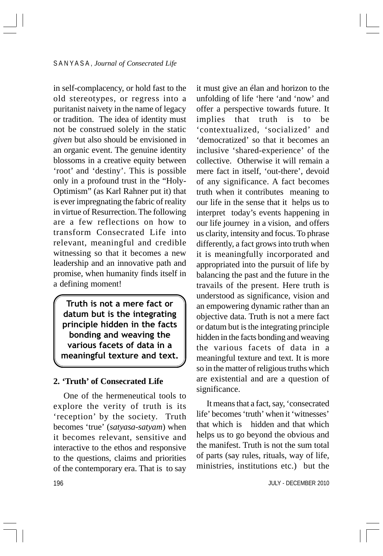in self-complacency, or hold fast to the old stereotypes, or regress into a puritanist naivety in the name of legacy or tradition. The idea of identity must not be construed solely in the static *given* but also should be envisioned in an organic event. The genuine identity blossoms in a creative equity between 'root' and 'destiny'. This is possible only in a profound trust in the "Holy-Optimism" (as Karl Rahner put it) that is ever impregnating the fabric of reality in virtue of Resurrection. The following are a few reflections on how to transform Consecrated Life into relevant, meaningful and credible witnessing so that it becomes a new leadership and an innovative path and promise, when humanity finds itself in a defining moment!

Truth is not a mere fact or datum but is the integrating principle hidden in the facts bonding and weaving the various facets of data in a meaningful texture and text.

### **2. 'Truth' of Consecrated Life**

One of the hermeneutical tools to explore the verity of truth is its 'reception' by the society. Truth becomes 'true' (*satyasa-satyam*) when it becomes relevant, sensitive and interactive to the ethos and responsive to the questions, claims and priorities of the contemporary era. That is to say

it must give an élan and horizon to the unfolding of life 'here 'and 'now' and offer a perspective towards future. It implies that truth is to be 'contextualized, 'socialized' and 'democratized' so that it becomes an inclusive 'shared-experience' of the collective. Otherwise it will remain a mere fact in itself, 'out-there', devoid of any significance. A fact becomes truth when it contributes meaning to our life in the sense that it helps us to interpret today's events happening in our life journey in a vision, and offers us clarity, intensity and focus. To phrase differently, a fact grows into truth when it is meaningfully incorporated and appropriated into the pursuit of life by balancing the past and the future in the travails of the present. Here truth is understood as significance, vision and an empowering dynamic rather than an objective data. Truth is not a mere fact or datum but is the integrating principle hidden in the facts bonding and weaving the various facets of data in a meaningful texture and text. It is more so in the matter of religious truths which are existential and are a question of significance.

It means that a fact, say, 'consecrated life' becomes 'truth' when it 'witnesses' that which is hidden and that which helps us to go beyond the obvious and the manifest. Truth is not the sum total of parts (say rules, rituals, way of life, ministries, institutions etc.) but the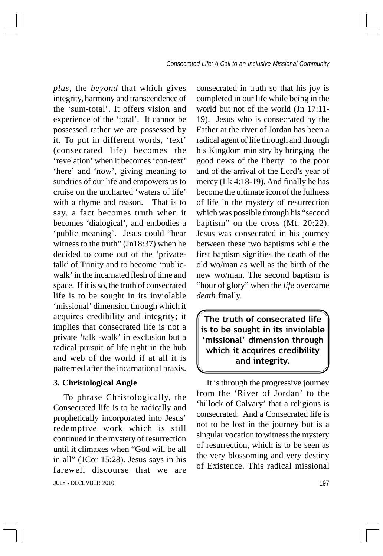*plus,* the *beyond* that which gives integrity, harmony and transcendence of the 'sum-total'. It offers vision and experience of the 'total'. It cannot be possessed rather we are possessed by it. To put in different words, 'text' (consecrated life) becomes the 'revelation' when it becomes 'con-text' 'here' and 'now', giving meaning to sundries of our life and empowers us to cruise on the uncharted 'waters of life' with a rhyme and reason. That is to say, a fact becomes truth when it becomes 'dialogical', and embodies a 'public meaning'. Jesus could "bear witness to the truth" (Jn18:37) when he decided to come out of the 'privatetalk' of Trinity and to become 'publicwalk' in the incarnated flesh of time and space. If it is so, the truth of consecrated life is to be sought in its inviolable 'missional' dimension through which it acquires credibility and integrity; it implies that consecrated life is not a private 'talk -walk' in exclusion but a radical pursuit of life right in the hub and web of the world if at all it is patterned after the incarnational praxis.

### **3. Christological Angle**

JULY - DECEMBER 2010 197 To phrase Christologically, the Consecrated life is to be radically and prophetically incorporated into Jesus' redemptive work which is still continued in the mystery of resurrection until it climaxes when "God will be all in all" (1Cor 15:28). Jesus says in his farewell discourse that we are

consecrated in truth so that his joy is completed in our life while being in the world but not of the world (Jn 17:11- 19). Jesus who is consecrated by the Father at the river of Jordan has been a radical agent of life through and through his Kingdom ministry by bringing the good news of the liberty to the poor and of the arrival of the Lord's year of mercy (Lk 4:18-19). And finally he has become the ultimate icon of the fullness of life in the mystery of resurrection which was possible through his "second baptism" on the cross (Mt. 20:22). Jesus was consecrated in his journey between these two baptisms while the first baptism signifies the death of the old wo/man as well as the birth of the new wo/man. The second baptism is "hour of glory" when the *life* overcame *death* finally.

The truth of consecrated life is to be sought in its inviolable 'missional' dimension through which it acquires credibility and integrity.

It is through the progressive journey from the 'River of Jordan' to the 'hillock of Calvary' that a religious is consecrated. And a Consecrated life is not to be lost in the journey but is a singular vocation to witness the mystery of resurrection, which is to be seen as the very blossoming and very destiny of Existence. This radical missional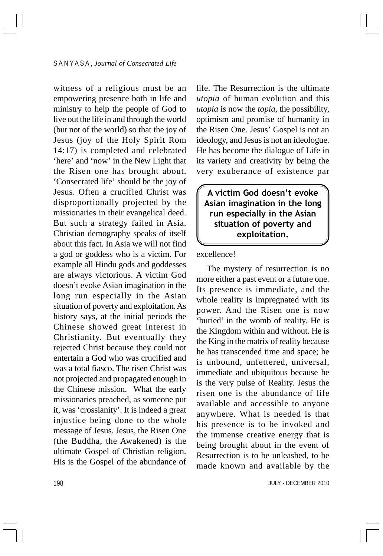witness of a religious must be an empowering presence both in life and ministry to help the people of God to live out the life in and through the world (but not of the world) so that the joy of Jesus (joy of the Holy Spirit Rom 14:17) is completed and celebrated 'here' and 'now' in the New Light that the Risen one has brought about. 'Consecrated life' should be the joy of Jesus. Often a crucified Christ was disproportionally projected by the missionaries in their evangelical deed. But such a strategy failed in Asia. Christian demography speaks of itself about this fact. In Asia we will not find a god or goddess who is a victim. For example all Hindu gods and goddesses are always victorious. A victim God doesn't evoke Asian imagination in the long run especially in the Asian situation of poverty and exploitation. As history says, at the initial periods the Chinese showed great interest in Christianity. But eventually they rejected Christ because they could not entertain a God who was crucified and was a total fiasco. The risen Christ was not projected and propagated enough in the Chinese mission. What the early missionaries preached, as someone put it, was 'crossianity'. It is indeed a great injustice being done to the whole message of Jesus. Jesus, the Risen One (the Buddha, the Awakened) is the ultimate Gospel of Christian religion. His is the Gospel of the abundance of life. The Resurrection is the ultimate *utopia* of human evolution and this *utopia* is now the *topia*, the possibility, optimism and promise of humanity in the Risen One. Jesus' Gospel is not an ideology, and Jesus is not an ideologue. He has become the dialogue of Life in its variety and creativity by being the very exuberance of existence par

A victim God doesn't evoke Asian imagination in the long run especially in the Asian situation of poverty and exploitation.

excellence!

The mystery of resurrection is no more either a past event or a future one. Its presence is immediate, and the whole reality is impregnated with its power. And the Risen one is now 'buried' in the womb of reality. He is the Kingdom within and without. He is the King in the matrix of reality because he has transcended time and space; he is unbound, unfettered, universal, immediate and ubiquitous because he is the very pulse of Reality. Jesus the risen one is the abundance of life available and accessible to anyone anywhere. What is needed is that his presence is to be invoked and the immense creative energy that is being brought about in the event of Resurrection is to be unleashed, to be made known and available by the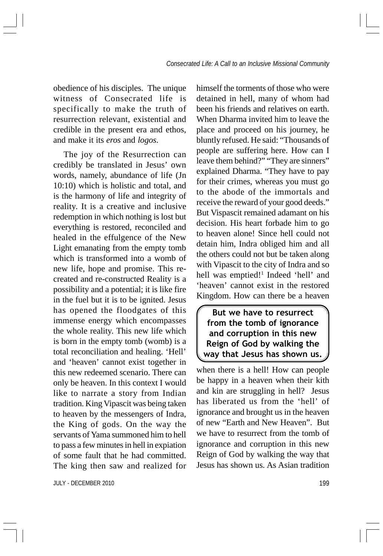obedience of his disciples. The unique witness of Consecrated life is specifically to make the truth of resurrection relevant, existential and credible in the present era and ethos, and make it its *eros* and *logos*.

The joy of the Resurrection can credibly be translated in Jesus' own words, namely, abundance of life (Jn 10:10) which is holistic and total, and is the harmony of life and integrity of reality. It is a creative and inclusive redemption in which nothing is lost but everything is restored, reconciled and healed in the effulgence of the New Light emanating from the empty tomb which is transformed into a womb of new life, hope and promise. This recreated and re-constructed Reality is a possibility and a potential; it is like fire in the fuel but it is to be ignited. Jesus has opened the floodgates of this immense energy which encompasses the whole reality. This new life which is born in the empty tomb (womb) is a total reconciliation and healing. 'Hell' and 'heaven' cannot exist together in this new redeemed scenario. There can only be heaven. In this context I would like to narrate a story from Indian tradition. King Vipascit was being taken to heaven by the messengers of Indra, the King of gods. On the way the servants of Yama summoned him to hell to pass a few minutes in hell in expiation of some fault that he had committed. The king then saw and realized for

JULY - DECEMBER 2010 199

himself the torments of those who were detained in hell, many of whom had been his friends and relatives on earth. When Dharma invited him to leave the place and proceed on his journey, he bluntly refused. He said: "Thousands of people are suffering here. How can I leave them behind?" "They are sinners" explained Dharma. "They have to pay for their crimes, whereas you must go to the abode of the immortals and receive the reward of your good deeds." But Vispascit remained adamant on his decision. His heart forbade him to go to heaven alone! Since hell could not detain him, Indra obliged him and all the others could not but be taken along with Vipascit to the city of Indra and so hell was emptied!<sup>1</sup> Indeed 'hell' and 'heaven' cannot exist in the restored Kingdom. How can there be a heaven

But we have to resurrect from the tomb of ignorance and corruption in this new Reign of God by walking the way that Jesus has shown us.

when there is a hell! How can people be happy in a heaven when their kith and kin are struggling in hell? Jesus has liberated us from the 'hell' of ignorance and brought us in the heaven of new "Earth and New Heaven". But we have to resurrect from the tomb of ignorance and corruption in this new Reign of God by walking the way that Jesus has shown us. As Asian tradition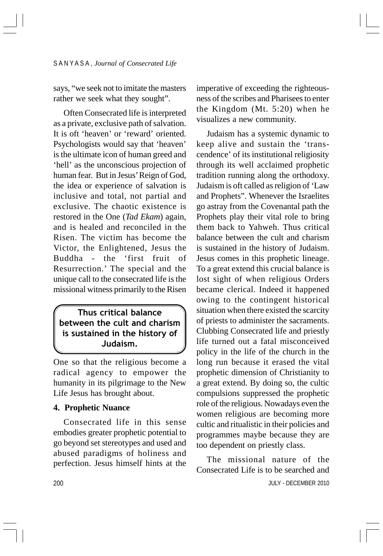says, "we seek not to imitate the masters rather we seek what they sought".

Often Consecrated life is interpreted as a private, exclusive path of salvation. It is oft 'heaven' or 'reward' oriented. Psychologists would say that 'heaven' is the ultimate icon of human greed and 'hell' as the unconscious projection of human fear. But in Jesus' Reign of God, the idea or experience of salvation is inclusive and total, not partial and exclusive. The chaotic existence is restored in the One (*Tad Ekam*) again, and is healed and reconciled in the Risen. The victim has become the Victor, the Enlightened, Jesus the Buddha - the 'first fruit of Resurrection.' The special and the unique call to the consecrated life is the missional witness primarily to the Risen

## Thus critical balance between the cult and charism is sustained in the history of Judaism.

One so that the religious become a radical agency to empower the humanity in its pilgrimage to the New Life Jesus has brought about.

### **4. Prophetic Nuance**

Consecrated life in this sense embodies greater prophetic potential to go beyond set stereotypes and used and abused paradigms of holiness and perfection. Jesus himself hints at the imperative of exceeding the righteousness of the scribes and Pharisees to enter the Kingdom (Mt. 5:20) when he visualizes a new community.

Judaism has a systemic dynamic to keep alive and sustain the 'transcendence' of its institutional religiosity through its well acclaimed prophetic tradition running along the orthodoxy. Judaism is oft called as religion of 'Law and Prophets". Whenever the Israelites go astray from the Covenantal path the Prophets play their vital role to bring them back to Yahweh. Thus critical balance between the cult and charism is sustained in the history of Judaism. Jesus comes in this prophetic lineage. To a great extend this crucial balance is lost sight of when religious Orders became clerical. Indeed it happened owing to the contingent historical situation when there existed the scarcity of priests to administer the sacraments. Clubbing Consecrated life and priestly life turned out a fatal misconceived policy in the life of the church in the long run because it erased the vital prophetic dimension of Christianity to a great extend. By doing so, the cultic compulsions suppressed the prophetic role of the religious. Nowadays even the women religious are becoming more cultic and ritualistic in their policies and programmes maybe because they are too dependent on priestly class.

JULY - DECEMBER 2010 The missional nature of the Consecrated Life is to be searched and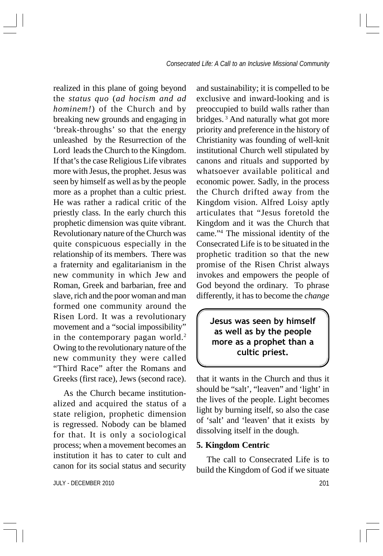realized in this plane of going beyond the *status quo* (*ad hocism and ad hominem!*) of the Church and by breaking new grounds and engaging in 'break-throughs' so that the energy unleashed by the Resurrection of the Lord leads the Church to the Kingdom. If that's the case Religious Life vibrates more with Jesus, the prophet. Jesus was seen by himself as well as by the people more as a prophet than a cultic priest. He was rather a radical critic of the priestly class. In the early church this prophetic dimension was quite vibrant. Revolutionary nature of the Church was quite conspicuous especially in the relationship of its members. There was a fraternity and egalitarianism in the new community in which Jew and Roman, Greek and barbarian, free and slave, rich and the poor woman and man formed one community around the Risen Lord. It was a revolutionary movement and a "social impossibility" in the contemporary pagan world.<sup>2</sup> Owing to the revolutionary nature of the new community they were called "Third Race" after the Romans and Greeks (first race), Jews (second race).

As the Church became institutionalized and acquired the status of a state religion, prophetic dimension is regressed. Nobody can be blamed for that. It is only a sociological process; when a movement becomes an institution it has to cater to cult and canon for its social status and security

JULY - DECEMBER 2010 201

and sustainability; it is compelled to be exclusive and inward-looking and is preoccupied to build walls rather than bridges. 3 And naturally what got more priority and preference in the history of Christianity was founding of well-knit institutional Church well stipulated by canons and rituals and supported by whatsoever available political and economic power. Sadly, in the process the Church drifted away from the Kingdom vision. Alfred Loisy aptly articulates that "Jesus foretold the Kingdom and it was the Church that came."4 The missional identity of the Consecrated Life is to be situated in the prophetic tradition so that the new promise of the Risen Christ always invokes and empowers the people of God beyond the ordinary. To phrase differently, it has to become the *change*

Jesus was seen by himself as well as by the people more as a prophet than a cultic priest.

that it wants in the Church and thus it should be "salt', "leaven" and 'light' in the lives of the people. Light becomes light by burning itself, so also the case of 'salt' and 'leaven' that it exists by dissolving itself in the dough.

## **5. Kingdom Centric**

The call to Consecrated Life is to build the Kingdom of God if we situate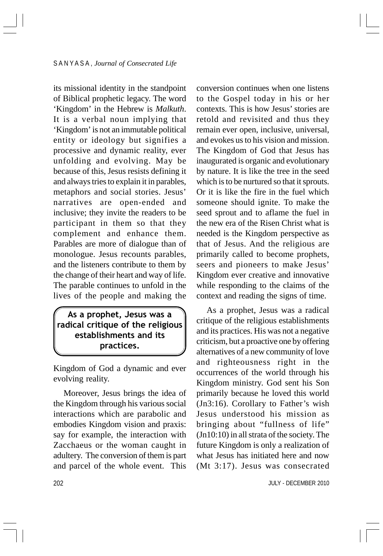its missional identity in the standpoint of Biblical prophetic legacy. The word 'Kingdom' in the Hebrew is *Malkuth*. It is a verbal noun implying that 'Kingdom' is not an immutable political entity or ideology but signifies a processive and dynamic reality, ever unfolding and evolving. May be because of this, Jesus resists defining it and always tries to explain it in parables, metaphors and social stories. Jesus' narratives are open-ended and inclusive; they invite the readers to be participant in them so that they complement and enhance them. Parables are more of dialogue than of monologue. Jesus recounts parables, and the listeners contribute to them by the change of their heart and way of life. The parable continues to unfold in the lives of the people and making the

## As a prophet, Jesus was a radical critique of the religious establishments and its practices.

Kingdom of God a dynamic and ever evolving reality.

Moreover, Jesus brings the idea of the Kingdom through his various social interactions which are parabolic and embodies Kingdom vision and praxis: say for example, the interaction with Zacchaeus or the woman caught in adultery. The conversion of them is part and parcel of the whole event. This

conversion continues when one listens to the Gospel today in his or her contexts. This is how Jesus' stories are retold and revisited and thus they remain ever open, inclusive, universal, and evokes us to his vision and mission. The Kingdom of God that Jesus has inaugurated is organic and evolutionary by nature. It is like the tree in the seed which is to be nurtured so that it sprouts. Or it is like the fire in the fuel which someone should ignite. To make the seed sprout and to aflame the fuel in the new era of the Risen Christ what is needed is the Kingdom perspective as that of Jesus. And the religious are primarily called to become prophets, seers and pioneers to make Jesus' Kingdom ever creative and innovative while responding to the claims of the context and reading the signs of time.

As a prophet, Jesus was a radical critique of the religious establishments and its practices. His was not a negative criticism, but a proactive one by offering alternatives of a new community of love and righteousness right in the occurrences of the world through his Kingdom ministry. God sent his Son primarily because he loved this world (Jn3:16). Corollary to Father's wish Jesus understood his mission as bringing about "fullness of life" (Jn10:10) in all strata of the society. The future Kingdom is only a realization of what Jesus has initiated here and now (Mt 3:17). Jesus was consecrated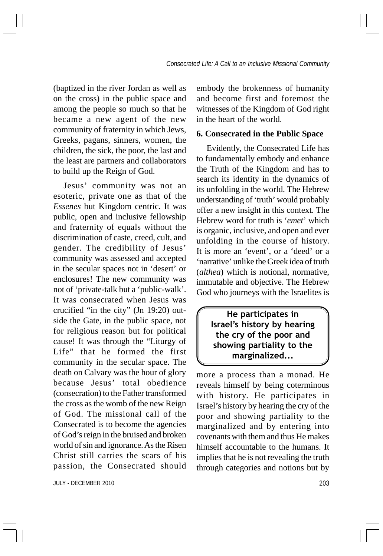(baptized in the river Jordan as well as on the cross) in the public space and among the people so much so that he became a new agent of the new community of fraternity in which Jews, Greeks, pagans, sinners, women, the children, the sick, the poor, the last and the least are partners and collaborators to build up the Reign of God.

Jesus' community was not an esoteric, private one as that of the *Essenes* but Kingdom centric. It was public, open and inclusive fellowship and fraternity of equals without the discrimination of caste, creed, cult, and gender. The credibility of Jesus' community was assessed and accepted in the secular spaces not in 'desert' or enclosures! The new community was not of 'private-talk but a 'public-walk'. It was consecrated when Jesus was crucified "in the city" (Jn 19:20) outside the Gate, in the public space, not for religious reason but for political cause! It was through the "Liturgy of Life" that he formed the first community in the secular space. The death on Calvary was the hour of glory because Jesus' total obedience (consecration) to the Father transformed the cross as the womb of the new Reign of God. The missional call of the Consecrated is to become the agencies of God's reign in the bruised and broken world of sin and ignorance. As the Risen Christ still carries the scars of his passion, the Consecrated should

JULY - DECEMBER 2010 203

embody the brokenness of humanity and become first and foremost the witnesses of the Kingdom of God right in the heart of the world.

#### **6. Consecrated in the Public Space**

Evidently, the Consecrated Life has to fundamentally embody and enhance the Truth of the Kingdom and has to search its identity in the dynamics of its unfolding in the world. The Hebrew understanding of 'truth' would probably offer a new insight in this context. The Hebrew word for truth is '*emet*' which is organic, inclusive, and open and ever unfolding in the course of history. It is more an 'event', or a 'deed' or a 'narrative' unlike the Greek idea of truth (*althea*) which is notional, normative, immutable and objective. The Hebrew God who journeys with the Israelites is

> He participates in Israel's history by hearing the cry of the poor and showing partiality to the marginalized...

more a process than a monad. He reveals himself by being coterminous with history. He participates in Israel's history by hearing the cry of the poor and showing partiality to the marginalized and by entering into covenants with them and thus He makes himself accountable to the humans. It implies that he is not revealing the truth through categories and notions but by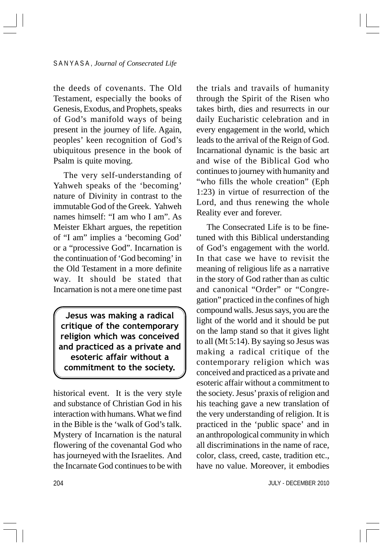the deeds of covenants. The Old Testament, especially the books of Genesis, Exodus, and Prophets, speaks of God's manifold ways of being present in the journey of life. Again, peoples' keen recognition of God's ubiquitous presence in the book of Psalm is quite moving.

The very self-understanding of Yahweh speaks of the 'becoming' nature of Divinity in contrast to the immutable God of the Greek. Yahweh names himself: "I am who I am". As Meister Ekhart argues, the repetition of "I am" implies a 'becoming God' or a "processive God". Incarnation is the continuation of 'God becoming' in the Old Testament in a more definite way. It should be stated that Incarnation is not a mere one time past

Jesus was making a radical critique of the contemporary religion which was conceived and practiced as a private and esoteric affair without a commitment to the society.

historical event. It is the very style and substance of Christian God in his interaction with humans. What we find in the Bible is the 'walk of God's talk. Mystery of Incarnation is the natural flowering of the covenantal God who has journeyed with the Israelites. And the Incarnate God continues to be with the trials and travails of humanity through the Spirit of the Risen who takes birth, dies and resurrects in our daily Eucharistic celebration and in every engagement in the world, which leads to the arrival of the Reign of God. Incarnational dynamic is the basic art and wise of the Biblical God who continues to journey with humanity and "who fills the whole creation" (Eph 1:23) in virtue of resurrection of the Lord, and thus renewing the whole Reality ever and forever.

The Consecrated Life is to be finetuned with this Biblical understanding of God's engagement with the world. In that case we have to revisit the meaning of religious life as a narrative in the story of God rather than as cultic and canonical "Order" or "Congregation" practiced in the confines of high compound walls. Jesus says, you are the light of the world and it should be put on the lamp stand so that it gives light to all (Mt 5:14). By saying so Jesus was making a radical critique of the contemporary religion which was conceived and practiced as a private and esoteric affair without a commitment to the society. Jesus' praxis of religion and his teaching gave a new translation of the very understanding of religion. It is practiced in the 'public space' and in an anthropological community in which all discriminations in the name of race, color, class, creed, caste, tradition etc., have no value. Moreover, it embodies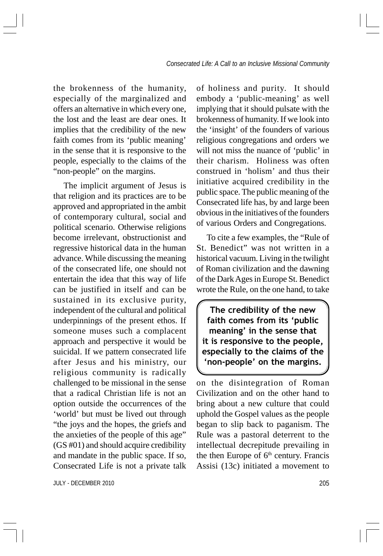the brokenness of the humanity, especially of the marginalized and offers an alternative in which every one, the lost and the least are dear ones. It implies that the credibility of the new faith comes from its 'public meaning' in the sense that it is responsive to the people, especially to the claims of the "non-people" on the margins.

The implicit argument of Jesus is that religion and its practices are to be approved and appropriated in the ambit of contemporary cultural, social and political scenario. Otherwise religions become irrelevant, obstructionist and regressive historical data in the human advance. While discussing the meaning of the consecrated life, one should not entertain the idea that this way of life can be justified in itself and can be sustained in its exclusive purity, independent of the cultural and political underpinnings of the present ethos. If someone muses such a complacent approach and perspective it would be suicidal. If we pattern consecrated life after Jesus and his ministry, our religious community is radically challenged to be missional in the sense that a radical Christian life is not an option outside the occurrences of the 'world' but must be lived out through "the joys and the hopes, the griefs and the anxieties of the people of this age" (GS #01) and should acquire credibility and mandate in the public space. If so, Consecrated Life is not a private talk

of holiness and purity. It should embody a 'public-meaning' as well implying that it should pulsate with the brokenness of humanity. If we look into the 'insight' of the founders of various religious congregations and orders we will not miss the nuance of 'public' in their charism. Holiness was often construed in 'holism' and thus their initiative acquired credibility in the public space. The public meaning of the Consecrated life has, by and large been obvious in the initiatives of the founders of various Orders and Congregations.

To cite a few examples, the "Rule of St. Benedict" was not written in a historical vacuum. Living in the twilight of Roman civilization and the dawning of the Dark Ages in Europe St. Benedict wrote the Rule, on the one hand, to take

The credibility of the new faith comes from its 'public meaning' in the sense that it is responsive to the people, especially to the claims of the 'non-people' on the margins.

on the disintegration of Roman Civilization and on the other hand to bring about a new culture that could uphold the Gospel values as the people began to slip back to paganism. The Rule was a pastoral deterrent to the intellectual decrepitude prevailing in the then Europe of  $6<sup>th</sup>$  century. Francis Assisi (13c) initiated a movement to

JULY - DECEMBER 2010 205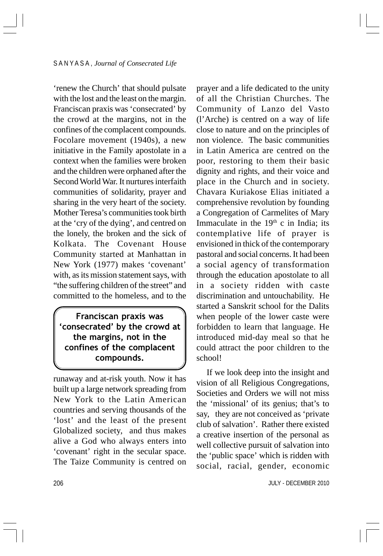'renew the Church' that should pulsate with the lost and the least on the margin. Franciscan praxis was 'consecrated' by the crowd at the margins, not in the confines of the complacent compounds. Focolare movement (1940s), a new initiative in the Family apostolate in a context when the families were broken and the children were orphaned after the Second World War. It nurtures interfaith communities of solidarity, prayer and sharing in the very heart of the society. Mother Teresa's communities took birth at the 'cry of the dying', and centred on the lonely, the broken and the sick of Kolkata. The Covenant House Community started at Manhattan in New York (1977) makes 'covenant' with, as its mission statement says, with "the suffering children of the street" and committed to the homeless, and to the

Franciscan praxis was 'consecrated' by the crowd at the margins, not in the confines of the complacent compounds.

runaway and at-risk youth. Now it has built up a large network spreading from New York to the Latin American countries and serving thousands of the 'lost' and the least of the present Globalized society, and thus makes alive a God who always enters into 'covenant' right in the secular space. The Taize Community is centred on prayer and a life dedicated to the unity of all the Christian Churches. The Community of Lanzo del Vasto (l'Arche) is centred on a way of life close to nature and on the principles of non violence. The basic communities in Latin America are centred on the poor, restoring to them their basic dignity and rights, and their voice and place in the Church and in society. Chavara Kuriakose Elias initiated a comprehensive revolution by founding a Congregation of Carmelites of Mary Immaculate in the  $19<sup>th</sup>$  c in India; its contemplative life of prayer is envisioned in thick of the contemporary pastoral and social concerns. It had been a social agency of transformation through the education apostolate to all in a society ridden with caste discrimination and untouchability. He started a Sanskrit school for the Dalits when people of the lower caste were forbidden to learn that language. He introduced mid-day meal so that he could attract the poor children to the school!

If we look deep into the insight and vision of all Religious Congregations, Societies and Orders we will not miss the 'missional' of its genius; that's to say, they are not conceived as 'private club of salvation'. Rather there existed a creative insertion of the personal as well collective pursuit of salvation into the 'public space' which is ridden with social, racial, gender, economic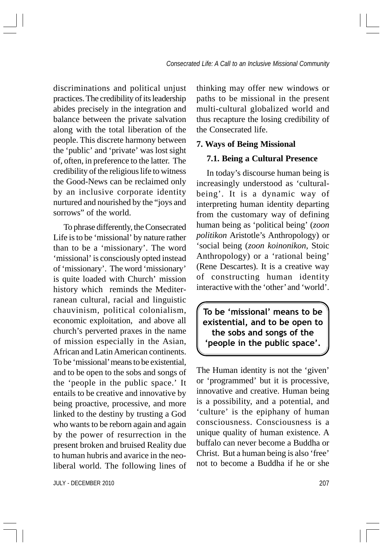discriminations and political unjust practices. The credibility of its leadership abides precisely in the integration and balance between the private salvation along with the total liberation of the people. This discrete harmony between the 'public' and 'private' was lost sight of, often, in preference to the latter. The credibility of the religious life to witness the Good-News can be reclaimed only by an inclusive corporate identity nurtured and nourished by the "joys and sorrows" of the world.

To phrase differently, the Consecrated Life is to be 'missional' by nature rather than to be a 'missionary'. The word 'missional' is consciously opted instead of 'missionary'. The word 'missionary' is quite loaded with Church' mission history which reminds the Mediterranean cultural, racial and linguistic chauvinism, political colonialism, economic exploitation, and above all church's perverted praxes in the name of mission especially in the Asian, African and Latin American continents. To be 'missional' means to be existential, and to be open to the sobs and songs of the 'people in the public space.' It entails to be creative and innovative by being proactive, processive, and more linked to the destiny by trusting a God who wants to be reborn again and again by the power of resurrection in the present broken and bruised Reality due to human hubris and avarice in the neoliberal world. The following lines of

JULY - DECEMBER 2010 207

thinking may offer new windows or paths to be missional in the present multi-cultural globalized world and thus recapture the losing credibility of the Consecrated life.

### **7. Ways of Being Missional**

#### **7.1. Being a Cultural Presence**

In today's discourse human being is increasingly understood as 'culturalbeing'. It is a dynamic way of interpreting human identity departing from the customary way of defining human being as 'political being' (*zoon politikon* Aristotle's Anthropology) or 'social being (*zoon koinonikon*, Stoic Anthropology) or a 'rational being' (Rene Descartes). It is a creative way of constructing human identity interactive with the 'other' and 'world'.

To be 'missional' means to be existential, and to be open to the sobs and songs of the 'people in the public space'.

The Human identity is not the 'given' or 'programmed' but it is processive, innovative and creative. Human being is a possibility, and a potential, and 'culture' is the epiphany of human consciousness. Consciousness is a unique quality of human existence. A buffalo can never become a Buddha or Christ. But a human being is also 'free' not to become a Buddha if he or she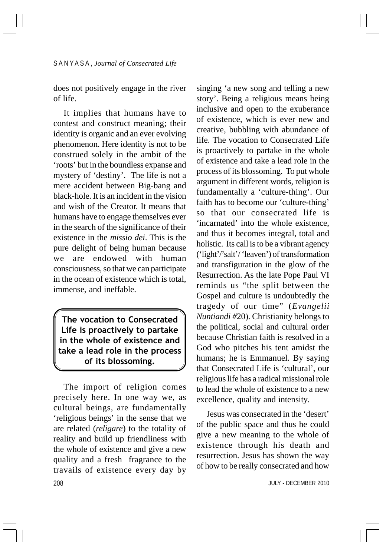does not positively engage in the river of life.

It implies that humans have to contest and construct meaning; their identity is organic and an ever evolving phenomenon. Here identity is not to be construed solely in the ambit of the 'roots' but in the boundless expanse and mystery of 'destiny'. The life is not a mere accident between Big-bang and black-hole. It is an incident in the vision and wish of the Creator. It means that humans have to engage themselves ever in the search of the significance of their existence in the *missio dei*. This is the pure delight of being human because we are endowed with human consciousness, so that we can participate in the ocean of existence which is total, immense, and ineffable.

The vocation to Consecrated Life is proactively to partake in the whole of existence and take a lead role in the process of its blossoming.

208 The import of religion comes precisely here. In one way we, as cultural beings, are fundamentally 'religious beings' in the sense that we are related (*religare*) to the totality of reality and build up friendliness with the whole of existence and give a new quality and a fresh fragrance to the travails of existence every day by

singing 'a new song and telling a new story'. Being a religious means being inclusive and open to the exuberance of existence, which is ever new and creative, bubbling with abundance of life. The vocation to Consecrated Life is proactively to partake in the whole of existence and take a lead role in the process of its blossoming. To put whole argument in different words, religion is fundamentally a 'culture-thing'. Our faith has to become our 'culture-thing' so that our consecrated life is 'incarnated' into the whole existence, and thus it becomes integral, total and holistic. Its call is to be a vibrant agency ('light'/'salt'/ 'leaven') of transformation and transfiguration in the glow of the Resurrection. As the late Pope Paul VI reminds us "the split between the Gospel and culture is undoubtedly the tragedy of our time" (*Evangelii Nuntiandi #*20). Christianity belongs to the political, social and cultural order because Christian faith is resolved in a God who pitches his tent amidst the humans; he is Emmanuel. By saying that Consecrated Life is 'cultural', our religious life has a radical missional role to lead the whole of existence to a new excellence, quality and intensity.

Jesus was consecrated in the 'desert' of the public space and thus he could give a new meaning to the whole of existence through his death and resurrection. Jesus has shown the way of how to be really consecrated and how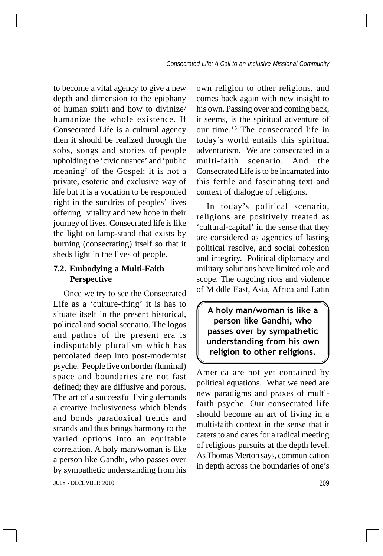to become a vital agency to give a new depth and dimension to the epiphany of human spirit and how to divinize/ humanize the whole existence. If Consecrated Life is a cultural agency then it should be realized through the sobs, songs and stories of people upholding the 'civic nuance' and 'public meaning' of the Gospel; it is not a private, esoteric and exclusive way of life but it is a vocation to be responded right in the sundries of peoples' lives offering vitality and new hope in their journey of lives. Consecrated life is like the light on lamp-stand that exists by burning (consecrating) itself so that it sheds light in the lives of people.

## **7.2. Embodying a Multi-Faith Perspective**

JULY - DECEMBER 2010 209 Once we try to see the Consecrated Life as a 'culture-thing' it is has to situate itself in the present historical, political and social scenario. The logos and pathos of the present era is indisputably pluralism which has percolated deep into post-modernist psyche. People live on border (luminal) space and boundaries are not fast defined; they are diffusive and porous. The art of a successful living demands a creative inclusiveness which blends and bonds paradoxical trends and strands and thus brings harmony to the varied options into an equitable correlation. A holy man/woman is like a person like Gandhi, who passes over by sympathetic understanding from his

own religion to other religions, and comes back again with new insight to his own. Passing over and coming back, it seems, is the spiritual adventure of our time.'5 The consecrated life in today's world entails this spiritual adventurism. We are consecrated in a multi-faith scenario. And the Consecrated Life is to be incarnated into this fertile and fascinating text and context of dialogue of religions.

In today's political scenario, religions are positively treated as 'cultural-capital' in the sense that they are considered as agencies of lasting political resolve, and social cohesion and integrity. Political diplomacy and military solutions have limited role and scope. The ongoing riots and violence of Middle East, Asia, Africa and Latin

A holy man/woman is like a person like Gandhi, who passes over by sympathetic understanding from his own religion to other religions.

America are not yet contained by political equations. What we need are new paradigms and praxes of multifaith psyche. Our consecrated life should become an art of living in a multi-faith context in the sense that it caters to and cares for a radical meeting of religious pursuits at the depth level. As Thomas Merton says, communication in depth across the boundaries of one's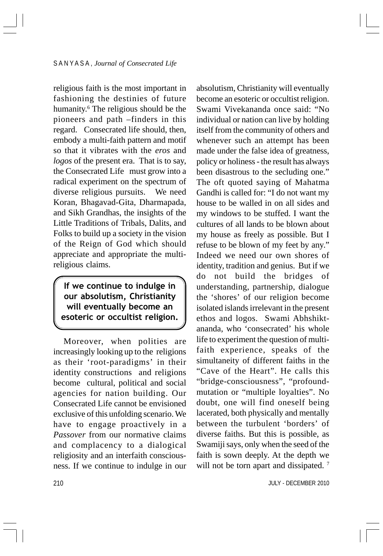religious faith is the most important in fashioning the destinies of future humanity.<sup>6</sup> The religious should be the pioneers and path –finders in this regard. Consecrated life should, then, embody a multi-faith pattern and motif so that it vibrates with the *eros* and *logos* of the present era. That is to say, the Consecrated Life must grow into a radical experiment on the spectrum of diverse religious pursuits. We need Koran, Bhagavad-Gita, Dharmapada, and Sikh Grandhas, the insights of the Little Traditions of Tribals, Dalits, and Folks to build up a society in the vision of the Reign of God which should appreciate and appropriate the multireligious claims.

If we continue to indulge in our absolutism, Christianity will eventually become an esoteric or occultist religion.

Moreover, when polities are increasingly looking up to the religions as their 'root-paradigms' in their identity constructions and religions become cultural, political and social agencies for nation building. Our Consecrated Life cannot be envisioned exclusive of this unfolding scenario. We have to engage proactively in a *Passover* from our normative claims and complacency to a dialogical religiosity and an interfaith consciousness. If we continue to indulge in our absolutism, Christianity will eventually become an esoteric or occultist religion. Swami Vivekananda once said: "No individual or nation can live by holding itself from the community of others and whenever such an attempt has been made under the false idea of greatness, policy or holiness - the result has always been disastrous to the secluding one." The oft quoted saying of Mahatma Gandhi is called for: "I do not want my house to be walled in on all sides and my windows to be stuffed. I want the cultures of all lands to be blown about my house as freely as possible. But I refuse to be blown of my feet by any." Indeed we need our own shores of identity, tradition and genius. But if we do not build the bridges of understanding, partnership, dialogue the 'shores' of our religion become isolated islands irrelevant in the present ethos and logos. Swami Abhshiktananda, who 'consecrated' his whole life to experiment the question of multifaith experience, speaks of the simultaneity of different faiths in the "Cave of the Heart". He calls this "bridge-consciousness", "profoundmutation or "multiple loyalties". No doubt, one will find oneself being lacerated, both physically and mentally between the turbulent 'borders' of diverse faiths. But this is possible, as Swamiji says, only when the seed of the faith is sown deeply. At the depth we will not be torn apart and dissipated.<sup>7</sup>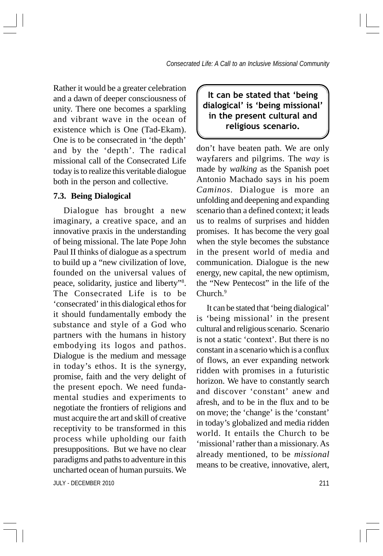Rather it would be a greater celebration and a dawn of deeper consciousness of unity. There one becomes a sparkling and vibrant wave in the ocean of existence which is One (Tad-Ekam). One is to be consecrated in 'the depth' and by the 'depth'. The radical missional call of the Consecrated Life today is to realize this veritable dialogue both in the person and collective.

# **7.3. Being Dialogical**

Dialogue has brought a new imaginary, a creative space, and an innovative praxis in the understanding of being missional. The late Pope John Paul II thinks of dialogue as a spectrum to build up a "new civilization of love, founded on the universal values of peace, solidarity, justice and liberty"8 . The Consecrated Life is to be 'consecrated' in this dialogical ethos for it should fundamentally embody the substance and style of a God who partners with the humans in history embodying its logos and pathos. Dialogue is the medium and message in today's ethos. It is the synergy, promise, faith and the very delight of the present epoch. We need fundamental studies and experiments to negotiate the frontiers of religions and must acquire the art and skill of creative receptivity to be transformed in this process while upholding our faith presuppositions. But we have no clear paradigms and paths to adventure in this uncharted ocean of human pursuits. We

It can be stated that 'being dialogical' is 'being missional' in the present cultural and religious scenario.

don't have beaten path. We are only wayfarers and pilgrims. The *way* is made by *walking* as the Spanish poet Antonio Machado says in his poem *Caminos.* Dialogue is more an unfolding and deepening and expanding scenario than a defined context; it leads us to realms of surprises and hidden promises. It has become the very goal when the style becomes the substance in the present world of media and communication. Dialogue is the new energy, new capital, the new optimism, the "New Pentecost" in the life of the Church.<sup>9</sup>

It can be stated that 'being dialogical' is 'being missional' in the present cultural and religious scenario. Scenario is not a static 'context'. But there is no constant in a scenario which is a conflux of flows, an ever expanding network ridden with promises in a futuristic horizon. We have to constantly search and discover 'constant' anew and afresh, and to be in the flux and to be on move; the 'change' is the 'constant' in today's globalized and media ridden world. It entails the Church to be 'missional' rather than a missionary. As already mentioned, to be *missional* means to be creative, innovative, alert,

JULY - DECEMBER 2010 211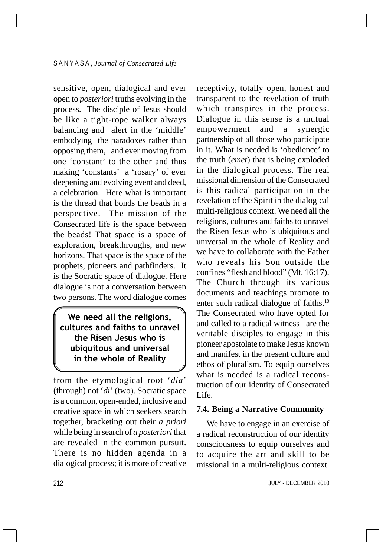sensitive, open, dialogical and ever open to *posteriori* truths evolving in the process. The disciple of Jesus should be like a tight-rope walker always balancing and alert in the 'middle' embodying the paradoxes rather than opposing them, and ever moving from one 'constant' to the other and thus making 'constants' a 'rosary' of ever deepening and evolving event and deed, a celebration. Here what is important is the thread that bonds the beads in a perspective. The mission of the Consecrated life is the space between the beads! That space is a space of exploration, breakthroughs, and new horizons. That space is the space of the prophets, pioneers and pathfinders. It is the Socratic space of dialogue. Here dialogue is not a conversation between two persons. The word dialogue comes

We need all the religions, cultures and faiths to unravel the Risen Jesus who is ubiquitous and universal in the whole of Reality

from the etymological root '*dia*' (through) not '*di*' (two). Socratic space is a common, open-ended, inclusive and creative space in which seekers search together, bracketing out their *a priori* while being in search of *a posteriori* that are revealed in the common pursuit. There is no hidden agenda in a dialogical process; it is more of creative

receptivity, totally open, honest and transparent to the revelation of truth which transpires in the process. Dialogue in this sense is a mutual empowerment and a synergic partnership of all those who participate in it. What is needed is 'obedience' to the truth (*emet*) that is being exploded in the dialogical process. The real missional dimension of the Consecrated is this radical participation in the revelation of the Spirit in the dialogical multi-religious context. We need all the religions, cultures and faiths to unravel the Risen Jesus who is ubiquitous and universal in the whole of Reality and we have to collaborate with the Father who reveals his Son outside the confines "flesh and blood" (Mt. 16:17). The Church through its various documents and teachings promote to enter such radical dialogue of faiths.10 The Consecrated who have opted for and called to a radical witness are the veritable disciples to engage in this pioneer apostolate to make Jesus known and manifest in the present culture and ethos of pluralism. To equip ourselves what is needed is a radical reconstruction of our identity of Consecrated Life.

### **7.4. Being a Narrative Community**

We have to engage in an exercise of a radical reconstruction of our identity consciousness to equip ourselves and to acquire the art and skill to be missional in a multi-religious context.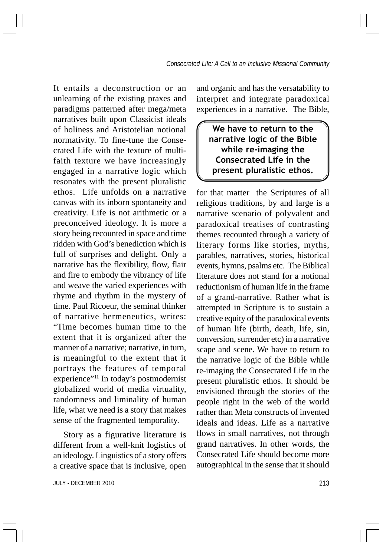It entails a deconstruction or an unlearning of the existing praxes and paradigms patterned after mega/meta narratives built upon Classicist ideals of holiness and Aristotelian notional normativity. To fine-tune the Consecrated Life with the texture of multifaith texture we have increasingly engaged in a narrative logic which resonates with the present pluralistic ethos. Life unfolds on a narrative canvas with its inborn spontaneity and creativity. Life is not arithmetic or a preconceived ideology. It is more a story being recounted in space and time ridden with God's benediction which is full of surprises and delight. Only a narrative has the flexibility, flow, flair and fire to embody the vibrancy of life and weave the varied experiences with rhyme and rhythm in the mystery of time. Paul Ricoeur, the seminal thinker of narrative hermeneutics, writes: "Time becomes human time to the extent that it is organized after the manner of a narrative; narrative, in turn, is meaningful to the extent that it portrays the features of temporal experience"11 In today's postmodernist globalized world of media virtuality, randomness and liminality of human life, what we need is a story that makes sense of the fragmented temporality.

Story as a figurative literature is different from a well-knit logistics of an ideology. Linguistics of a story offers a creative space that is inclusive, open

JULY - DECEMBER 2010 213

and organic and has the versatability to interpret and integrate paradoxical experiences in a narrative. The Bible,

We have to return to the narrative logic of the Bible while re-imaging the Consecrated Life in the present pluralistic ethos.

for that matter the Scriptures of all religious traditions, by and large is a narrative scenario of polyvalent and paradoxical treatises of contrasting themes recounted through a variety of literary forms like stories, myths, parables, narratives, stories, historical events, hymns, psalms etc. The Biblical literature does not stand for a notional reductionism of human life in the frame of a grand-narrative. Rather what is attempted in Scripture is to sustain a creative equity of the paradoxical events of human life (birth, death, life, sin, conversion, surrender etc) in a narrative scape and scene. We have to return to the narrative logic of the Bible while re-imaging the Consecrated Life in the present pluralistic ethos. It should be envisioned through the stories of the people right in the web of the world rather than Meta constructs of invented ideals and ideas. Life as a narrative flows in small narratives, not through grand narratives. In other words, the Consecrated Life should become more autographical in the sense that it should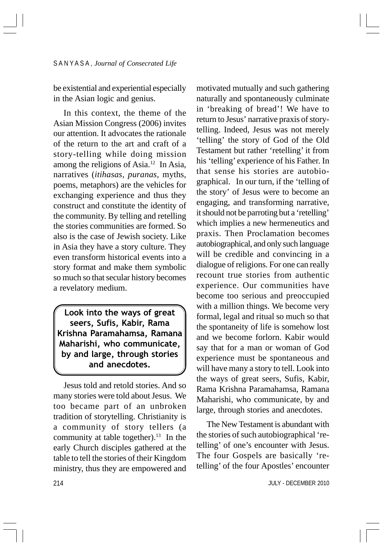be existential and experiential especially in the Asian logic and genius.

In this context, the theme of the Asian Mission Congress (2006) invites our attention. It advocates the rationale of the return to the art and craft of a story-telling while doing mission among the religions of Asia.<sup>12</sup> In Asia, narratives (*itihasas, puranas*, myths, poems, metaphors) are the vehicles for exchanging experience and thus they construct and constitute the identity of the community. By telling and retelling the stories communities are formed. So also is the case of Jewish society. Like in Asia they have a story culture. They even transform historical events into a story format and make them symbolic so much so that secular history becomes a revelatory medium.

Look into the ways of great seers, Sufis, Kabir, Rama Krishna Paramahamsa, Ramana Maharishi, who communicate, by and large, through stories and anecdotes.

Jesus told and retold stories. And so many stories were told about Jesus. We too became part of an unbroken tradition of storytelling. Christianity is a community of story tellers (a community at table together).<sup>13</sup> In the early Church disciples gathered at the table to tell the stories of their Kingdom ministry, thus they are empowered and

motivated mutually and such gathering naturally and spontaneously culminate in 'breaking of bread'! We have to return to Jesus' narrative praxis of storytelling. Indeed, Jesus was not merely 'telling' the story of God of the Old Testament but rather 'retelling' it from his 'telling' experience of his Father. In that sense his stories are autobiographical. In our turn, if the 'telling of the story' of Jesus were to become an engaging, and transforming narrative, it should not be parroting but a 'retelling' which implies a new hermeneutics and praxis. Then Proclamation becomes autobiographical, and only such language will be credible and convincing in a dialogue of religions. For one can really recount true stories from authentic experience. Our communities have become too serious and preoccupied with a million things. We become very formal, legal and ritual so much so that the spontaneity of life is somehow lost and we become forlorn. Kabir would say that for a man or woman of God experience must be spontaneous and will have many a story to tell. Look into the ways of great seers, Sufis, Kabir, Rama Krishna Paramahamsa, Ramana Maharishi, who communicate, by and large, through stories and anecdotes.

The New Testament is abundant with the stories of such autobiographical 'retelling' of one's encounter with Jesus. The four Gospels are basically 'retelling' of the four Apostles' encounter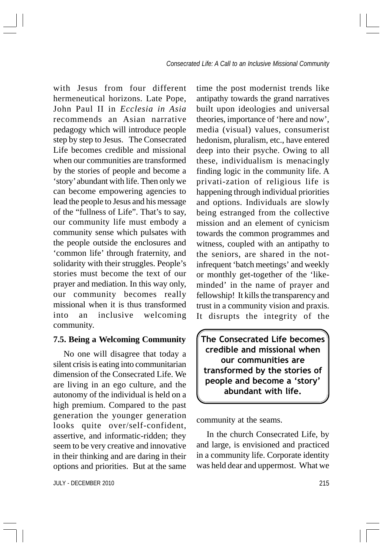with Jesus from four different hermeneutical horizons. Late Pope, John Paul II in *Ecclesia in Asia* recommends an Asian narrative pedagogy which will introduce people step by step to Jesus. The Consecrated Life becomes credible and missional when our communities are transformed by the stories of people and become a 'story' abundant with life. Then only we can become empowering agencies to lead the people to Jesus and his message of the "fullness of Life". That's to say, our community life must embody a community sense which pulsates with the people outside the enclosures and 'common life' through fraternity, and solidarity with their struggles. People's stories must become the text of our prayer and mediation. In this way only, our community becomes really missional when it is thus transformed into an inclusive welcoming community.

#### **7.5. Being a Welcoming Community**

No one will disagree that today a silent crisis is eating into communitarian dimension of the Consecrated Life. We are living in an ego culture, and the autonomy of the individual is held on a high premium. Compared to the past generation the younger generation looks quite over/self-confident, assertive, and informatic-ridden; they seem to be very creative and innovative in their thinking and are daring in their options and priorities. But at the same

time the post modernist trends like antipathy towards the grand narratives built upon ideologies and universal theories, importance of 'here and now', media (visual) values, consumerist hedonism, pluralism, etc., have entered deep into their psyche. Owing to all these, individualism is menacingly finding logic in the community life. A privati-zation of religious life is happening through individual priorities and options. Individuals are slowly being estranged from the collective mission and an element of cynicism towards the common programmes and witness, coupled with an antipathy to the seniors, are shared in the notinfrequent 'batch meetings' and weekly or monthly get-together of the 'likeminded' in the name of prayer and fellowship! It kills the transparency and trust in a community vision and praxis. It disrupts the integrity of the

The Consecrated Life becomes credible and missional when our communities are transformed by the stories of people and become a 'story' abundant with life.

community at the seams.

In the church Consecrated Life, by and large, is envisioned and practiced in a community life. Corporate identity was held dear and uppermost. What we

JULY - DECEMBER 2010 215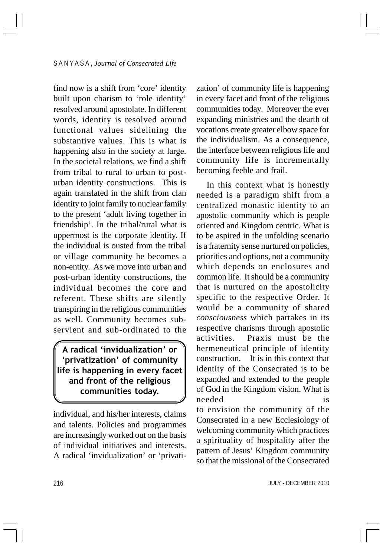find now is a shift from 'core' identity built upon charism to 'role identity' resolved around apostolate. In different words, identity is resolved around functional values sidelining the substantive values. This is what is happening also in the society at large. In the societal relations, we find a shift from tribal to rural to urban to posturban identity constructions. This is again translated in the shift from clan identity to joint family to nuclear family to the present 'adult living together in friendship'. In the tribal/rural what is uppermost is the corporate identity. If the individual is ousted from the tribal or village community he becomes a non-entity. As we move into urban and post-urban identity constructions, the individual becomes the core and referent. These shifts are silently transpiring in the religious communities as well. Community becomes subservient and sub-ordinated to the

A radical 'invidualization' or 'privatization' of community life is happening in every facet and front of the religious communities today.

individual, and his/her interests, claims and talents. Policies and programmes are increasingly worked out on the basis of individual initiatives and interests. A radical 'invidualization' or 'privatization' of community life is happening in every facet and front of the religious communities today. Moreover the ever expanding ministries and the dearth of vocations create greater elbow space for the individualism. As a consequence, the interface between religious life and community life is incrementally becoming feeble and frail.

In this context what is honestly needed is a paradigm shift from a centralized monastic identity to an apostolic community which is people oriented and Kingdom centric. What is to be aspired in the unfolding scenario is a fraternity sense nurtured on policies, priorities and options, not a community which depends on enclosures and common life. It should be a community that is nurtured on the apostolicity specific to the respective Order. It would be a community of shared *consciousness* which partakes in its respective charisms through apostolic activities. Praxis must be the hermeneutical principle of identity construction. It is in this context that identity of the Consecrated is to be expanded and extended to the people of God in the Kingdom vision. What is needed is to envision the community of the Consecrated in a new Ecclesiology of welcoming community which practices a spirituality of hospitality after the

pattern of Jesus' Kingdom community so that the missional of the Consecrated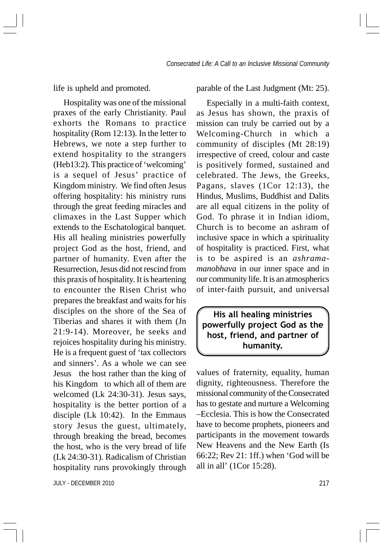life is upheld and promoted.

Hospitality was one of the missional praxes of the early Christianity. Paul exhorts the Romans to practice hospitality (Rom 12:13). In the letter to Hebrews, we note a step further to extend hospitality to the strangers (Heb13:2). This practice of 'welcoming' is a sequel of Jesus' practice of Kingdom ministry. We find often Jesus offering hospitality: his ministry runs through the great feeding miracles and climaxes in the Last Supper which extends to the Eschatological banquet. His all healing ministries powerfully project God as the host, friend, and partner of humanity. Even after the Resurrection, Jesus did not rescind from this praxis of hospitality. It is heartening to encounter the Risen Christ who prepares the breakfast and waits for his disciples on the shore of the Sea of Tiberias and shares it with them (Jn 21:9-14). Moreover, he seeks and rejoices hospitality during his ministry. He is a frequent guest of 'tax collectors and sinners'. As a whole we can see Jesus the host rather than the king of his Kingdom to which all of them are welcomed (Lk 24:30-31). Jesus says, hospitality is the better portion of a disciple (Lk 10:42). In the Emmaus story Jesus the guest, ultimately, through breaking the bread, becomes the host, who is the very bread of life (Lk 24:30-31). Radicalism of Christian hospitality runs provokingly through

JULY - DECEMBER 2010 217

parable of the Last Judgment (Mt: 25).

Especially in a multi-faith context, as Jesus has shown, the praxis of mission can truly be carried out by a Welcoming-Church in which a community of disciples (Mt 28:19) irrespective of creed, colour and caste is positively formed, sustained and celebrated. The Jews, the Greeks, Pagans, slaves (1Cor 12:13), the Hindus, Muslims, Buddhist and Dalits are all equal citizens in the polity of God. To phrase it in Indian idiom, Church is to become an ashram of inclusive space in which a spirituality of hospitality is practiced. First, what is to be aspired is an *ashramamanobhava* in our inner space and in our community life. It is an atmospherics of inter-faith pursuit, and universal

His all healing ministries powerfully project God as the host, friend, and partner of humanity.

values of fraternity, equality, human dignity, righteousness. Therefore the missional community of the Consecrated has to gestate and nurture a Welcoming –Ecclesia. This is how the Consecrated have to become prophets, pioneers and participants in the movement towards New Heavens and the New Earth (Is 66:22; Rev 21: 1ff.) when 'God will be all in all' (1Cor 15:28).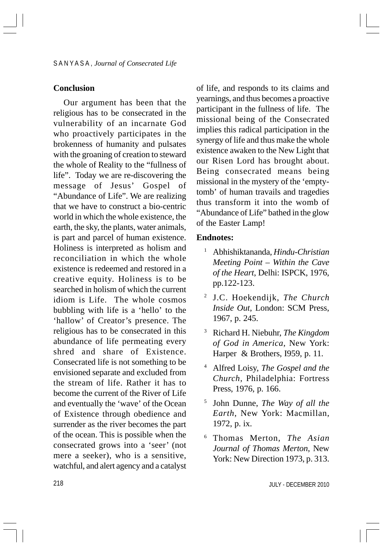## **Conclusion**

Our argument has been that the religious has to be consecrated in the vulnerability of an incarnate God who proactively participates in the brokenness of humanity and pulsates with the groaning of creation to steward the whole of Reality to the "fullness of life". Today we are re-discovering the message of Jesus' Gospel of "Abundance of Life". We are realizing that we have to construct a bio-centric world in which the whole existence, the earth, the sky, the plants, water animals, is part and parcel of human existence. Holiness is interpreted as holism and reconciliation in which the whole existence is redeemed and restored in a creative equity. Holiness is to be searched in holism of which the current idiom is Life. The whole cosmos bubbling with life is a 'hello' to the 'hallow' of Creator's presence. The religious has to be consecrated in this abundance of life permeating every shred and share of Existence. Consecrated life is not something to be envisioned separate and excluded from the stream of life. Rather it has to become the current of the River of Life and eventually the 'wave' of the Ocean of Existence through obedience and surrender as the river becomes the part of the ocean. This is possible when the consecrated grows into a 'seer' (not mere a seeker), who is a sensitive, watchful, and alert agency and a catalyst

of life, and responds to its claims and yearnings, and thus becomes a proactive participant in the fullness of life. The missional being of the Consecrated implies this radical participation in the synergy of life and thus make the whole existence awaken to the New Light that our Risen Lord has brought about. Being consecrated means being missional in the mystery of the 'emptytomb' of human travails and tragedies thus transform it into the womb of "Abundance of Life" bathed in the glow of the Easter Lamp!

## **Endnotes:**

- <sup>1</sup> Abhishiktananda, *Hindu-Christian Meeting Point – Within the Cave of the Heart*, Delhi: ISPCK, 1976, pp.122-123.
- <sup>2</sup> J.C. Hoekendijk, *The Church Inside Out*, London: SCM Press, 1967, p. 245.
- <sup>3</sup> Richard H. Niebuhr, *The Kingdom of God in America*, New York: Harper & Brothers, I959, p. 11.
- <sup>4</sup> Alfred Loisy, *The Gospel and the Church*, Philadelphia: Fortress Press, 1976, p. 166.
- <sup>5</sup> John Dunne, *The Way of all the Earth*, New York: Macmillan, 1972, p. ix.
- <sup>6</sup> Thomas Merton, *The Asian Journal of Thomas Merton*, New York: New Direction 1973, p. 313.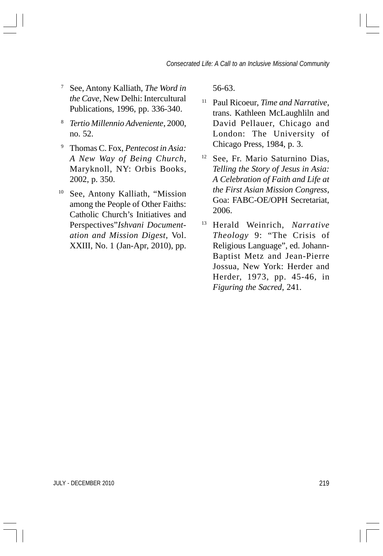- <sup>7</sup> See, Antony Kalliath, *The Word in the Cave*, New Delhi: Intercultural Publications, 1996, pp. 336-340.
- <sup>8</sup> *Tertio Millennio Adveniente*, 2000, no. 52.
- <sup>9</sup> Thomas C. Fox, *Pentecost in Asia: A New Way of Being Church*, Maryknoll, NY: Orbis Books, 2002, p. 350.
- <sup>10</sup> See, Antony Kalliath, "Mission among the People of Other Faiths: Catholic Church's Initiatives and Perspectives"*Ishvani Documentation and Mission Digest*, Vol. XXIII, No. 1 (Jan-Apr, 2010), pp.

56-63.

- <sup>11</sup> Paul Ricoeur, *Time and Narrative*, trans. Kathleen McLaughliln and David Pellauer, Chicago and London: The University of Chicago Press, 1984, p. 3.
- <sup>12</sup> See, Fr. Mario Saturnino Dias, *Telling the Story of Jesus in Asia: A Celebration of Faith and Life at the First Asian Mission Congress*, Goa: FABC-OE/OPH Secretariat, 2006.
- <sup>13</sup> Herald Weinrich, *Narrative Theology* 9: "The Crisis of Religious Language", ed. Johann-Baptist Metz and Jean-Pierre Jossua, New York: Herder and Herder, 1973, pp. 45-46, in *Figuring the Sacred*, 241.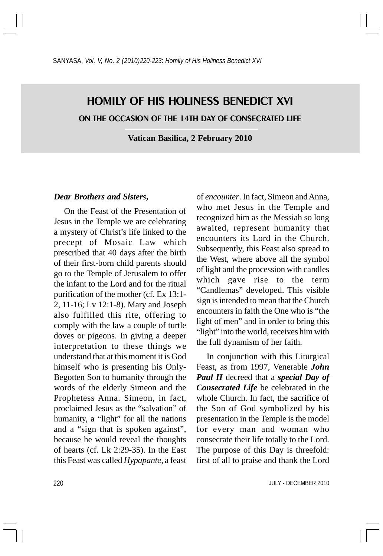# HOMILY OF HIS HOLINESS BENEDICT XVI ON THE OCCASION OF THE 14TH DAY OF CONSECRATED LIFE

**Vatican Basilica, 2 February 2010**

#### *Dear Brothers and Sisters***,**

On the Feast of the Presentation of Jesus in the Temple we are celebrating a mystery of Christ's life linked to the precept of Mosaic Law which prescribed that 40 days after the birth of their first-born child parents should go to the Temple of Jerusalem to offer the infant to the Lord and for the ritual purification of the mother (cf. Ex 13:1- 2, 11-16; Lv 12:1-8). Mary and Joseph also fulfilled this rite, offering to comply with the law a couple of turtle doves or pigeons. In giving a deeper interpretation to these things we understand that at this moment it is God himself who is presenting his Only-Begotten Son to humanity through the words of the elderly Simeon and the Prophetess Anna. Simeon, in fact, proclaimed Jesus as the "salvation" of humanity, a "light" for all the nations and a "sign that is spoken against", because he would reveal the thoughts of hearts (cf. Lk 2:29-35). In the East this Feast was called *Hypapante,* a feast

of *encounter*. In fact, Simeon and Anna, who met Jesus in the Temple and recognized him as the Messiah so long awaited, represent humanity that encounters its Lord in the Church. Subsequently, this Feast also spread to the West, where above all the symbol of light and the procession with candles which gave rise to the term "Candlemas" developed. This visible sign is intended to mean that the Church encounters in faith the One who is "the light of men" and in order to bring this "light" into the world, receives him with the full dynamism of her faith.

In conjunction with this Liturgical Feast, as from 1997, Venerable *John Paul II* decreed that a *special Day of Consecrated Life* be celebrated in the whole Church. In fact, the sacrifice of the Son of God symbolized by his presentation in the Temple is the model for every man and woman who consecrate their life totally to the Lord. The purpose of this Day is threefold: first of all to praise and thank the Lord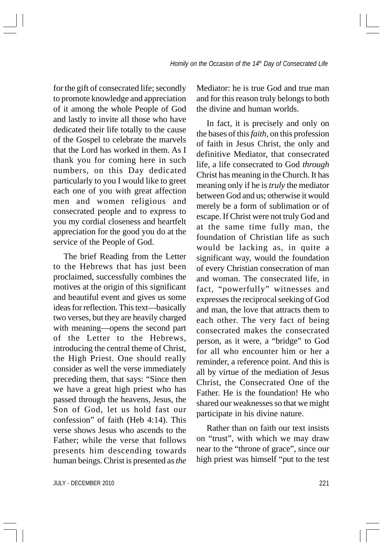for the gift of consecrated life; secondly to promote knowledge and appreciation of it among the whole People of God and lastly to invite all those who have dedicated their life totally to the cause of the Gospel to celebrate the marvels that the Lord has worked in them. As I thank you for coming here in such numbers, on this Day dedicated particularly to you I would like to greet each one of you with great affection men and women religious and consecrated people and to express to you my cordial closeness and heartfelt appreciation for the good you do at the service of the People of God.

The brief Reading from the Letter to the Hebrews that has just been proclaimed, successfully combines the motives at the origin of this significant and beautiful event and gives us some ideas for reflection. This text—basically two verses, but they are heavily charged with meaning—opens the second part of the Letter to the Hebrews, introducing the central theme of Christ, the High Priest. One should really consider as well the verse immediately preceding them, that says: "Since then we have a great high priest who has passed through the heavens, Jesus, the Son of God, let us hold fast our confession" of faith (Heb 4:14). This verse shows Jesus who ascends to the Father; while the verse that follows presents him descending towards human beings. Christ is presented as *the*

Mediator: he is true God and true man and for this reason truly belongs to both the divine and human worlds.

In fact, it is precisely and only on the bases of this *faith,* on this profession of faith in Jesus Christ, the only and definitive Mediator, that consecrated life, a life consecrated to God *through* Christ has meaning in the Church. It has meaning only if he is *truly* the mediator between God and us; otherwise it would merely be a form of sublimation or of escape. If Christ were not truly God and at the same time fully man, the foundation of Christian life as such would be lacking as, in quite a significant way, would the foundation of every Christian consecration of man and woman. The consecrated life, in fact, "powerfully" witnesses and expresses the reciprocal seeking of God and man, the love that attracts them to each other. The very fact of being consecrated makes the consecrated person, as it were, a "bridge" to God for all who encounter him or her a reminder, a reference point. And this is all by virtue of the mediation of Jesus Christ, the Consecrated One of the Father. He is the foundation! He who shared our weaknesses so that we might participate in his divine nature.

Rather than on faith our text insists on "trust", with which we may draw near to the "throne of grace", since our high priest was himself "put to the test

JULY - DECEMBER 2010 221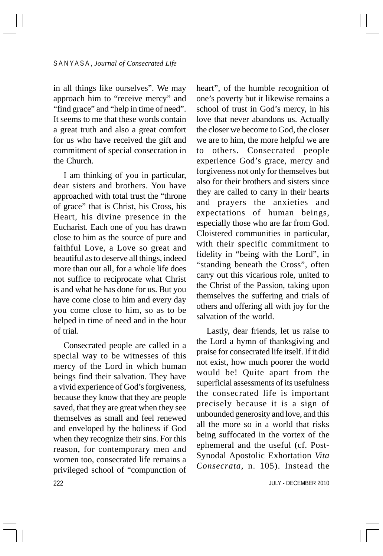in all things like ourselves". We may approach him to "receive mercy" and "find grace" and "help in time of need". It seems to me that these words contain a great truth and also a great comfort for us who have received the gift and commitment of special consecration in the Church.

I am thinking of you in particular, dear sisters and brothers. You have approached with total trust the "throne of grace" that is Christ, his Cross, his Heart, his divine presence in the Eucharist. Each one of you has drawn close to him as the source of pure and faithful Love, a Love so great and beautiful as to deserve all things, indeed more than our all, for a whole life does not suffice to reciprocate what Christ is and what he has done for us. But you have come close to him and every day you come close to him, so as to be helped in time of need and in the hour of trial.

222 Consecrated people are called in a special way to be witnesses of this mercy of the Lord in which human beings find their salvation. They have a vivid experience of God's forgiveness, because they know that they are people saved, that they are great when they see themselves as small and feel renewed and enveloped by the holiness if God when they recognize their sins. For this reason, for contemporary men and women too, consecrated life remains a privileged school of "compunction of heart", of the humble recognition of one's poverty but it likewise remains a school of trust in God's mercy, in his love that never abandons us. Actually the closer we become to God, the closer we are to him, the more helpful we are to others. Consecrated people experience God's grace, mercy and forgiveness not only for themselves but also for their brothers and sisters since they are called to carry in their hearts and prayers the anxieties and expectations of human beings, especially those who are far from God. Cloistered communities in particular, with their specific commitment to fidelity in "being with the Lord", in "standing beneath the Cross", often carry out this vicarious role, united to the Christ of the Passion, taking upon themselves the suffering and trials of others and offering all with joy for the salvation of the world.

Lastly, dear friends, let us raise to the Lord a hymn of thanksgiving and praise for consecrated life itself. If it did not exist, how much poorer the world would be! Quite apart from the superficial assessments of its usefulness the consecrated life is important precisely because it is a sign of unbounded generosity and love, and this all the more so in a world that risks being suffocated in the vortex of the ephemeral and the useful (cf. Post-Synodal Apostolic Exhortation *Vita Consecrata,* n. 105). Instead the